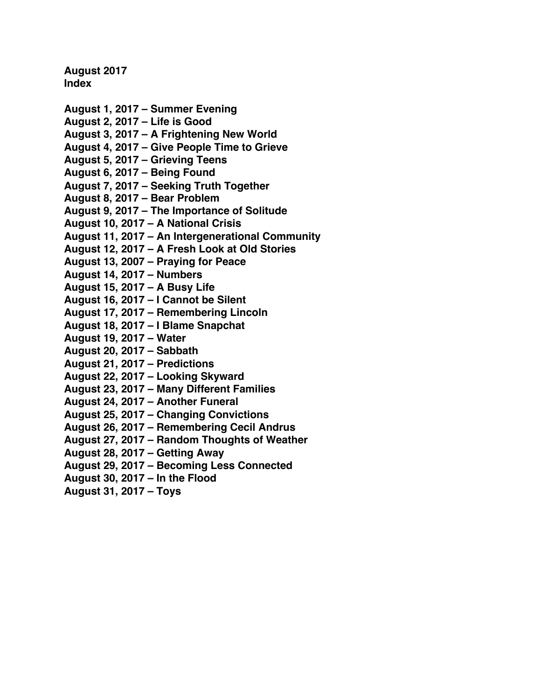**August 2017 Index**

- **[August 1, 2017 Summer Evening](#page-1-0)**
- **[August 2, 2017 Life is Good](#page-3-0)**
- **August 3, 2017 A [Frightening New World](#page-5-0)**
- **[August 4, 2017 Give People Time to Grieve](#page-7-0)**
- **[August 5, 2017 Grieving Teens](#page-9-0)**
- **[August 6, 2017 Being Found](#page-11-0)**
- **[August 7, 2017 Seeking](#page-14-0) Truth Together**
- **[August 8, 2017 Bear Problem](#page-16-0)**
- **[August 9, 2017 The Importance of Solitude](#page-18-0)**
- **[August 10, 2017 A](#page-20-0) National Crisis**
- **[August 11, 2017 An Intergenerational Community](#page-22-0)**
- **August 12, 2017 A [Fresh Look at Old Stories](#page-24-0)**
- **[August 13, 2007 Praying for Peace](#page-27-0)**
- **[August 14, 2017 Numbers](#page-29-0)**
- **[August 15, 2017 A](#page-31-0) Busy Life**
- **[August 16, 2017 I Cannot be Silent](#page-33-0)**
- **[August 17, 2017 Remembering Lincoln](#page-36-0)**
- **[August 18, 2017 I Blame Snapchat](#page-38-0)**
- **[August 19, 2017 Water](#page-40-0)**
- **[August 20, 2017 Sabbath](#page-42-0)**
- **[August 21, 2017 Predictions](#page-44-0)**
- **[August 22, 2017 Looking Skyward](#page-47-0)**
- **[August 23, 2017 Many Different Families](#page-49-0)**
- **[August 24, 2017 Another Funeral](#page-51-0)**
- **[August 25, 2017 Changing Convictions](#page-53-0)**
- **[August 26, 2017 Remembering Cecil Andrus](#page-55-0)**
- **[August 27, 2017 Random Thoughts of Weather](#page-57-0)**
- **[August 28, 2017 Getting Away](#page-59-0)**
- **[August 29, 2017 Becoming Less Connected](#page-61-0)**
- **[August 30, 2017 In the Flood](#page-63-0)**
- **[August 31, 2017 Toys](#page-66-0)**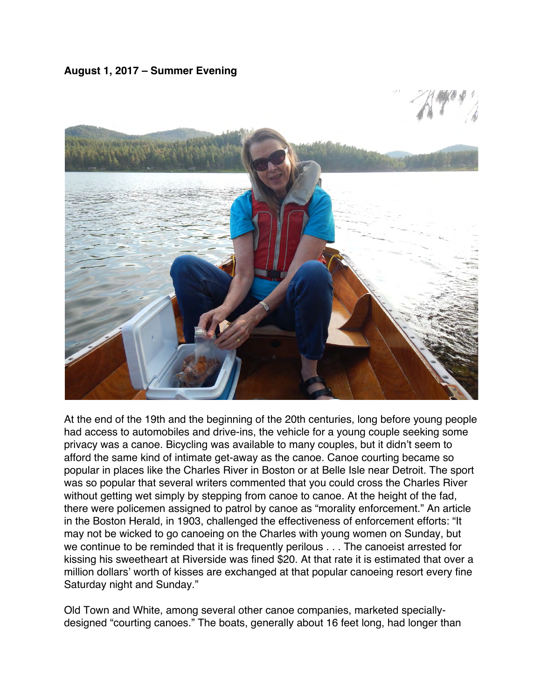<span id="page-1-0"></span>**August 1, 2017 – Summer Evening**



At the end of the 19th and the beginning of the 20th centuries, long before young people had access to automobiles and drive-ins, the vehicle for a young couple seeking some privacy was a canoe. Bicycling was available to many couples, but it didn't seem to afford the same kind of intimate get-away as the canoe. Canoe courting became so popular in places like the Charles River in Boston or at Belle Isle near Detroit. The sport was so popular that several writers commented that you could cross the Charles River without getting wet simply by stepping from canoe to canoe. At the height of the fad, there were policemen assigned to patrol by canoe as "morality enforcement." An article in the Boston Herald, in 1903, challenged the effectiveness of enforcement efforts: "It may not be wicked to go canoeing on the Charles with young women on Sunday, but we continue to be reminded that it is frequently perilous . . . The canoeist arrested for kissing his sweetheart at Riverside was fined \$20. At that rate it is estimated that over a million dollars' worth of kisses are exchanged at that popular canoeing resort every fine Saturday night and Sunday."

Old Town and White, among several other canoe companies, marketed speciallydesigned "courting canoes." The boats, generally about 16 feet long, had longer than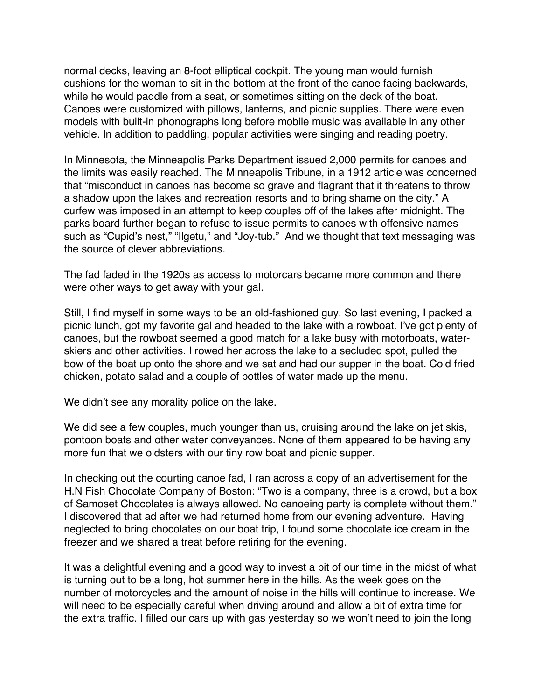normal decks, leaving an 8-foot elliptical cockpit. The young man would furnish cushions for the woman to sit in the bottom at the front of the canoe facing backwards, while he would paddle from a seat, or sometimes sitting on the deck of the boat. Canoes were customized with pillows, lanterns, and picnic supplies. There were even models with built-in phonographs long before mobile music was available in any other vehicle. In addition to paddling, popular activities were singing and reading poetry.

In Minnesota, the Minneapolis Parks Department issued 2,000 permits for canoes and the limits was easily reached. The Minneapolis Tribune, in a 1912 article was concerned that "misconduct in canoes has become so grave and flagrant that it threatens to throw a shadow upon the lakes and recreation resorts and to bring shame on the city." A curfew was imposed in an attempt to keep couples off of the lakes after midnight. The parks board further began to refuse to issue permits to canoes with offensive names such as "Cupid's nest," "Ilgetu," and "Joy-tub." And we thought that text messaging was the source of clever abbreviations.

The fad faded in the 1920s as access to motorcars became more common and there were other ways to get away with your gal.

Still, I find myself in some ways to be an old-fashioned guy. So last evening, I packed a picnic lunch, got my favorite gal and headed to the lake with a rowboat. I've got plenty of canoes, but the rowboat seemed a good match for a lake busy with motorboats, waterskiers and other activities. I rowed her across the lake to a secluded spot, pulled the bow of the boat up onto the shore and we sat and had our supper in the boat. Cold fried chicken, potato salad and a couple of bottles of water made up the menu.

We didn't see any morality police on the lake.

We did see a few couples, much younger than us, cruising around the lake on jet skis, pontoon boats and other water conveyances. None of them appeared to be having any more fun that we oldsters with our tiny row boat and picnic supper.

In checking out the courting canoe fad, I ran across a copy of an advertisement for the H.N Fish Chocolate Company of Boston: "Two is a company, three is a crowd, but a box of Samoset Chocolates is always allowed. No canoeing party is complete without them." I discovered that ad after we had returned home from our evening adventure. Having neglected to bring chocolates on our boat trip, I found some chocolate ice cream in the freezer and we shared a treat before retiring for the evening.

It was a delightful evening and a good way to invest a bit of our time in the midst of what is turning out to be a long, hot summer here in the hills. As the week goes on the number of motorcycles and the amount of noise in the hills will continue to increase. We will need to be especially careful when driving around and allow a bit of extra time for the extra traffic. I filled our cars up with gas yesterday so we won't need to join the long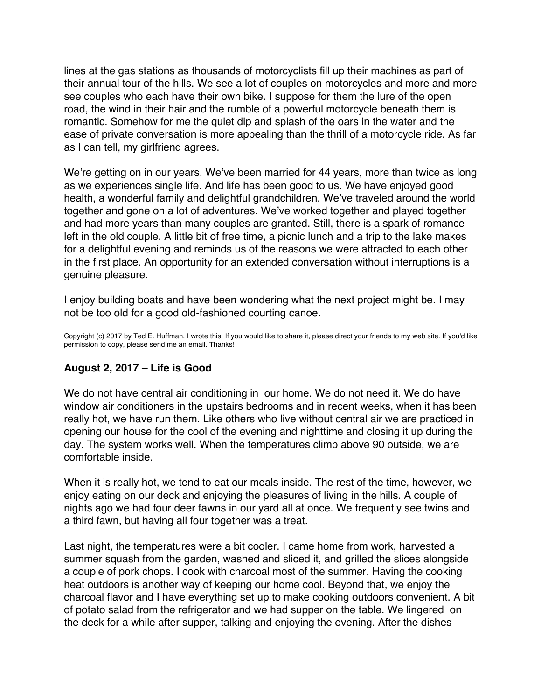<span id="page-3-0"></span>lines at the gas stations as thousands of motorcyclists fill up their machines as part of their annual tour of the hills. We see a lot of couples on motorcycles and more and more see couples who each have their own bike. I suppose for them the lure of the open road, the wind in their hair and the rumble of a powerful motorcycle beneath them is romantic. Somehow for me the quiet dip and splash of the oars in the water and the ease of private conversation is more appealing than the thrill of a motorcycle ride. As far as I can tell, my girlfriend agrees.

We're getting on in our years. We've been married for 44 years, more than twice as long as we experiences single life. And life has been good to us. We have enjoyed good health, a wonderful family and delightful grandchildren. We've traveled around the world together and gone on a lot of adventures. We've worked together and played together and had more years than many couples are granted. Still, there is a spark of romance left in the old couple. A little bit of free time, a picnic lunch and a trip to the lake makes for a delightful evening and reminds us of the reasons we were attracted to each other in the first place. An opportunity for an extended conversation without interruptions is a genuine pleasure.

I enjoy building boats and have been wondering what the next project might be. I may not be too old for a good old-fashioned courting canoe.

Copyright (c) 2017 by Ted E. Huffman. I wrote this. If you would like to share it, please direct your friends to my web site. If you'd like permission to copy, please send me an email. Thanks!

### **August 2, 2017 – Life is Good**

We do not have central air conditioning in our home. We do not need it. We do have window air conditioners in the upstairs bedrooms and in recent weeks, when it has been really hot, we have run them. Like others who live without central air we are practiced in opening our house for the cool of the evening and nighttime and closing it up during the day. The system works well. When the temperatures climb above 90 outside, we are comfortable inside.

When it is really hot, we tend to eat our meals inside. The rest of the time, however, we enjoy eating on our deck and enjoying the pleasures of living in the hills. A couple of nights ago we had four deer fawns in our yard all at once. We frequently see twins and a third fawn, but having all four together was a treat.

Last night, the temperatures were a bit cooler. I came home from work, harvested a summer squash from the garden, washed and sliced it, and grilled the slices alongside a couple of pork chops. I cook with charcoal most of the summer. Having the cooking heat outdoors is another way of keeping our home cool. Beyond that, we enjoy the charcoal flavor and I have everything set up to make cooking outdoors convenient. A bit of potato salad from the refrigerator and we had supper on the table. We lingered on the deck for a while after supper, talking and enjoying the evening. After the dishes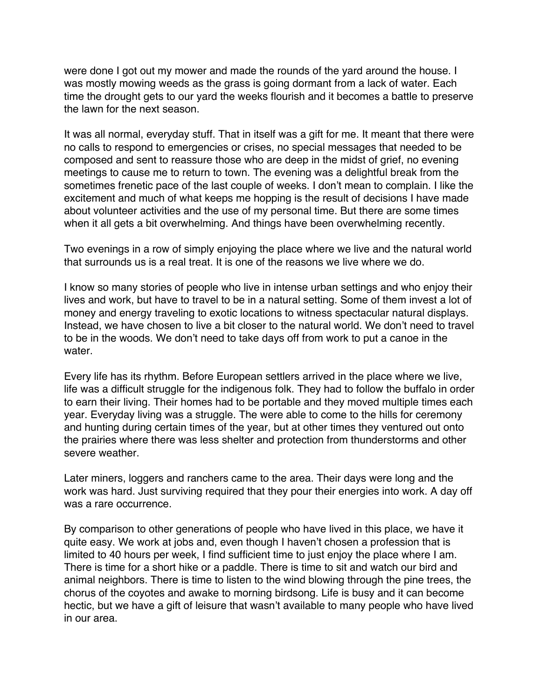were done I got out my mower and made the rounds of the yard around the house. I was mostly mowing weeds as the grass is going dormant from a lack of water. Each time the drought gets to our yard the weeks flourish and it becomes a battle to preserve the lawn for the next season.

It was all normal, everyday stuff. That in itself was a gift for me. It meant that there were no calls to respond to emergencies or crises, no special messages that needed to be composed and sent to reassure those who are deep in the midst of grief, no evening meetings to cause me to return to town. The evening was a delightful break from the sometimes frenetic pace of the last couple of weeks. I don't mean to complain. I like the excitement and much of what keeps me hopping is the result of decisions I have made about volunteer activities and the use of my personal time. But there are some times when it all gets a bit overwhelming. And things have been overwhelming recently.

Two evenings in a row of simply enjoying the place where we live and the natural world that surrounds us is a real treat. It is one of the reasons we live where we do.

I know so many stories of people who live in intense urban settings and who enjoy their lives and work, but have to travel to be in a natural setting. Some of them invest a lot of money and energy traveling to exotic locations to witness spectacular natural displays. Instead, we have chosen to live a bit closer to the natural world. We don't need to travel to be in the woods. We don't need to take days off from work to put a canoe in the water.

Every life has its rhythm. Before European settlers arrived in the place where we live, life was a difficult struggle for the indigenous folk. They had to follow the buffalo in order to earn their living. Their homes had to be portable and they moved multiple times each year. Everyday living was a struggle. The were able to come to the hills for ceremony and hunting during certain times of the year, but at other times they ventured out onto the prairies where there was less shelter and protection from thunderstorms and other severe weather.

Later miners, loggers and ranchers came to the area. Their days were long and the work was hard. Just surviving required that they pour their energies into work. A day off was a rare occurrence.

By comparison to other generations of people who have lived in this place, we have it quite easy. We work at jobs and, even though I haven't chosen a profession that is limited to 40 hours per week, I find sufficient time to just enjoy the place where I am. There is time for a short hike or a paddle. There is time to sit and watch our bird and animal neighbors. There is time to listen to the wind blowing through the pine trees, the chorus of the coyotes and awake to morning birdsong. Life is busy and it can become hectic, but we have a gift of leisure that wasn't available to many people who have lived in our area.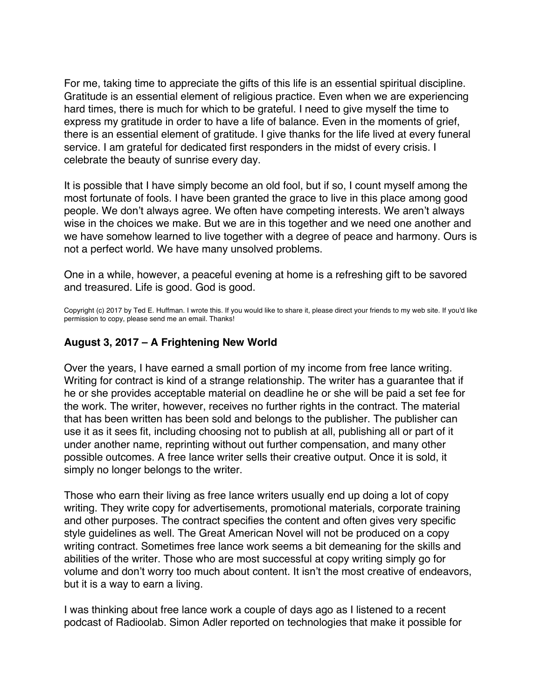<span id="page-5-0"></span>For me, taking time to appreciate the gifts of this life is an essential spiritual discipline. Gratitude is an essential element of religious practice. Even when we are experiencing hard times, there is much for which to be grateful. I need to give myself the time to express my gratitude in order to have a life of balance. Even in the moments of grief, there is an essential element of gratitude. I give thanks for the life lived at every funeral service. I am grateful for dedicated first responders in the midst of every crisis. I celebrate the beauty of sunrise every day.

It is possible that I have simply become an old fool, but if so, I count myself among the most fortunate of fools. I have been granted the grace to live in this place among good people. We don't always agree. We often have competing interests. We aren't always wise in the choices we make. But we are in this together and we need one another and we have somehow learned to live together with a degree of peace and harmony. Ours is not a perfect world. We have many unsolved problems.

One in a while, however, a peaceful evening at home is a refreshing gift to be savored and treasured. Life is good. God is good.

Copyright (c) 2017 by Ted E. Huffman. I wrote this. If you would like to share it, please direct your friends to my web site. If you'd like permission to copy, please send me an email. Thanks!

### **August 3, 2017 – A Frightening New World**

Over the years, I have earned a small portion of my income from free lance writing. Writing for contract is kind of a strange relationship. The writer has a guarantee that if he or she provides acceptable material on deadline he or she will be paid a set fee for the work. The writer, however, receives no further rights in the contract. The material that has been written has been sold and belongs to the publisher. The publisher can use it as it sees fit, including choosing not to publish at all, publishing all or part of it under another name, reprinting without out further compensation, and many other possible outcomes. A free lance writer sells their creative output. Once it is sold, it simply no longer belongs to the writer.

Those who earn their living as free lance writers usually end up doing a lot of copy writing. They write copy for advertisements, promotional materials, corporate training and other purposes. The contract specifies the content and often gives very specific style guidelines as well. The Great American Novel will not be produced on a copy writing contract. Sometimes free lance work seems a bit demeaning for the skills and abilities of the writer. Those who are most successful at copy writing simply go for volume and don't worry too much about content. It isn't the most creative of endeavors, but it is a way to earn a living.

I was thinking about free lance work a couple of days ago as I listened to a recent podcast of Radioolab. Simon Adler reported on technologies that make it possible for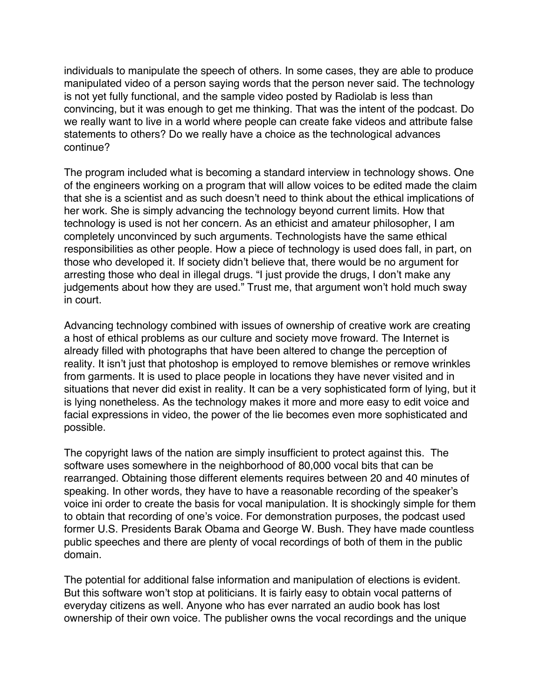individuals to manipulate the speech of others. In some cases, they are able to produce manipulated video of a person saying words that the person never said. The technology is not yet fully functional, and the sample video posted by Radiolab is less than convincing, but it was enough to get me thinking. That was the intent of the podcast. Do we really want to live in a world where people can create fake videos and attribute false statements to others? Do we really have a choice as the technological advances continue?

The program included what is becoming a standard interview in technology shows. One of the engineers working on a program that will allow voices to be edited made the claim that she is a scientist and as such doesn't need to think about the ethical implications of her work. She is simply advancing the technology beyond current limits. How that technology is used is not her concern. As an ethicist and amateur philosopher, I am completely unconvinced by such arguments. Technologists have the same ethical responsibilities as other people. How a piece of technology is used does fall, in part, on those who developed it. If society didn't believe that, there would be no argument for arresting those who deal in illegal drugs. "I just provide the drugs, I don't make any judgements about how they are used." Trust me, that argument won't hold much sway in court.

Advancing technology combined with issues of ownership of creative work are creating a host of ethical problems as our culture and society move froward. The Internet is already filled with photographs that have been altered to change the perception of reality. It isn't just that photoshop is employed to remove blemishes or remove wrinkles from garments. It is used to place people in locations they have never visited and in situations that never did exist in reality. It can be a very sophisticated form of lying, but it is lying nonetheless. As the technology makes it more and more easy to edit voice and facial expressions in video, the power of the lie becomes even more sophisticated and possible.

The copyright laws of the nation are simply insufficient to protect against this. The software uses somewhere in the neighborhood of 80,000 vocal bits that can be rearranged. Obtaining those different elements requires between 20 and 40 minutes of speaking. In other words, they have to have a reasonable recording of the speaker's voice ini order to create the basis for vocal manipulation. It is shockingly simple for them to obtain that recording of one's voice. For demonstration purposes, the podcast used former U.S. Presidents Barak Obama and George W. Bush. They have made countless public speeches and there are plenty of vocal recordings of both of them in the public domain.

The potential for additional false information and manipulation of elections is evident. But this software won't stop at politicians. It is fairly easy to obtain vocal patterns of everyday citizens as well. Anyone who has ever narrated an audio book has lost ownership of their own voice. The publisher owns the vocal recordings and the unique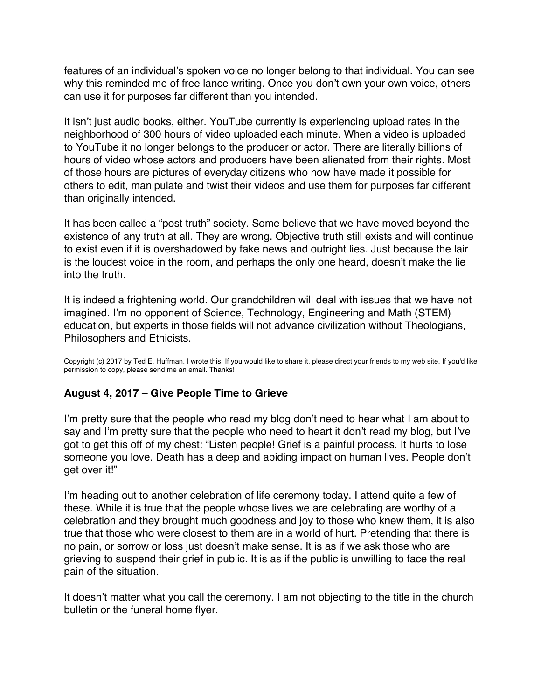<span id="page-7-0"></span>features of an individual's spoken voice no longer belong to that individual. You can see why this reminded me of free lance writing. Once you don't own your own voice, others can use it for purposes far different than you intended.

It isn't just audio books, either. YouTube currently is experiencing upload rates in the neighborhood of 300 hours of video uploaded each minute. When a video is uploaded to YouTube it no longer belongs to the producer or actor. There are literally billions of hours of video whose actors and producers have been alienated from their rights. Most of those hours are pictures of everyday citizens who now have made it possible for others to edit, manipulate and twist their videos and use them for purposes far different than originally intended.

It has been called a "post truth" society. Some believe that we have moved beyond the existence of any truth at all. They are wrong. Objective truth still exists and will continue to exist even if it is overshadowed by fake news and outright lies. Just because the lair is the loudest voice in the room, and perhaps the only one heard, doesn't make the lie into the truth.

It is indeed a frightening world. Our grandchildren will deal with issues that we have not imagined. I'm no opponent of Science, Technology, Engineering and Math (STEM) education, but experts in those fields will not advance civilization without Theologians, Philosophers and Ethicists.

Copyright (c) 2017 by Ted E. Huffman. I wrote this. If you would like to share it, please direct your friends to my web site. If you'd like permission to copy, please send me an email. Thanks!

### **August 4, 2017 – Give People Time to Grieve**

I'm pretty sure that the people who read my blog don't need to hear what I am about to say and I'm pretty sure that the people who need to heart it don't read my blog, but I've got to get this off of my chest: "Listen people! Grief is a painful process. It hurts to lose someone you love. Death has a deep and abiding impact on human lives. People don't get over it!"

I'm heading out to another celebration of life ceremony today. I attend quite a few of these. While it is true that the people whose lives we are celebrating are worthy of a celebration and they brought much goodness and joy to those who knew them, it is also true that those who were closest to them are in a world of hurt. Pretending that there is no pain, or sorrow or loss just doesn't make sense. It is as if we ask those who are grieving to suspend their grief in public. It is as if the public is unwilling to face the real pain of the situation.

It doesn't matter what you call the ceremony. I am not objecting to the title in the church bulletin or the funeral home flyer.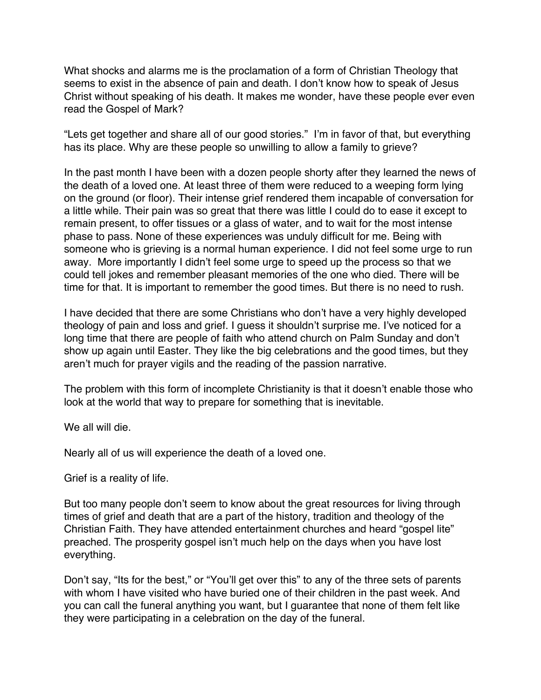What shocks and alarms me is the proclamation of a form of Christian Theology that seems to exist in the absence of pain and death. I don't know how to speak of Jesus Christ without speaking of his death. It makes me wonder, have these people ever even read the Gospel of Mark?

"Lets get together and share all of our good stories." I'm in favor of that, but everything has its place. Why are these people so unwilling to allow a family to grieve?

In the past month I have been with a dozen people shorty after they learned the news of the death of a loved one. At least three of them were reduced to a weeping form lying on the ground (or floor). Their intense grief rendered them incapable of conversation for a little while. Their pain was so great that there was little I could do to ease it except to remain present, to offer tissues or a glass of water, and to wait for the most intense phase to pass. None of these experiences was unduly difficult for me. Being with someone who is grieving is a normal human experience. I did not feel some urge to run away. More importantly I didn't feel some urge to speed up the process so that we could tell jokes and remember pleasant memories of the one who died. There will be time for that. It is important to remember the good times. But there is no need to rush.

I have decided that there are some Christians who don't have a very highly developed theology of pain and loss and grief. I guess it shouldn't surprise me. I've noticed for a long time that there are people of faith who attend church on Palm Sunday and don't show up again until Easter. They like the big celebrations and the good times, but they aren't much for prayer vigils and the reading of the passion narrative.

The problem with this form of incomplete Christianity is that it doesn't enable those who look at the world that way to prepare for something that is inevitable.

We all will die.

Nearly all of us will experience the death of a loved one.

Grief is a reality of life.

But too many people don't seem to know about the great resources for living through times of grief and death that are a part of the history, tradition and theology of the Christian Faith. They have attended entertainment churches and heard "gospel lite" preached. The prosperity gospel isn't much help on the days when you have lost everything.

Don't say, "Its for the best," or "You'll get over this" to any of the three sets of parents with whom I have visited who have buried one of their children in the past week. And you can call the funeral anything you want, but I guarantee that none of them felt like they were participating in a celebration on the day of the funeral.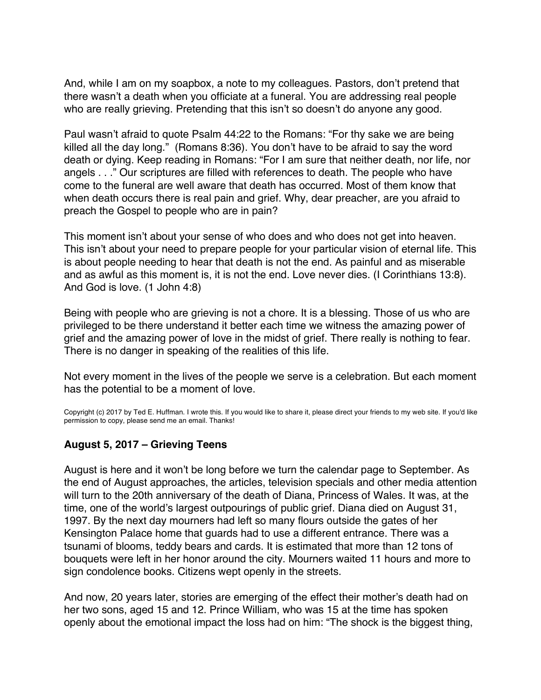<span id="page-9-0"></span>And, while I am on my soapbox, a note to my colleagues. Pastors, don't pretend that there wasn't a death when you officiate at a funeral. You are addressing real people who are really grieving. Pretending that this isn't so doesn't do anyone any good.

Paul wasn't afraid to quote Psalm 44:22 to the Romans: "For thy sake we are being killed all the day long." (Romans 8:36). You don't have to be afraid to say the word death or dying. Keep reading in Romans: "For I am sure that neither death, nor life, nor angels . . ." Our scriptures are filled with references to death. The people who have come to the funeral are well aware that death has occurred. Most of them know that when death occurs there is real pain and grief. Why, dear preacher, are you afraid to preach the Gospel to people who are in pain?

This moment isn't about your sense of who does and who does not get into heaven. This isn't about your need to prepare people for your particular vision of eternal life. This is about people needing to hear that death is not the end. As painful and as miserable and as awful as this moment is, it is not the end. Love never dies. (I Corinthians 13:8). And God is love. (1 John 4:8)

Being with people who are grieving is not a chore. It is a blessing. Those of us who are privileged to be there understand it better each time we witness the amazing power of grief and the amazing power of love in the midst of grief. There really is nothing to fear. There is no danger in speaking of the realities of this life.

Not every moment in the lives of the people we serve is a celebration. But each moment has the potential to be a moment of love.

Copyright (c) 2017 by Ted E. Huffman. I wrote this. If you would like to share it, please direct your friends to my web site. If you'd like permission to copy, please send me an email. Thanks!

### **August 5, 2017 – Grieving Teens**

August is here and it won't be long before we turn the calendar page to September. As the end of August approaches, the articles, television specials and other media attention will turn to the 20th anniversary of the death of Diana, Princess of Wales. It was, at the time, one of the world's largest outpourings of public grief. Diana died on August 31, 1997. By the next day mourners had left so many flours outside the gates of her Kensington Palace home that guards had to use a different entrance. There was a tsunami of blooms, teddy bears and cards. It is estimated that more than 12 tons of bouquets were left in her honor around the city. Mourners waited 11 hours and more to sign condolence books. Citizens wept openly in the streets.

And now, 20 years later, stories are emerging of the effect their mother's death had on her two sons, aged 15 and 12. Prince William, who was 15 at the time has spoken openly about the emotional impact the loss had on him: "The shock is the biggest thing,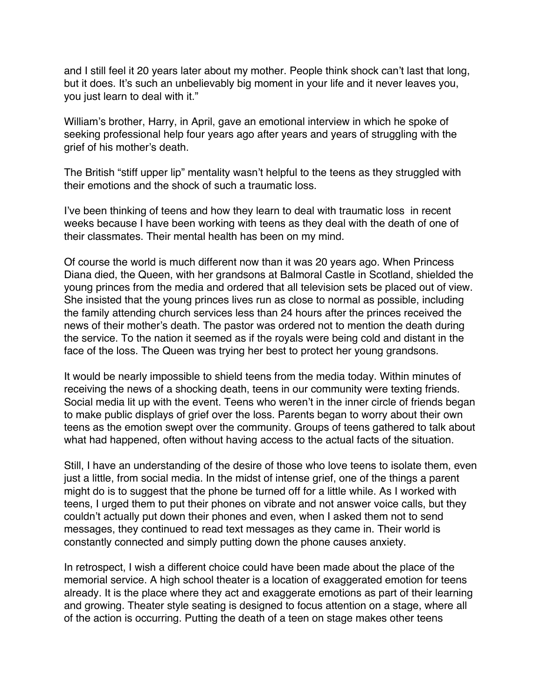and I still feel it 20 years later about my mother. People think shock can't last that long, but it does. It's such an unbelievably big moment in your life and it never leaves you, you just learn to deal with it."

William's brother, Harry, in April, gave an emotional interview in which he spoke of seeking professional help four years ago after years and years of struggling with the grief of his mother's death.

The British "stiff upper lip" mentality wasn't helpful to the teens as they struggled with their emotions and the shock of such a traumatic loss.

I've been thinking of teens and how they learn to deal with traumatic loss in recent weeks because I have been working with teens as they deal with the death of one of their classmates. Their mental health has been on my mind.

Of course the world is much different now than it was 20 years ago. When Princess Diana died, the Queen, with her grandsons at Balmoral Castle in Scotland, shielded the young princes from the media and ordered that all television sets be placed out of view. She insisted that the young princes lives run as close to normal as possible, including the family attending church services less than 24 hours after the princes received the news of their mother's death. The pastor was ordered not to mention the death during the service. To the nation it seemed as if the royals were being cold and distant in the face of the loss. The Queen was trying her best to protect her young grandsons.

It would be nearly impossible to shield teens from the media today. Within minutes of receiving the news of a shocking death, teens in our community were texting friends. Social media lit up with the event. Teens who weren't in the inner circle of friends began to make public displays of grief over the loss. Parents began to worry about their own teens as the emotion swept over the community. Groups of teens gathered to talk about what had happened, often without having access to the actual facts of the situation.

Still, I have an understanding of the desire of those who love teens to isolate them, even just a little, from social media. In the midst of intense grief, one of the things a parent might do is to suggest that the phone be turned off for a little while. As I worked with teens, I urged them to put their phones on vibrate and not answer voice calls, but they couldn't actually put down their phones and even, when I asked them not to send messages, they continued to read text messages as they came in. Their world is constantly connected and simply putting down the phone causes anxiety.

In retrospect, I wish a different choice could have been made about the place of the memorial service. A high school theater is a location of exaggerated emotion for teens already. It is the place where they act and exaggerate emotions as part of their learning and growing. Theater style seating is designed to focus attention on a stage, where all of the action is occurring. Putting the death of a teen on stage makes other teens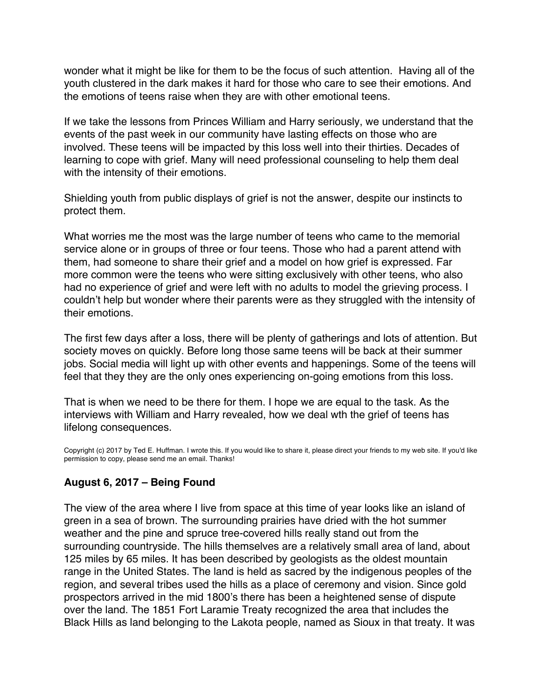<span id="page-11-0"></span>wonder what it might be like for them to be the focus of such attention. Having all of the youth clustered in the dark makes it hard for those who care to see their emotions. And the emotions of teens raise when they are with other emotional teens.

If we take the lessons from Princes William and Harry seriously, we understand that the events of the past week in our community have lasting effects on those who are involved. These teens will be impacted by this loss well into their thirties. Decades of learning to cope with grief. Many will need professional counseling to help them deal with the intensity of their emotions.

Shielding youth from public displays of grief is not the answer, despite our instincts to protect them.

What worries me the most was the large number of teens who came to the memorial service alone or in groups of three or four teens. Those who had a parent attend with them, had someone to share their grief and a model on how grief is expressed. Far more common were the teens who were sitting exclusively with other teens, who also had no experience of grief and were left with no adults to model the grieving process. I couldn't help but wonder where their parents were as they struggled with the intensity of their emotions.

The first few days after a loss, there will be plenty of gatherings and lots of attention. But society moves on quickly. Before long those same teens will be back at their summer jobs. Social media will light up with other events and happenings. Some of the teens will feel that they they are the only ones experiencing on-going emotions from this loss.

That is when we need to be there for them. I hope we are equal to the task. As the interviews with William and Harry revealed, how we deal wth the grief of teens has lifelong consequences.

Copyright (c) 2017 by Ted E. Huffman. I wrote this. If you would like to share it, please direct your friends to my web site. If you'd like permission to copy, please send me an email. Thanks!

# **August 6, 2017 – Being Found**

The view of the area where I live from space at this time of year looks like an island of green in a sea of brown. The surrounding prairies have dried with the hot summer weather and the pine and spruce tree-covered hills really stand out from the surrounding countryside. The hills themselves are a relatively small area of land, about 125 miles by 65 miles. It has been described by geologists as the oldest mountain range in the United States. The land is held as sacred by the indigenous peoples of the region, and several tribes used the hills as a place of ceremony and vision. Since gold prospectors arrived in the mid 1800's there has been a heightened sense of dispute over the land. The 1851 Fort Laramie Treaty recognized the area that includes the Black Hills as land belonging to the Lakota people, named as Sioux in that treaty. It was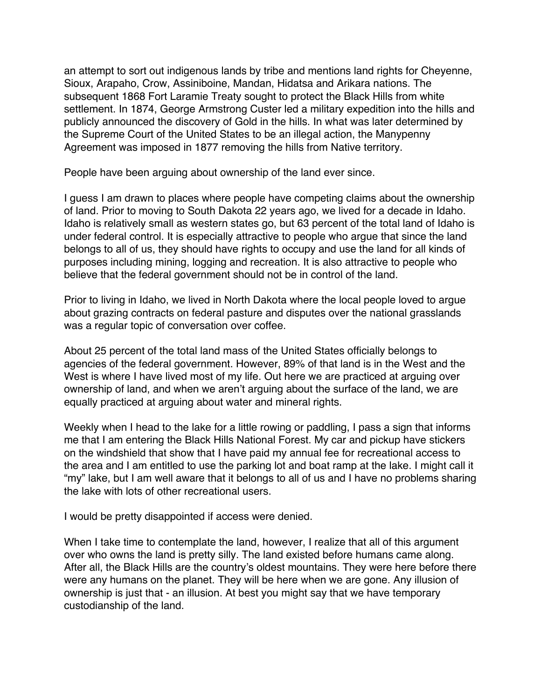an attempt to sort out indigenous lands by tribe and mentions land rights for Cheyenne, Sioux, Arapaho, Crow, Assiniboine, Mandan, Hidatsa and Arikara nations. The subsequent 1868 Fort Laramie Treaty sought to protect the Black Hills from white settlement. In 1874, George Armstrong Custer led a military expedition into the hills and publicly announced the discovery of Gold in the hills. In what was later determined by the Supreme Court of the United States to be an illegal action, the Manypenny Agreement was imposed in 1877 removing the hills from Native territory.

People have been arguing about ownership of the land ever since.

I guess I am drawn to places where people have competing claims about the ownership of land. Prior to moving to South Dakota 22 years ago, we lived for a decade in Idaho. Idaho is relatively small as western states go, but 63 percent of the total land of Idaho is under federal control. It is especially attractive to people who argue that since the land belongs to all of us, they should have rights to occupy and use the land for all kinds of purposes including mining, logging and recreation. It is also attractive to people who believe that the federal government should not be in control of the land.

Prior to living in Idaho, we lived in North Dakota where the local people loved to argue about grazing contracts on federal pasture and disputes over the national grasslands was a regular topic of conversation over coffee.

About 25 percent of the total land mass of the United States officially belongs to agencies of the federal government. However, 89% of that land is in the West and the West is where I have lived most of my life. Out here we are practiced at arguing over ownership of land, and when we aren't arguing about the surface of the land, we are equally practiced at arguing about water and mineral rights.

Weekly when I head to the lake for a little rowing or paddling, I pass a sign that informs me that I am entering the Black Hills National Forest. My car and pickup have stickers on the windshield that show that I have paid my annual fee for recreational access to the area and I am entitled to use the parking lot and boat ramp at the lake. I might call it "my" lake, but I am well aware that it belongs to all of us and I have no problems sharing the lake with lots of other recreational users.

I would be pretty disappointed if access were denied.

When I take time to contemplate the land, however, I realize that all of this argument over who owns the land is pretty silly. The land existed before humans came along. After all, the Black Hills are the country's oldest mountains. They were here before there were any humans on the planet. They will be here when we are gone. Any illusion of ownership is just that - an illusion. At best you might say that we have temporary custodianship of the land.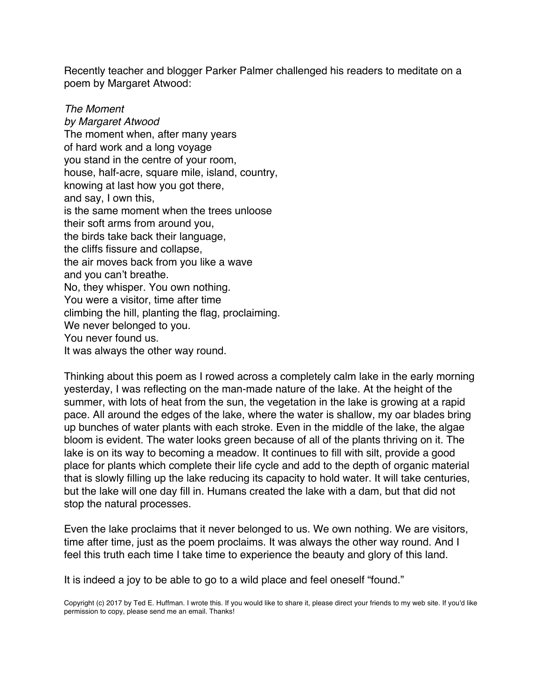Recently teacher and blogger Parker Palmer challenged his readers to meditate on a poem by Margaret Atwood:

*The Moment by Margaret Atwood*  The moment when, after many years of hard work and a long voyage you stand in the centre of your room, house, half-acre, square mile, island, country, knowing at last how you got there, and say, I own this, is the same moment when the trees unloose their soft arms from around you, the birds take back their language, the cliffs fissure and collapse, the air moves back from you like a wave and you can't breathe. No, they whisper. You own nothing. You were a visitor, time after time climbing the hill, planting the flag, proclaiming. We never belonged to you. You never found us. It was always the other way round.

Thinking about this poem as I rowed across a completely calm lake in the early morning yesterday, I was reflecting on the man-made nature of the lake. At the height of the summer, with lots of heat from the sun, the vegetation in the lake is growing at a rapid pace. All around the edges of the lake, where the water is shallow, my oar blades bring up bunches of water plants with each stroke. Even in the middle of the lake, the algae bloom is evident. The water looks green because of all of the plants thriving on it. The lake is on its way to becoming a meadow. It continues to fill with silt, provide a good place for plants which complete their life cycle and add to the depth of organic material that is slowly filling up the lake reducing its capacity to hold water. It will take centuries, but the lake will one day fill in. Humans created the lake with a dam, but that did not stop the natural processes.

Even the lake proclaims that it never belonged to us. We own nothing. We are visitors, time after time, just as the poem proclaims. It was always the other way round. And I feel this truth each time I take time to experience the beauty and glory of this land.

It is indeed a joy to be able to go to a wild place and feel oneself "found."

Copyright (c) 2017 by Ted E. Huffman. I wrote this. If you would like to share it, please direct your friends to my web site. If you'd like permission to copy, please send me an email. Thanks!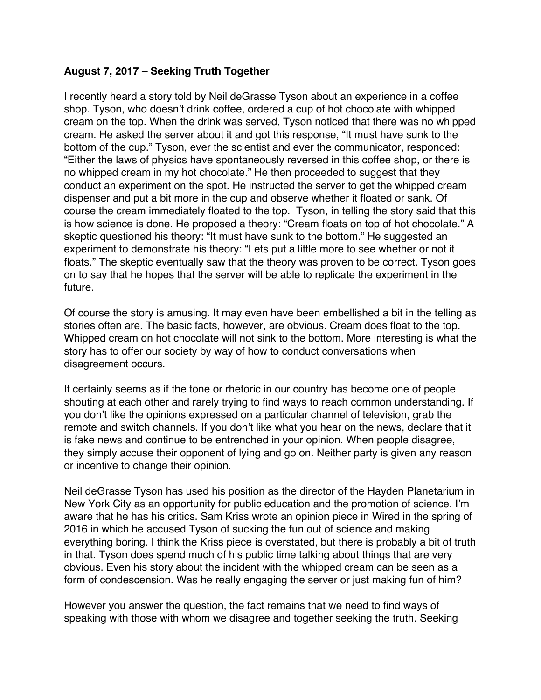## <span id="page-14-0"></span>**August 7, 2017 – Seeking Truth Together**

I recently heard a story told by Neil deGrasse Tyson about an experience in a coffee shop. Tyson, who doesn't drink coffee, ordered a cup of hot chocolate with whipped cream on the top. When the drink was served, Tyson noticed that there was no whipped cream. He asked the server about it and got this response, "It must have sunk to the bottom of the cup." Tyson, ever the scientist and ever the communicator, responded: "Either the laws of physics have spontaneously reversed in this coffee shop, or there is no whipped cream in my hot chocolate." He then proceeded to suggest that they conduct an experiment on the spot. He instructed the server to get the whipped cream dispenser and put a bit more in the cup and observe whether it floated or sank. Of course the cream immediately floated to the top. Tyson, in telling the story said that this is how science is done. He proposed a theory: "Cream floats on top of hot chocolate." A skeptic questioned his theory: "It must have sunk to the bottom." He suggested an experiment to demonstrate his theory: "Lets put a little more to see whether or not it floats." The skeptic eventually saw that the theory was proven to be correct. Tyson goes on to say that he hopes that the server will be able to replicate the experiment in the future.

Of course the story is amusing. It may even have been embellished a bit in the telling as stories often are. The basic facts, however, are obvious. Cream does float to the top. Whipped cream on hot chocolate will not sink to the bottom. More interesting is what the story has to offer our society by way of how to conduct conversations when disagreement occurs.

It certainly seems as if the tone or rhetoric in our country has become one of people shouting at each other and rarely trying to find ways to reach common understanding. If you don't like the opinions expressed on a particular channel of television, grab the remote and switch channels. If you don't like what you hear on the news, declare that it is fake news and continue to be entrenched in your opinion. When people disagree, they simply accuse their opponent of lying and go on. Neither party is given any reason or incentive to change their opinion.

Neil deGrasse Tyson has used his position as the director of the Hayden Planetarium in New York City as an opportunity for public education and the promotion of science. I'm aware that he has his critics. Sam Kriss wrote an opinion piece in Wired in the spring of 2016 in which he accused Tyson of sucking the fun out of science and making everything boring. I think the Kriss piece is overstated, but there is probably a bit of truth in that. Tyson does spend much of his public time talking about things that are very obvious. Even his story about the incident with the whipped cream can be seen as a form of condescension. Was he really engaging the server or just making fun of him?

However you answer the question, the fact remains that we need to find ways of speaking with those with whom we disagree and together seeking the truth. Seeking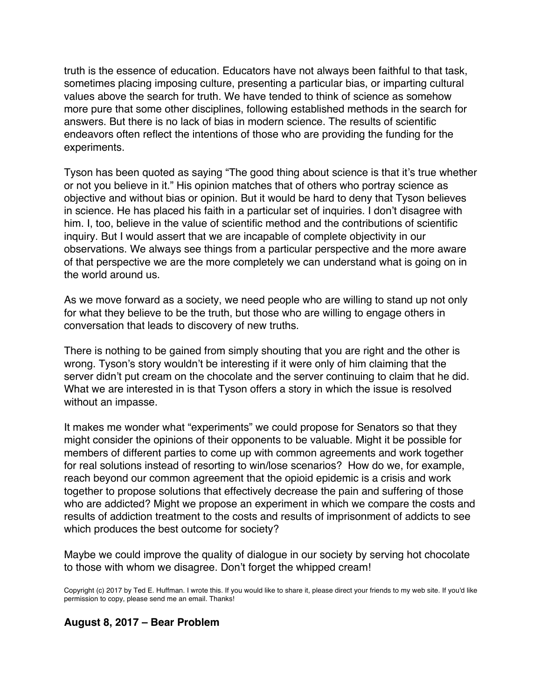truth is the essence of education. Educators have not always been faithful to that task, sometimes placing imposing culture, presenting a particular bias, or imparting cultural values above the search for truth. We have tended to think of science as somehow more pure that some other disciplines, following established methods in the search for answers. But there is no lack of bias in modern science. The results of scientific endeavors often reflect the intentions of those who are providing the funding for the experiments.

Tyson has been quoted as saying "The good thing about science is that it's true whether or not you believe in it." His opinion matches that of others who portray science as objective and without bias or opinion. But it would be hard to deny that Tyson believes in science. He has placed his faith in a particular set of inquiries. I don't disagree with him. I, too, believe in the value of scientific method and the contributions of scientific inquiry. But I would assert that we are incapable of complete objectivity in our observations. We always see things from a particular perspective and the more aware of that perspective we are the more completely we can understand what is going on in the world around us.

As we move forward as a society, we need people who are willing to stand up not only for what they believe to be the truth, but those who are willing to engage others in conversation that leads to discovery of new truths.

There is nothing to be gained from simply shouting that you are right and the other is wrong. Tyson's story wouldn't be interesting if it were only of him claiming that the server didn't put cream on the chocolate and the server continuing to claim that he did. What we are interested in is that Tyson offers a story in which the issue is resolved without an impasse.

It makes me wonder what "experiments" we could propose for Senators so that they might consider the opinions of their opponents to be valuable. Might it be possible for members of different parties to come up with common agreements and work together for real solutions instead of resorting to win/lose scenarios? How do we, for example, reach beyond our common agreement that the opioid epidemic is a crisis and work together to propose solutions that effectively decrease the pain and suffering of those who are addicted? Might we propose an experiment in which we compare the costs and results of addiction treatment to the costs and results of imprisonment of addicts to see which produces the best outcome for society?

Maybe we could improve the quality of dialogue in our society by serving hot chocolate to those with whom we disagree. Don't forget the whipped cream!

Copyright (c) 2017 by Ted E. Huffman. I wrote this. If you would like to share it, please direct your friends to my web site. If you'd like permission to copy, please send me an email. Thanks!

#### **August 8, 2017 – Bear Problem**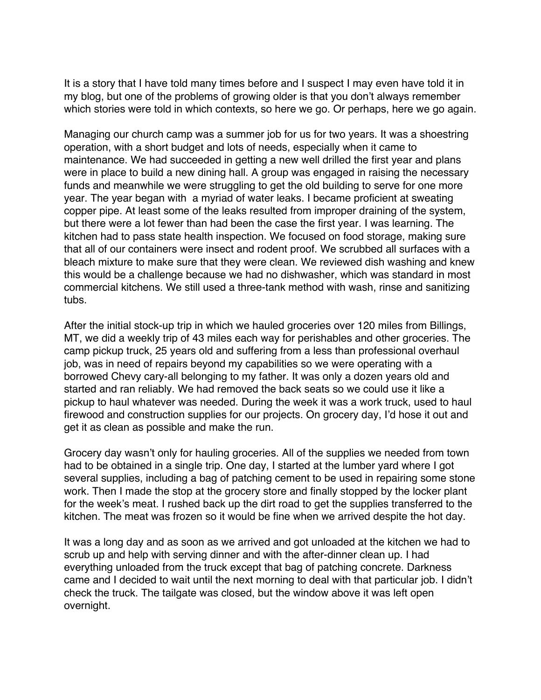<span id="page-16-0"></span>It is a story that I have told many times before and I suspect I may even have told it in my blog, but one of the problems of growing older is that you don't always remember which stories were told in which contexts, so here we go. Or perhaps, here we go again.

Managing our church camp was a summer job for us for two years. It was a shoestring operation, with a short budget and lots of needs, especially when it came to maintenance. We had succeeded in getting a new well drilled the first year and plans were in place to build a new dining hall. A group was engaged in raising the necessary funds and meanwhile we were struggling to get the old building to serve for one more year. The year began with a myriad of water leaks. I became proficient at sweating copper pipe. At least some of the leaks resulted from improper draining of the system, but there were a lot fewer than had been the case the first year. I was learning. The kitchen had to pass state health inspection. We focused on food storage, making sure that all of our containers were insect and rodent proof. We scrubbed all surfaces with a bleach mixture to make sure that they were clean. We reviewed dish washing and knew this would be a challenge because we had no dishwasher, which was standard in most commercial kitchens. We still used a three-tank method with wash, rinse and sanitizing tubs.

After the initial stock-up trip in which we hauled groceries over 120 miles from Billings, MT, we did a weekly trip of 43 miles each way for perishables and other groceries. The camp pickup truck, 25 years old and suffering from a less than professional overhaul job, was in need of repairs beyond my capabilities so we were operating with a borrowed Chevy cary-all belonging to my father. It was only a dozen years old and started and ran reliably. We had removed the back seats so we could use it like a pickup to haul whatever was needed. During the week it was a work truck, used to haul firewood and construction supplies for our projects. On grocery day, I'd hose it out and get it as clean as possible and make the run.

Grocery day wasn't only for hauling groceries. All of the supplies we needed from town had to be obtained in a single trip. One day, I started at the lumber yard where I got several supplies, including a bag of patching cement to be used in repairing some stone work. Then I made the stop at the grocery store and finally stopped by the locker plant for the week's meat. I rushed back up the dirt road to get the supplies transferred to the kitchen. The meat was frozen so it would be fine when we arrived despite the hot day.

It was a long day and as soon as we arrived and got unloaded at the kitchen we had to scrub up and help with serving dinner and with the after-dinner clean up. I had everything unloaded from the truck except that bag of patching concrete. Darkness came and I decided to wait until the next morning to deal with that particular job. I didn't check the truck. The tailgate was closed, but the window above it was left open overnight.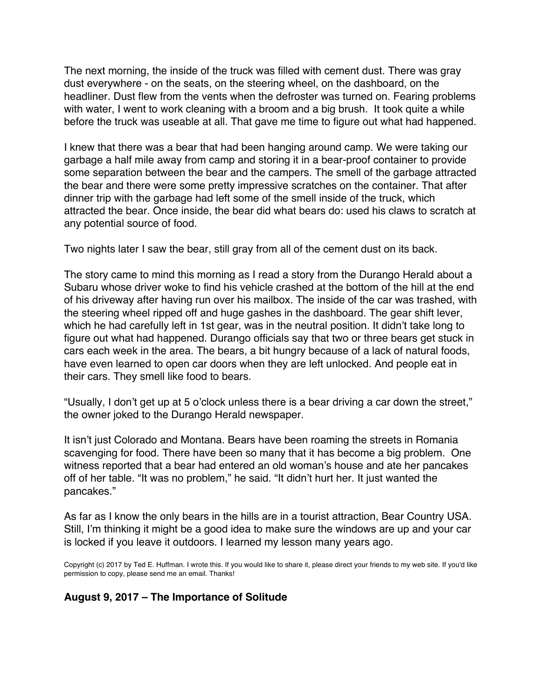The next morning, the inside of the truck was filled with cement dust. There was gray dust everywhere - on the seats, on the steering wheel, on the dashboard, on the headliner. Dust flew from the vents when the defroster was turned on. Fearing problems with water, I went to work cleaning with a broom and a big brush. It took quite a while before the truck was useable at all. That gave me time to figure out what had happened.

I knew that there was a bear that had been hanging around camp. We were taking our garbage a half mile away from camp and storing it in a bear-proof container to provide some separation between the bear and the campers. The smell of the garbage attracted the bear and there were some pretty impressive scratches on the container. That after dinner trip with the garbage had left some of the smell inside of the truck, which attracted the bear. Once inside, the bear did what bears do: used his claws to scratch at any potential source of food.

Two nights later I saw the bear, still gray from all of the cement dust on its back.

The story came to mind this morning as I read a story from the Durango Herald about a Subaru whose driver woke to find his vehicle crashed at the bottom of the hill at the end of his driveway after having run over his mailbox. The inside of the car was trashed, with the steering wheel ripped off and huge gashes in the dashboard. The gear shift lever, which he had carefully left in 1st gear, was in the neutral position. It didn't take long to figure out what had happened. Durango officials say that two or three bears get stuck in cars each week in the area. The bears, a bit hungry because of a lack of natural foods, have even learned to open car doors when they are left unlocked. And people eat in their cars. They smell like food to bears.

"Usually, I don't get up at 5 o'clock unless there is a bear driving a car down the street," the owner joked to the Durango Herald newspaper.

It isn't just Colorado and Montana. Bears have been roaming the streets in Romania scavenging for food. There have been so many that it has become a big problem. One witness reported that a bear had entered an old woman's house and ate her pancakes off of her table. "It was no problem," he said. "It didn't hurt her. It just wanted the pancakes."

As far as I know the only bears in the hills are in a tourist attraction, Bear Country USA. Still, I'm thinking it might be a good idea to make sure the windows are up and your car is locked if you leave it outdoors. I learned my lesson many years ago.

Copyright (c) 2017 by Ted E. Huffman. I wrote this. If you would like to share it, please direct your friends to my web site. If you'd like permission to copy, please send me an email. Thanks!

### **August 9, 2017 – The Importance of Solitude**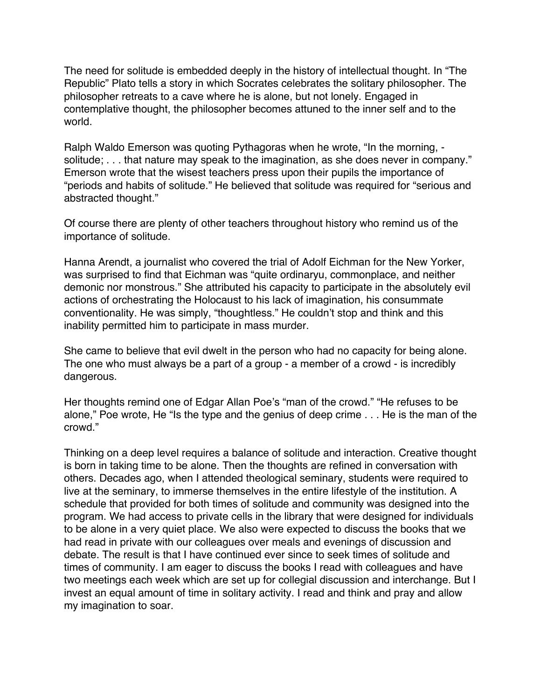<span id="page-18-0"></span>The need for solitude is embedded deeply in the history of intellectual thought. In "The Republic" Plato tells a story in which Socrates celebrates the solitary philosopher. The philosopher retreats to a cave where he is alone, but not lonely. Engaged in contemplative thought, the philosopher becomes attuned to the inner self and to the world.

Ralph Waldo Emerson was quoting Pythagoras when he wrote, "In the morning, solitude; . . . that nature may speak to the imagination, as she does never in company." Emerson wrote that the wisest teachers press upon their pupils the importance of "periods and habits of solitude." He believed that solitude was required for "serious and abstracted thought."

Of course there are plenty of other teachers throughout history who remind us of the importance of solitude.

Hanna Arendt, a journalist who covered the trial of Adolf Eichman for the New Yorker, was surprised to find that Eichman was "quite ordinaryu, commonplace, and neither demonic nor monstrous." She attributed his capacity to participate in the absolutely evil actions of orchestrating the Holocaust to his lack of imagination, his consummate conventionality. He was simply, "thoughtless." He couldn't stop and think and this inability permitted him to participate in mass murder.

She came to believe that evil dwelt in the person who had no capacity for being alone. The one who must always be a part of a group - a member of a crowd - is incredibly dangerous.

Her thoughts remind one of Edgar Allan Poe's "man of the crowd." "He refuses to be alone," Poe wrote, He "Is the type and the genius of deep crime . . . He is the man of the crowd."

Thinking on a deep level requires a balance of solitude and interaction. Creative thought is born in taking time to be alone. Then the thoughts are refined in conversation with others. Decades ago, when I attended theological seminary, students were required to live at the seminary, to immerse themselves in the entire lifestyle of the institution. A schedule that provided for both times of solitude and community was designed into the program. We had access to private cells in the library that were designed for individuals to be alone in a very quiet place. We also were expected to discuss the books that we had read in private with our colleagues over meals and evenings of discussion and debate. The result is that I have continued ever since to seek times of solitude and times of community. I am eager to discuss the books I read with colleagues and have two meetings each week which are set up for collegial discussion and interchange. But I invest an equal amount of time in solitary activity. I read and think and pray and allow my imagination to soar.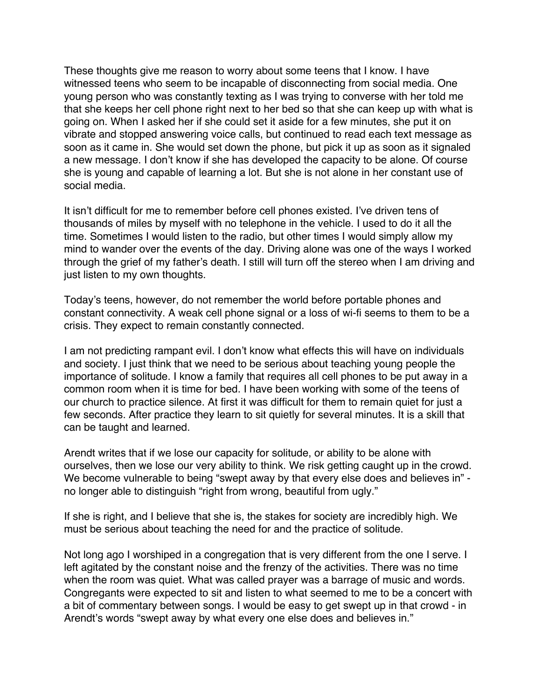These thoughts give me reason to worry about some teens that I know. I have witnessed teens who seem to be incapable of disconnecting from social media. One young person who was constantly texting as I was trying to converse with her told me that she keeps her cell phone right next to her bed so that she can keep up with what is going on. When I asked her if she could set it aside for a few minutes, she put it on vibrate and stopped answering voice calls, but continued to read each text message as soon as it came in. She would set down the phone, but pick it up as soon as it signaled a new message. I don't know if she has developed the capacity to be alone. Of course she is young and capable of learning a lot. But she is not alone in her constant use of social media.

It isn't difficult for me to remember before cell phones existed. I've driven tens of thousands of miles by myself with no telephone in the vehicle. I used to do it all the time. Sometimes I would listen to the radio, but other times I would simply allow my mind to wander over the events of the day. Driving alone was one of the ways I worked through the grief of my father's death. I still will turn off the stereo when I am driving and just listen to my own thoughts.

Today's teens, however, do not remember the world before portable phones and constant connectivity. A weak cell phone signal or a loss of wi-fi seems to them to be a crisis. They expect to remain constantly connected.

I am not predicting rampant evil. I don't know what effects this will have on individuals and society. I just think that we need to be serious about teaching young people the importance of solitude. I know a family that requires all cell phones to be put away in a common room when it is time for bed. I have been working with some of the teens of our church to practice silence. At first it was difficult for them to remain quiet for just a few seconds. After practice they learn to sit quietly for several minutes. It is a skill that can be taught and learned.

Arendt writes that if we lose our capacity for solitude, or ability to be alone with ourselves, then we lose our very ability to think. We risk getting caught up in the crowd. We become vulnerable to being "swept away by that every else does and believes in" no longer able to distinguish "right from wrong, beautiful from ugly."

If she is right, and I believe that she is, the stakes for society are incredibly high. We must be serious about teaching the need for and the practice of solitude.

Not long ago I worshiped in a congregation that is very different from the one I serve. I left agitated by the constant noise and the frenzy of the activities. There was no time when the room was quiet. What was called prayer was a barrage of music and words. Congregants were expected to sit and listen to what seemed to me to be a concert with a bit of commentary between songs. I would be easy to get swept up in that crowd - in Arendt's words "swept away by what every one else does and believes in."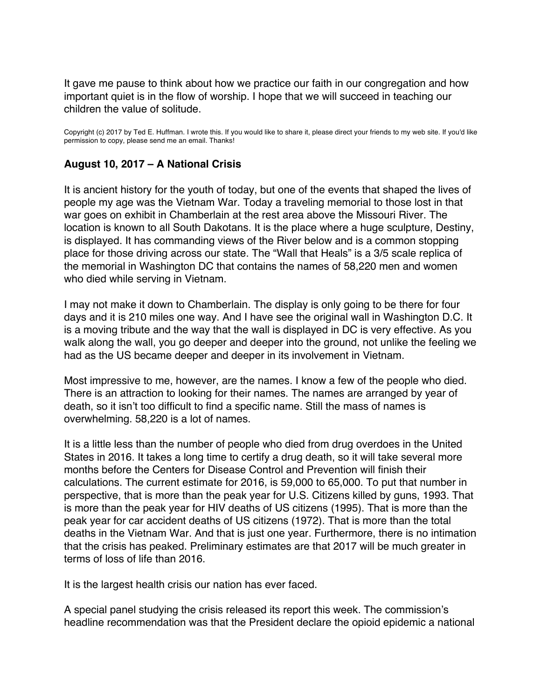<span id="page-20-0"></span>It gave me pause to think about how we practice our faith in our congregation and how important quiet is in the flow of worship. I hope that we will succeed in teaching our children the value of solitude.

Copyright (c) 2017 by Ted E. Huffman. I wrote this. If you would like to share it, please direct your friends to my web site. If you'd like permission to copy, please send me an email. Thanks!

### **August 10, 2017 – A National Crisis**

It is ancient history for the youth of today, but one of the events that shaped the lives of people my age was the Vietnam War. Today a traveling memorial to those lost in that war goes on exhibit in Chamberlain at the rest area above the Missouri River. The location is known to all South Dakotans. It is the place where a huge sculpture, Destiny, is displayed. It has commanding views of the River below and is a common stopping place for those driving across our state. The "Wall that Heals" is a 3/5 scale replica of the memorial in Washington DC that contains the names of 58,220 men and women who died while serving in Vietnam.

I may not make it down to Chamberlain. The display is only going to be there for four days and it is 210 miles one way. And I have see the original wall in Washington D.C. It is a moving tribute and the way that the wall is displayed in DC is very effective. As you walk along the wall, you go deeper and deeper into the ground, not unlike the feeling we had as the US became deeper and deeper in its involvement in Vietnam.

Most impressive to me, however, are the names. I know a few of the people who died. There is an attraction to looking for their names. The names are arranged by year of death, so it isn't too difficult to find a specific name. Still the mass of names is overwhelming. 58,220 is a lot of names.

It is a little less than the number of people who died from drug overdoes in the United States in 2016. It takes a long time to certify a drug death, so it will take several more months before the Centers for Disease Control and Prevention will finish their calculations. The current estimate for 2016, is 59,000 to 65,000. To put that number in perspective, that is more than the peak year for U.S. Citizens killed by guns, 1993. That is more than the peak year for HIV deaths of US citizens (1995). That is more than the peak year for car accident deaths of US citizens (1972). That is more than the total deaths in the Vietnam War. And that is just one year. Furthermore, there is no intimation that the crisis has peaked. Preliminary estimates are that 2017 will be much greater in terms of loss of life than 2016.

It is the largest health crisis our nation has ever faced.

A special panel studying the crisis released its report this week. The commission's headline recommendation was that the President declare the opioid epidemic a national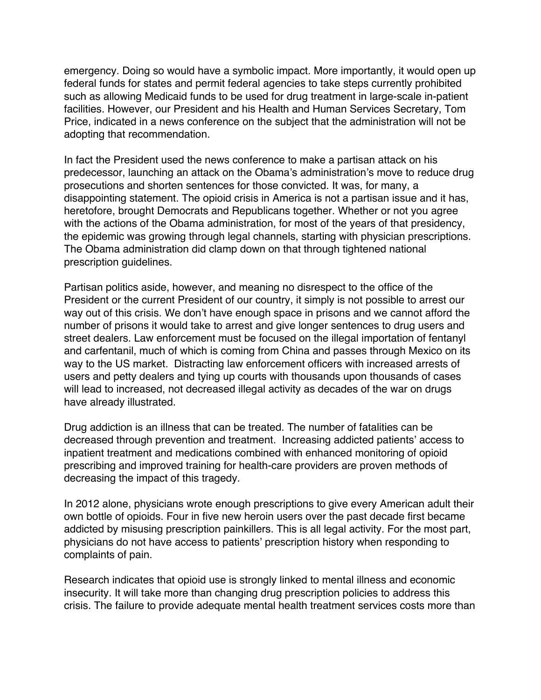emergency. Doing so would have a symbolic impact. More importantly, it would open up federal funds for states and permit federal agencies to take steps currently prohibited such as allowing Medicaid funds to be used for drug treatment in large-scale in-patient facilities. However, our President and his Health and Human Services Secretary, Tom Price, indicated in a news conference on the subject that the administration will not be adopting that recommendation.

In fact the President used the news conference to make a partisan attack on his predecessor, launching an attack on the Obama's administration's move to reduce drug prosecutions and shorten sentences for those convicted. It was, for many, a disappointing statement. The opioid crisis in America is not a partisan issue and it has, heretofore, brought Democrats and Republicans together. Whether or not you agree with the actions of the Obama administration, for most of the years of that presidency, the epidemic was growing through legal channels, starting with physician prescriptions. The Obama administration did clamp down on that through tightened national prescription guidelines.

Partisan politics aside, however, and meaning no disrespect to the office of the President or the current President of our country, it simply is not possible to arrest our way out of this crisis. We don't have enough space in prisons and we cannot afford the number of prisons it would take to arrest and give longer sentences to drug users and street dealers. Law enforcement must be focused on the illegal importation of fentanyl and carfentanil, much of which is coming from China and passes through Mexico on its way to the US market. Distracting law enforcement officers with increased arrests of users and petty dealers and tying up courts with thousands upon thousands of cases will lead to increased, not decreased illegal activity as decades of the war on drugs have already illustrated.

Drug addiction is an illness that can be treated. The number of fatalities can be decreased through prevention and treatment. Increasing addicted patients' access to inpatient treatment and medications combined with enhanced monitoring of opioid prescribing and improved training for health-care providers are proven methods of decreasing the impact of this tragedy.

In 2012 alone, physicians wrote enough prescriptions to give every American adult their own bottle of opioids. Four in five new heroin users over the past decade first became addicted by misusing prescription painkillers. This is all legal activity. For the most part, physicians do not have access to patients' prescription history when responding to complaints of pain.

Research indicates that opioid use is strongly linked to mental illness and economic insecurity. It will take more than changing drug prescription policies to address this crisis. The failure to provide adequate mental health treatment services costs more than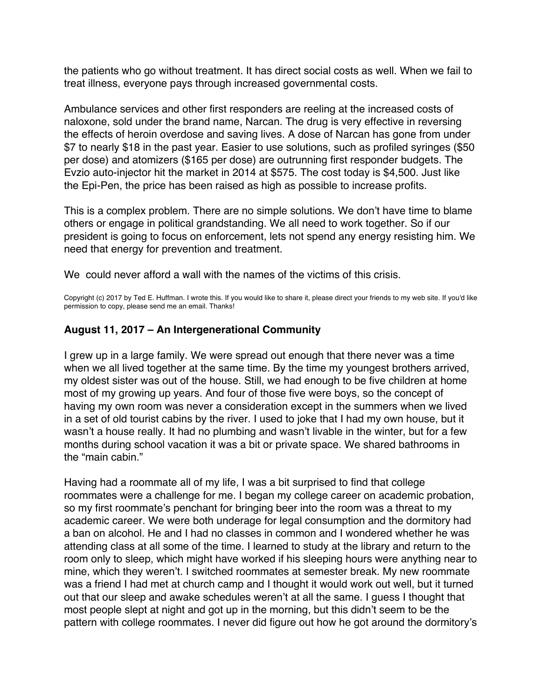<span id="page-22-0"></span>the patients who go without treatment. It has direct social costs as well. When we fail to treat illness, everyone pays through increased governmental costs.

Ambulance services and other first responders are reeling at the increased costs of naloxone, sold under the brand name, Narcan. The drug is very effective in reversing the effects of heroin overdose and saving lives. A dose of Narcan has gone from under \$7 to nearly \$18 in the past year. Easier to use solutions, such as profiled syringes (\$50 per dose) and atomizers (\$165 per dose) are outrunning first responder budgets. The Evzio auto-injector hit the market in 2014 at \$575. The cost today is \$4,500. Just like the Epi-Pen, the price has been raised as high as possible to increase profits.

This is a complex problem. There are no simple solutions. We don't have time to blame others or engage in political grandstanding. We all need to work together. So if our president is going to focus on enforcement, lets not spend any energy resisting him. We need that energy for prevention and treatment.

We could never afford a wall with the names of the victims of this crisis.

Copyright (c) 2017 by Ted E. Huffman. I wrote this. If you would like to share it, please direct your friends to my web site. If you'd like permission to copy, please send me an email. Thanks!

## **August 11, 2017 – An Intergenerational Community**

I grew up in a large family. We were spread out enough that there never was a time when we all lived together at the same time. By the time my youngest brothers arrived, my oldest sister was out of the house. Still, we had enough to be five children at home most of my growing up years. And four of those five were boys, so the concept of having my own room was never a consideration except in the summers when we lived in a set of old tourist cabins by the river. I used to joke that I had my own house, but it wasn't a house really. It had no plumbing and wasn't livable in the winter, but for a few months during school vacation it was a bit or private space. We shared bathrooms in the "main cabin."

Having had a roommate all of my life, I was a bit surprised to find that college roommates were a challenge for me. I began my college career on academic probation, so my first roommate's penchant for bringing beer into the room was a threat to my academic career. We were both underage for legal consumption and the dormitory had a ban on alcohol. He and I had no classes in common and I wondered whether he was attending class at all some of the time. I learned to study at the library and return to the room only to sleep, which might have worked if his sleeping hours were anything near to mine, which they weren't. I switched roommates at semester break. My new roommate was a friend I had met at church camp and I thought it would work out well, but it turned out that our sleep and awake schedules weren't at all the same. I guess I thought that most people slept at night and got up in the morning, but this didn't seem to be the pattern with college roommates. I never did figure out how he got around the dormitory's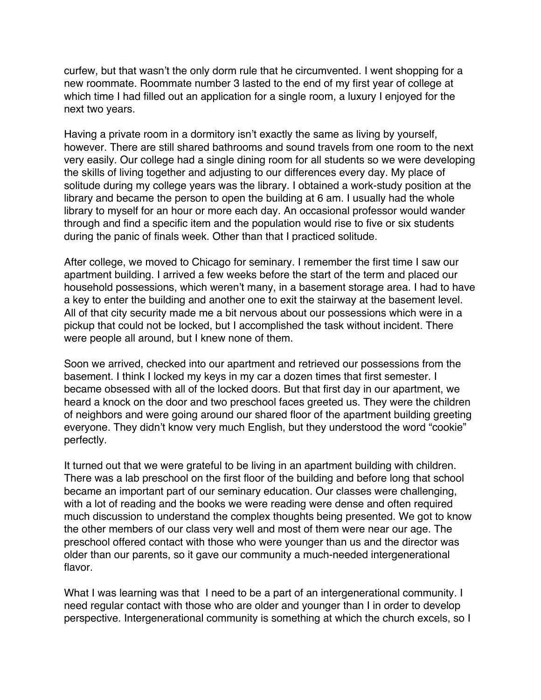curfew, but that wasn't the only dorm rule that he circumvented. I went shopping for a new roommate. Roommate number 3 lasted to the end of my first year of college at which time I had filled out an application for a single room, a luxury I enjoyed for the next two years.

Having a private room in a dormitory isn't exactly the same as living by yourself, however. There are still shared bathrooms and sound travels from one room to the next very easily. Our college had a single dining room for all students so we were developing the skills of living together and adjusting to our differences every day. My place of solitude during my college years was the library. I obtained a work-study position at the library and became the person to open the building at 6 am. I usually had the whole library to myself for an hour or more each day. An occasional professor would wander through and find a specific item and the population would rise to five or six students during the panic of finals week. Other than that I practiced solitude.

After college, we moved to Chicago for seminary. I remember the first time I saw our apartment building. I arrived a few weeks before the start of the term and placed our household possessions, which weren't many, in a basement storage area. I had to have a key to enter the building and another one to exit the stairway at the basement level. All of that city security made me a bit nervous about our possessions which were in a pickup that could not be locked, but I accomplished the task without incident. There were people all around, but I knew none of them.

Soon we arrived, checked into our apartment and retrieved our possessions from the basement. I think I locked my keys in my car a dozen times that first semester. I became obsessed with all of the locked doors. But that first day in our apartment, we heard a knock on the door and two preschool faces greeted us. They were the children of neighbors and were going around our shared floor of the apartment building greeting everyone. They didn't know very much English, but they understood the word "cookie" perfectly.

It turned out that we were grateful to be living in an apartment building with children. There was a lab preschool on the first floor of the building and before long that school became an important part of our seminary education. Our classes were challenging, with a lot of reading and the books we were reading were dense and often required much discussion to understand the complex thoughts being presented. We got to know the other members of our class very well and most of them were near our age. The preschool offered contact with those who were younger than us and the director was older than our parents, so it gave our community a much-needed intergenerational flavor.

What I was learning was that I need to be a part of an intergenerational community. I need regular contact with those who are older and younger than I in order to develop perspective. Intergenerational community is something at which the church excels, so I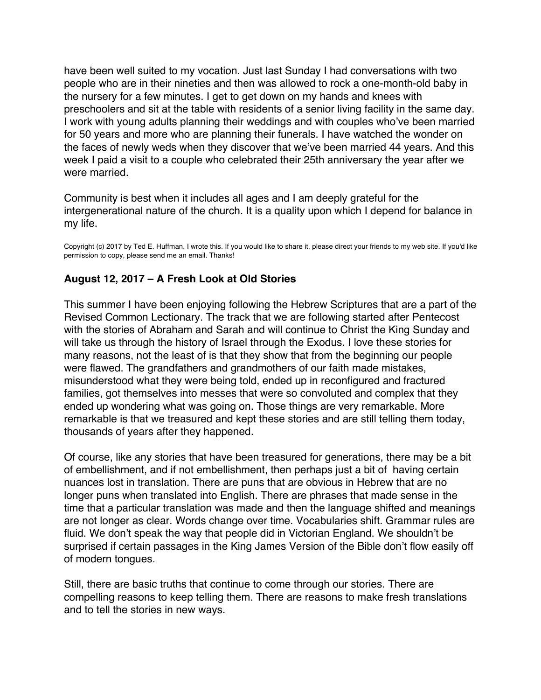<span id="page-24-0"></span>have been well suited to my vocation. Just last Sunday I had conversations with two people who are in their nineties and then was allowed to rock a one-month-old baby in the nursery for a few minutes. I get to get down on my hands and knees with preschoolers and sit at the table with residents of a senior living facility in the same day. I work with young adults planning their weddings and with couples who've been married for 50 years and more who are planning their funerals. I have watched the wonder on the faces of newly weds when they discover that we've been married 44 years. And this week I paid a visit to a couple who celebrated their 25th anniversary the year after we were married.

Community is best when it includes all ages and I am deeply grateful for the intergenerational nature of the church. It is a quality upon which I depend for balance in my life.

Copyright (c) 2017 by Ted E. Huffman. I wrote this. If you would like to share it, please direct your friends to my web site. If you'd like permission to copy, please send me an email. Thanks!

# **August 12, 2017 – A Fresh Look at Old Stories**

This summer I have been enjoying following the Hebrew Scriptures that are a part of the Revised Common Lectionary. The track that we are following started after Pentecost with the stories of Abraham and Sarah and will continue to Christ the King Sunday and will take us through the history of Israel through the Exodus. I love these stories for many reasons, not the least of is that they show that from the beginning our people were flawed. The grandfathers and grandmothers of our faith made mistakes, misunderstood what they were being told, ended up in reconfigured and fractured families, got themselves into messes that were so convoluted and complex that they ended up wondering what was going on. Those things are very remarkable. More remarkable is that we treasured and kept these stories and are still telling them today, thousands of years after they happened.

Of course, like any stories that have been treasured for generations, there may be a bit of embellishment, and if not embellishment, then perhaps just a bit of having certain nuances lost in translation. There are puns that are obvious in Hebrew that are no longer puns when translated into English. There are phrases that made sense in the time that a particular translation was made and then the language shifted and meanings are not longer as clear. Words change over time. Vocabularies shift. Grammar rules are fluid. We don't speak the way that people did in Victorian England. We shouldn't be surprised if certain passages in the King James Version of the Bible don't flow easily off of modern tongues.

Still, there are basic truths that continue to come through our stories. There are compelling reasons to keep telling them. There are reasons to make fresh translations and to tell the stories in new ways.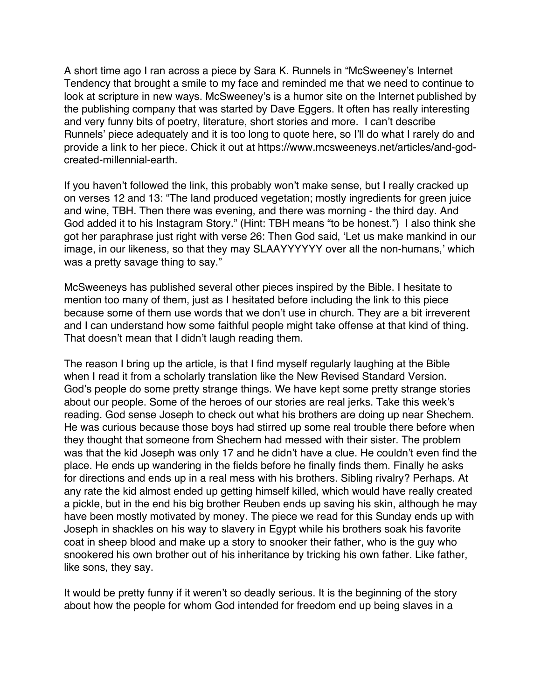A short time ago I ran across a piece by Sara K. Runnels in "McSweeney's Internet Tendency that brought a smile to my face and reminded me that we need to continue to look at scripture in new ways. McSweeney's is a humor site on the Internet published by the publishing company that was started by Dave Eggers. It often has really interesting and very funny bits of poetry, literature, short stories and more. I can't describe Runnels' piece adequately and it is too long to quote here, so I'll do what I rarely do and provide a link to her piece. Chick it out at https://www.mcsweeneys.net/articles/and-godcreated-millennial-earth.

If you haven't followed the link, this probably won't make sense, but I really cracked up on verses 12 and 13: "The land produced vegetation; mostly ingredients for green juice and wine, TBH. Then there was evening, and there was morning - the third day. And God added it to his Instagram Story." (Hint: TBH means "to be honest.") I also think she got her paraphrase just right with verse 26: Then God said, 'Let us make mankind in our image, in our likeness, so that they may SLAAYYYYYY over all the non-humans,' which was a pretty savage thing to say."

McSweeneys has published several other pieces inspired by the Bible. I hesitate to mention too many of them, just as I hesitated before including the link to this piece because some of them use words that we don't use in church. They are a bit irreverent and I can understand how some faithful people might take offense at that kind of thing. That doesn't mean that I didn't laugh reading them.

The reason I bring up the article, is that I find myself regularly laughing at the Bible when I read it from a scholarly translation like the New Revised Standard Version. God's people do some pretty strange things. We have kept some pretty strange stories about our people. Some of the heroes of our stories are real jerks. Take this week's reading. God sense Joseph to check out what his brothers are doing up near Shechem. He was curious because those boys had stirred up some real trouble there before when they thought that someone from Shechem had messed with their sister. The problem was that the kid Joseph was only 17 and he didn't have a clue. He couldn't even find the place. He ends up wandering in the fields before he finally finds them. Finally he asks for directions and ends up in a real mess with his brothers. Sibling rivalry? Perhaps. At any rate the kid almost ended up getting himself killed, which would have really created a pickle, but in the end his big brother Reuben ends up saving his skin, although he may have been mostly motivated by money. The piece we read for this Sunday ends up with Joseph in shackles on his way to slavery in Egypt while his brothers soak his favorite coat in sheep blood and make up a story to snooker their father, who is the guy who snookered his own brother out of his inheritance by tricking his own father. Like father, like sons, they say.

It would be pretty funny if it weren't so deadly serious. It is the beginning of the story about how the people for whom God intended for freedom end up being slaves in a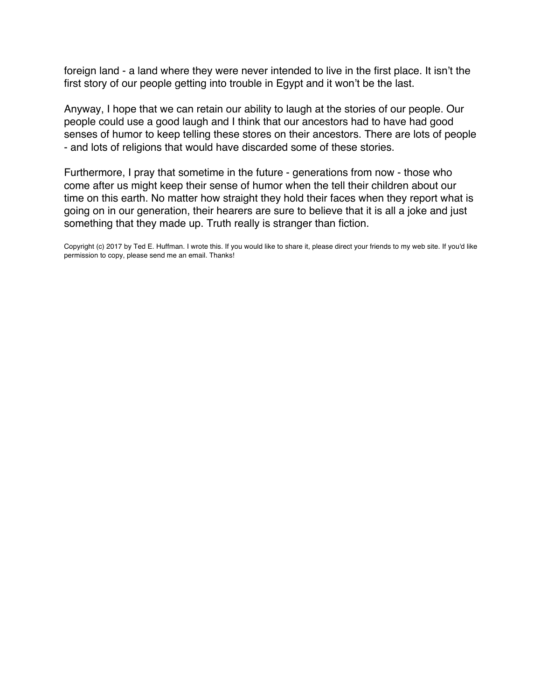foreign land - a land where they were never intended to live in the first place. It isn't the first story of our people getting into trouble in Egypt and it won't be the last.

Anyway, I hope that we can retain our ability to laugh at the stories of our people. Our people could use a good laugh and I think that our ancestors had to have had good senses of humor to keep telling these stores on their ancestors. There are lots of people - and lots of religions that would have discarded some of these stories.

Furthermore, I pray that sometime in the future - generations from now - those who come after us might keep their sense of humor when the tell their children about our time on this earth. No matter how straight they hold their faces when they report what is going on in our generation, their hearers are sure to believe that it is all a joke and just something that they made up. Truth really is stranger than fiction.

Copyright (c) 2017 by Ted E. Huffman. I wrote this. If you would like to share it, please direct your friends to my web site. If you'd like permission to copy, please send me an email. Thanks!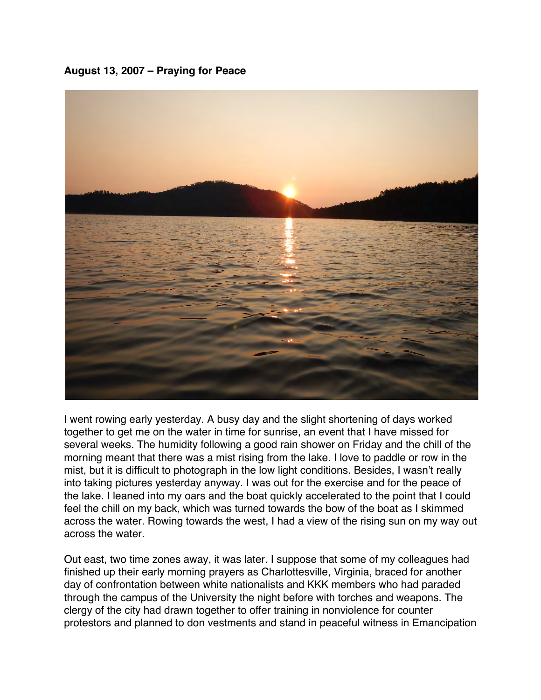<span id="page-27-0"></span>**August 13, 2007 – Praying for Peace**



I went rowing early yesterday. A busy day and the slight shortening of days worked together to get me on the water in time for sunrise, an event that I have missed for several weeks. The humidity following a good rain shower on Friday and the chill of the morning meant that there was a mist rising from the lake. I love to paddle or row in the mist, but it is difficult to photograph in the low light conditions. Besides, I wasn't really into taking pictures yesterday anyway. I was out for the exercise and for the peace of the lake. I leaned into my oars and the boat quickly accelerated to the point that I could feel the chill on my back, which was turned towards the bow of the boat as I skimmed across the water. Rowing towards the west, I had a view of the rising sun on my way out across the water.

Out east, two time zones away, it was later. I suppose that some of my colleagues had finished up their early morning prayers as Charlottesville, Virginia, braced for another day of confrontation between white nationalists and KKK members who had paraded through the campus of the University the night before with torches and weapons. The clergy of the city had drawn together to offer training in nonviolence for counter protestors and planned to don vestments and stand in peaceful witness in Emancipation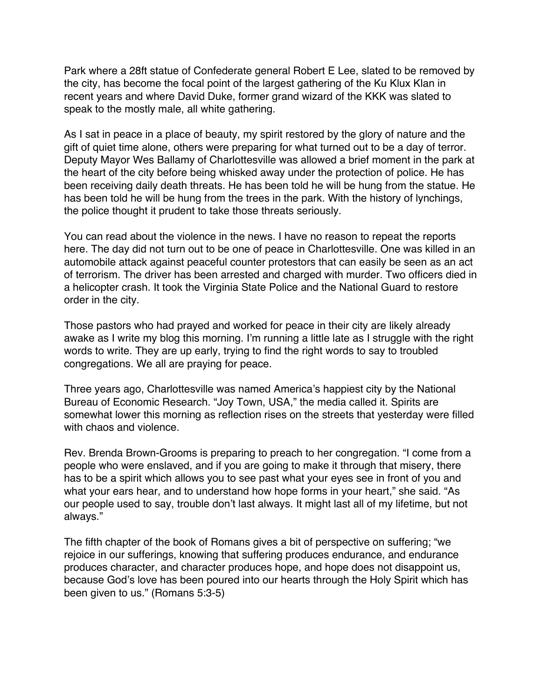Park where a 28ft statue of Confederate general Robert E Lee, slated to be removed by the city, has become the focal point of the largest gathering of the Ku Klux Klan in recent years and where David Duke, former grand wizard of the KKK was slated to speak to the mostly male, all white gathering.

As I sat in peace in a place of beauty, my spirit restored by the glory of nature and the gift of quiet time alone, others were preparing for what turned out to be a day of terror. Deputy Mayor Wes Ballamy of Charlottesville was allowed a brief moment in the park at the heart of the city before being whisked away under the protection of police. He has been receiving daily death threats. He has been told he will be hung from the statue. He has been told he will be hung from the trees in the park. With the history of lynchings, the police thought it prudent to take those threats seriously.

You can read about the violence in the news. I have no reason to repeat the reports here. The day did not turn out to be one of peace in Charlottesville. One was killed in an automobile attack against peaceful counter protestors that can easily be seen as an act of terrorism. The driver has been arrested and charged with murder. Two officers died in a helicopter crash. It took the Virginia State Police and the National Guard to restore order in the city.

Those pastors who had prayed and worked for peace in their city are likely already awake as I write my blog this morning. I'm running a little late as I struggle with the right words to write. They are up early, trying to find the right words to say to troubled congregations. We all are praying for peace.

Three years ago, Charlottesville was named America's happiest city by the National Bureau of Economic Research. "Joy Town, USA," the media called it. Spirits are somewhat lower this morning as reflection rises on the streets that yesterday were filled with chaos and violence.

Rev. Brenda Brown-Grooms is preparing to preach to her congregation. "I come from a people who were enslaved, and if you are going to make it through that misery, there has to be a spirit which allows you to see past what your eyes see in front of you and what your ears hear, and to understand how hope forms in your heart," she said. "As our people used to say, trouble don't last always. It might last all of my lifetime, but not always."

The fifth chapter of the book of Romans gives a bit of perspective on suffering; "we rejoice in our sufferings, knowing that suffering produces endurance, and endurance produces character, and character produces hope, and hope does not disappoint us, because God's love has been poured into our hearts through the Holy Spirit which has been given to us." (Romans 5:3-5)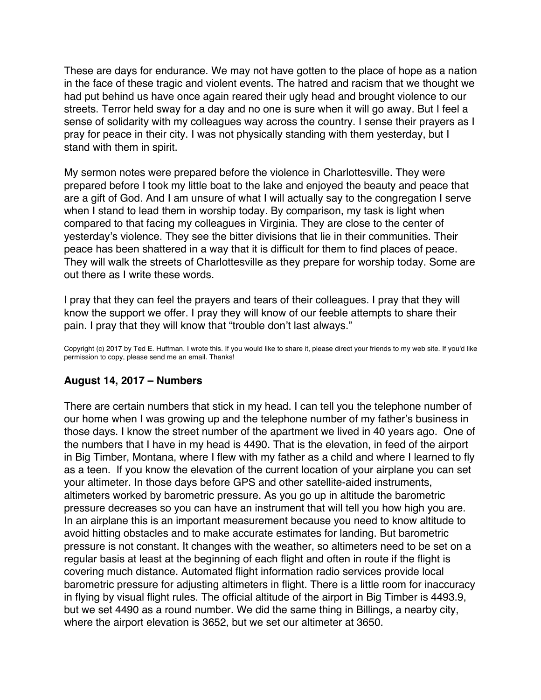<span id="page-29-0"></span>These are days for endurance. We may not have gotten to the place of hope as a nation in the face of these tragic and violent events. The hatred and racism that we thought we had put behind us have once again reared their ugly head and brought violence to our streets. Terror held sway for a day and no one is sure when it will go away. But I feel a sense of solidarity with my colleagues way across the country. I sense their prayers as I pray for peace in their city. I was not physically standing with them yesterday, but I stand with them in spirit.

My sermon notes were prepared before the violence in Charlottesville. They were prepared before I took my little boat to the lake and enjoyed the beauty and peace that are a gift of God. And I am unsure of what I will actually say to the congregation I serve when I stand to lead them in worship today. By comparison, my task is light when compared to that facing my colleagues in Virginia. They are close to the center of yesterday's violence. They see the bitter divisions that lie in their communities. Their peace has been shattered in a way that it is difficult for them to find places of peace. They will walk the streets of Charlottesville as they prepare for worship today. Some are out there as I write these words.

I pray that they can feel the prayers and tears of their colleagues. I pray that they will know the support we offer. I pray they will know of our feeble attempts to share their pain. I pray that they will know that "trouble don't last always."

Copyright (c) 2017 by Ted E. Huffman. I wrote this. If you would like to share it, please direct your friends to my web site. If you'd like permission to copy, please send me an email. Thanks!

# **August 14, 2017 – Numbers**

There are certain numbers that stick in my head. I can tell you the telephone number of our home when I was growing up and the telephone number of my father's business in those days. I know the street number of the apartment we lived in 40 years ago. One of the numbers that I have in my head is 4490. That is the elevation, in feed of the airport in Big Timber, Montana, where I flew with my father as a child and where I learned to fly as a teen. If you know the elevation of the current location of your airplane you can set your altimeter. In those days before GPS and other satellite-aided instruments, altimeters worked by barometric pressure. As you go up in altitude the barometric pressure decreases so you can have an instrument that will tell you how high you are. In an airplane this is an important measurement because you need to know altitude to avoid hitting obstacles and to make accurate estimates for landing. But barometric pressure is not constant. It changes with the weather, so altimeters need to be set on a regular basis at least at the beginning of each flight and often in route if the flight is covering much distance. Automated flight information radio services provide local barometric pressure for adjusting altimeters in flight. There is a little room for inaccuracy in flying by visual flight rules. The official altitude of the airport in Big Timber is 4493.9, but we set 4490 as a round number. We did the same thing in Billings, a nearby city, where the airport elevation is 3652, but we set our altimeter at 3650.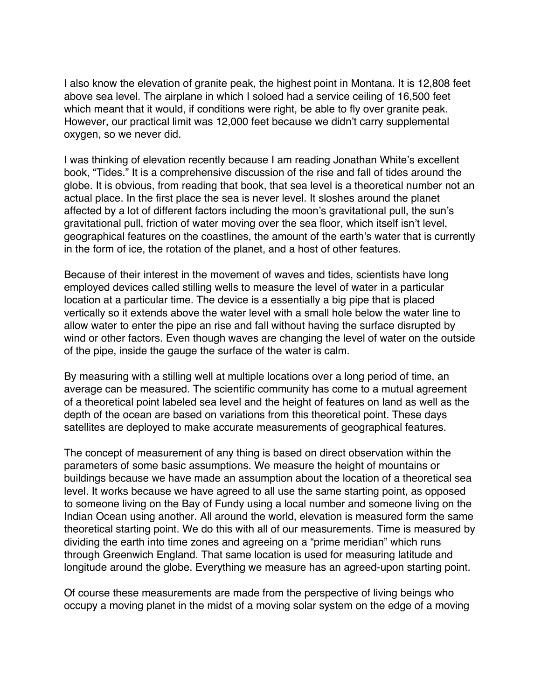I also know the elevation of granite peak, the highest point in Montana. It is 12,808 feet above sea level. The airplane in which I soloed had a service ceiling of 16,500 feet which meant that it would, if conditions were right, be able to fly over granite peak. However, our practical limit was 12,000 feet because we didn't carry supplemental oxygen, so we never did.

I was thinking of elevation recently because I am reading Jonathan White's excellent book, "Tides." It is a comprehensive discussion of the rise and fall of tides around the globe. It is obvious, from reading that book, that sea level is a theoretical number not an actual place. In the first place the sea is never level. It sloshes around the planet affected by a lot of different factors including the moon's gravitational pull, the sun's gravitational pull, friction of water moving over the sea floor, which itself isn't level, geographical features on the coastlines, the amount of the earth's water that is currently in the form of ice, the rotation of the planet, and a host of other features.

Because of their interest in the movement of waves and tides, scientists have long employed devices called stilling wells to measure the level of water in a particular location at a particular time. The device is a essentially a big pipe that is placed vertically so it extends above the water level with a small hole below the water line to allow water to enter the pipe an rise and fall without having the surface disrupted by wind or other factors. Even though waves are changing the level of water on the outside of the pipe, inside the gauge the surface of the water is calm.

By measuring with a stilling well at multiple locations over a long period of time, an average can be measured. The scientific community has come to a mutual agreement of a theoretical point labeled sea level and the height of features on land as well as the depth of the ocean are based on variations from this theoretical point. These days satellites are deployed to make accurate measurements of geographical features.

The concept of measurement of any thing is based on direct observation within the parameters of some basic assumptions. We measure the height of mountains or buildings because we have made an assumption about the location of a theoretical sea level. It works because we have agreed to all use the same starting point, as opposed to someone living on the Bay of Fundy using a local number and someone living on the Indian Ocean using another. All around the world, elevation is measured form the same theoretical starting point. We do this with all of our measurements. Time is measured by dividing the earth into time zones and agreeing on a "prime meridian" which runs through Greenwich England. That same location is used for measuring latitude and longitude around the globe. Everything we measure has an agreed-upon starting point.

Of course these measurements are made from the perspective of living beings who occupy a moving planet in the midst of a moving solar system on the edge of a moving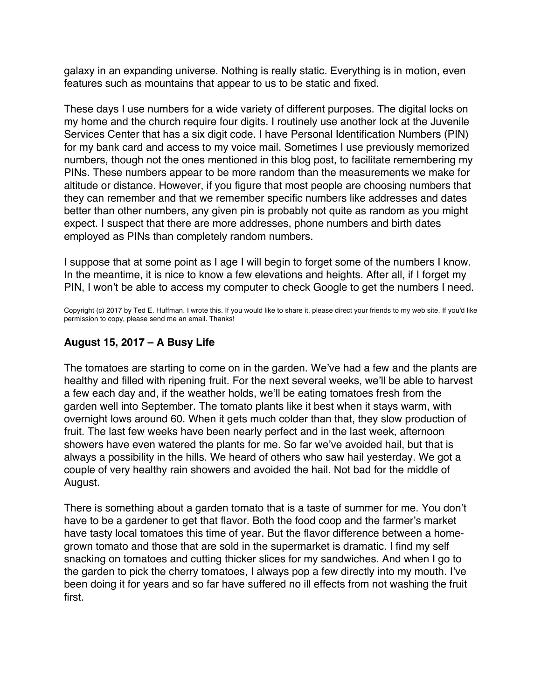<span id="page-31-0"></span>galaxy in an expanding universe. Nothing is really static. Everything is in motion, even features such as mountains that appear to us to be static and fixed.

These days I use numbers for a wide variety of different purposes. The digital locks on my home and the church require four digits. I routinely use another lock at the Juvenile Services Center that has a six digit code. I have Personal Identification Numbers (PIN) for my bank card and access to my voice mail. Sometimes I use previously memorized numbers, though not the ones mentioned in this blog post, to facilitate remembering my PINs. These numbers appear to be more random than the measurements we make for altitude or distance. However, if you figure that most people are choosing numbers that they can remember and that we remember specific numbers like addresses and dates better than other numbers, any given pin is probably not quite as random as you might expect. I suspect that there are more addresses, phone numbers and birth dates employed as PINs than completely random numbers.

I suppose that at some point as I age I will begin to forget some of the numbers I know. In the meantime, it is nice to know a few elevations and heights. After all, if I forget my PIN, I won't be able to access my computer to check Google to get the numbers I need.

Copyright (c) 2017 by Ted E. Huffman. I wrote this. If you would like to share it, please direct your friends to my web site. If you'd like permission to copy, please send me an email. Thanks!

# **August 15, 2017 – A Busy Life**

The tomatoes are starting to come on in the garden. We've had a few and the plants are healthy and filled with ripening fruit. For the next several weeks, we'll be able to harvest a few each day and, if the weather holds, we'll be eating tomatoes fresh from the garden well into September. The tomato plants like it best when it stays warm, with overnight lows around 60. When it gets much colder than that, they slow production of fruit. The last few weeks have been nearly perfect and in the last week, afternoon showers have even watered the plants for me. So far we've avoided hail, but that is always a possibility in the hills. We heard of others who saw hail yesterday. We got a couple of very healthy rain showers and avoided the hail. Not bad for the middle of August.

There is something about a garden tomato that is a taste of summer for me. You don't have to be a gardener to get that flavor. Both the food coop and the farmer's market have tasty local tomatoes this time of year. But the flavor difference between a homegrown tomato and those that are sold in the supermarket is dramatic. I find my self snacking on tomatoes and cutting thicker slices for my sandwiches. And when I go to the garden to pick the cherry tomatoes, I always pop a few directly into my mouth. I've been doing it for years and so far have suffered no ill effects from not washing the fruit first.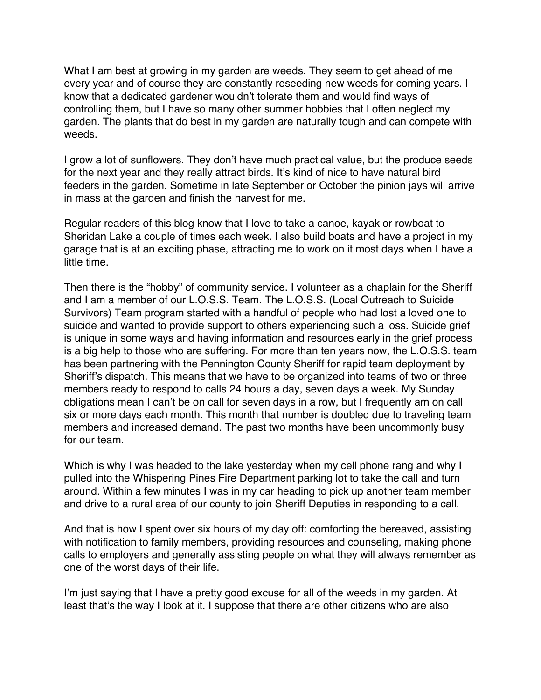What I am best at growing in my garden are weeds. They seem to get ahead of me every year and of course they are constantly reseeding new weeds for coming years. I know that a dedicated gardener wouldn't tolerate them and would find ways of controlling them, but I have so many other summer hobbies that I often neglect my garden. The plants that do best in my garden are naturally tough and can compete with weeds.

I grow a lot of sunflowers. They don't have much practical value, but the produce seeds for the next year and they really attract birds. It's kind of nice to have natural bird feeders in the garden. Sometime in late September or October the pinion jays will arrive in mass at the garden and finish the harvest for me.

Regular readers of this blog know that I love to take a canoe, kayak or rowboat to Sheridan Lake a couple of times each week. I also build boats and have a project in my garage that is at an exciting phase, attracting me to work on it most days when I have a little time.

Then there is the "hobby" of community service. I volunteer as a chaplain for the Sheriff and I am a member of our L.O.S.S. Team. The L.O.S.S. (Local Outreach to Suicide Survivors) Team program started with a handful of people who had lost a loved one to suicide and wanted to provide support to others experiencing such a loss. Suicide grief is unique in some ways and having information and resources early in the grief process is a big help to those who are suffering. For more than ten years now, the L.O.S.S. team has been partnering with the Pennington County Sheriff for rapid team deployment by Sheriff's dispatch. This means that we have to be organized into teams of two or three members ready to respond to calls 24 hours a day, seven days a week. My Sunday obligations mean I can't be on call for seven days in a row, but I frequently am on call six or more days each month. This month that number is doubled due to traveling team members and increased demand. The past two months have been uncommonly busy for our team.

Which is why I was headed to the lake yesterday when my cell phone rang and why I pulled into the Whispering Pines Fire Department parking lot to take the call and turn around. Within a few minutes I was in my car heading to pick up another team member and drive to a rural area of our county to join Sheriff Deputies in responding to a call.

And that is how I spent over six hours of my day off: comforting the bereaved, assisting with notification to family members, providing resources and counseling, making phone calls to employers and generally assisting people on what they will always remember as one of the worst days of their life.

I'm just saying that I have a pretty good excuse for all of the weeds in my garden. At least that's the way I look at it. I suppose that there are other citizens who are also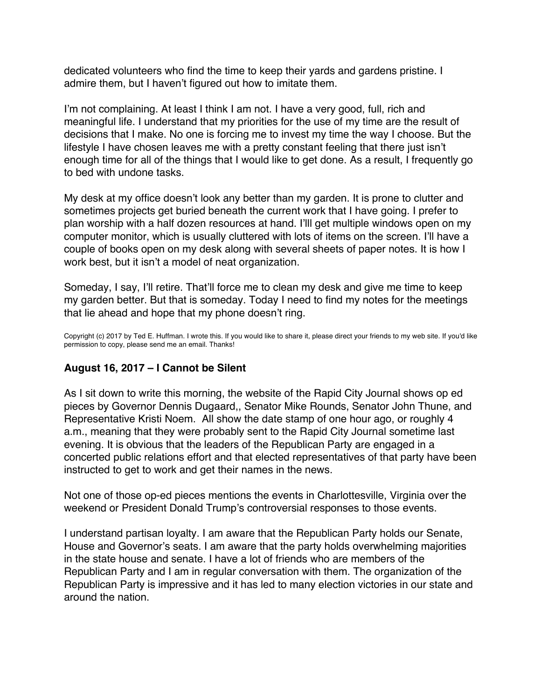<span id="page-33-0"></span>dedicated volunteers who find the time to keep their yards and gardens pristine. I admire them, but I haven't figured out how to imitate them.

I'm not complaining. At least I think I am not. I have a very good, full, rich and meaningful life. I understand that my priorities for the use of my time are the result of decisions that I make. No one is forcing me to invest my time the way I choose. But the lifestyle I have chosen leaves me with a pretty constant feeling that there just isn't enough time for all of the things that I would like to get done. As a result, I frequently go to bed with undone tasks.

My desk at my office doesn't look any better than my garden. It is prone to clutter and sometimes projects get buried beneath the current work that I have going. I prefer to plan worship with a half dozen resources at hand. I'lll get multiple windows open on my computer monitor, which is usually cluttered with lots of items on the screen. I'll have a couple of books open on my desk along with several sheets of paper notes. It is how I work best, but it isn't a model of neat organization.

Someday, I say, I'll retire. That'll force me to clean my desk and give me time to keep my garden better. But that is someday. Today I need to find my notes for the meetings that lie ahead and hope that my phone doesn't ring.

Copyright (c) 2017 by Ted E. Huffman. I wrote this. If you would like to share it, please direct your friends to my web site. If you'd like permission to copy, please send me an email. Thanks!

# **August 16, 2017 – I Cannot be Silent**

As I sit down to write this morning, the website of the Rapid City Journal shows op ed pieces by Governor Dennis Dugaard,, Senator Mike Rounds, Senator John Thune, and Representative Kristi Noem. All show the date stamp of one hour ago, or roughly 4 a.m., meaning that they were probably sent to the Rapid City Journal sometime last evening. It is obvious that the leaders of the Republican Party are engaged in a concerted public relations effort and that elected representatives of that party have been instructed to get to work and get their names in the news.

Not one of those op-ed pieces mentions the events in Charlottesville, Virginia over the weekend or President Donald Trump's controversial responses to those events.

I understand partisan loyalty. I am aware that the Republican Party holds our Senate, House and Governor's seats. I am aware that the party holds overwhelming majorities in the state house and senate. I have a lot of friends who are members of the Republican Party and I am in regular conversation with them. The organization of the Republican Party is impressive and it has led to many election victories in our state and around the nation.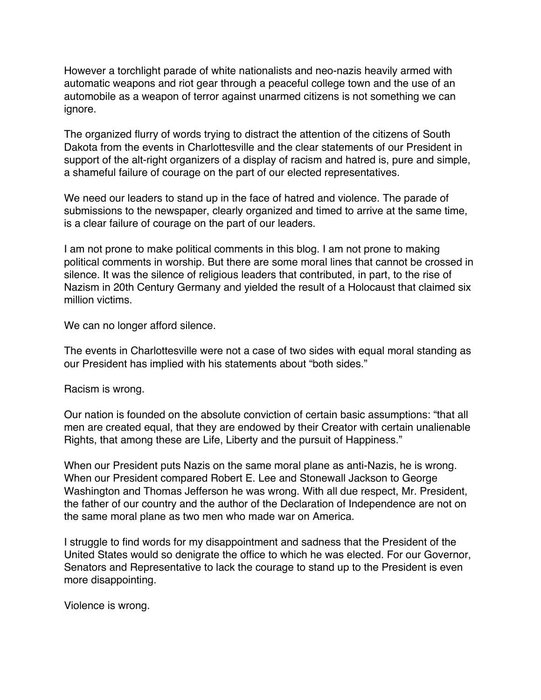However a torchlight parade of white nationalists and neo-nazis heavily armed with automatic weapons and riot gear through a peaceful college town and the use of an automobile as a weapon of terror against unarmed citizens is not something we can ignore.

The organized flurry of words trying to distract the attention of the citizens of South Dakota from the events in Charlottesville and the clear statements of our President in support of the alt-right organizers of a display of racism and hatred is, pure and simple, a shameful failure of courage on the part of our elected representatives.

We need our leaders to stand up in the face of hatred and violence. The parade of submissions to the newspaper, clearly organized and timed to arrive at the same time, is a clear failure of courage on the part of our leaders.

I am not prone to make political comments in this blog. I am not prone to making political comments in worship. But there are some moral lines that cannot be crossed in silence. It was the silence of religious leaders that contributed, in part, to the rise of Nazism in 20th Century Germany and yielded the result of a Holocaust that claimed six million victims.

We can no longer afford silence.

The events in Charlottesville were not a case of two sides with equal moral standing as our President has implied with his statements about "both sides."

Racism is wrong.

Our nation is founded on the absolute conviction of certain basic assumptions: "that all men are created equal, that they are endowed by their Creator with certain unalienable Rights, that among these are Life, Liberty and the pursuit of Happiness."

When our President puts Nazis on the same moral plane as anti-Nazis, he is wrong. When our President compared Robert E. Lee and Stonewall Jackson to George Washington and Thomas Jefferson he was wrong. With all due respect, Mr. President, the father of our country and the author of the Declaration of Independence are not on the same moral plane as two men who made war on America.

I struggle to find words for my disappointment and sadness that the President of the United States would so denigrate the office to which he was elected. For our Governor, Senators and Representative to lack the courage to stand up to the President is even more disappointing.

Violence is wrong.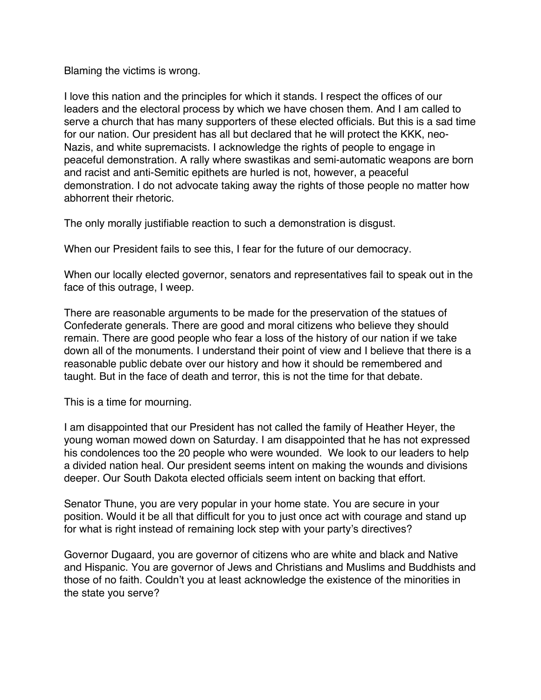Blaming the victims is wrong.

I love this nation and the principles for which it stands. I respect the offices of our leaders and the electoral process by which we have chosen them. And I am called to serve a church that has many supporters of these elected officials. But this is a sad time for our nation. Our president has all but declared that he will protect the KKK, neo-Nazis, and white supremacists. I acknowledge the rights of people to engage in peaceful demonstration. A rally where swastikas and semi-automatic weapons are born and racist and anti-Semitic epithets are hurled is not, however, a peaceful demonstration. I do not advocate taking away the rights of those people no matter how abhorrent their rhetoric.

The only morally justifiable reaction to such a demonstration is disgust.

When our President fails to see this, I fear for the future of our democracy.

When our locally elected governor, senators and representatives fail to speak out in the face of this outrage, I weep.

There are reasonable arguments to be made for the preservation of the statues of Confederate generals. There are good and moral citizens who believe they should remain. There are good people who fear a loss of the history of our nation if we take down all of the monuments. I understand their point of view and I believe that there is a reasonable public debate over our history and how it should be remembered and taught. But in the face of death and terror, this is not the time for that debate.

This is a time for mourning.

I am disappointed that our President has not called the family of Heather Heyer, the young woman mowed down on Saturday. I am disappointed that he has not expressed his condolences too the 20 people who were wounded. We look to our leaders to help a divided nation heal. Our president seems intent on making the wounds and divisions deeper. Our South Dakota elected officials seem intent on backing that effort.

Senator Thune, you are very popular in your home state. You are secure in your position. Would it be all that difficult for you to just once act with courage and stand up for what is right instead of remaining lock step with your party's directives?

Governor Dugaard, you are governor of citizens who are white and black and Native and Hispanic. You are governor of Jews and Christians and Muslims and Buddhists and those of no faith. Couldn't you at least acknowledge the existence of the minorities in the state you serve?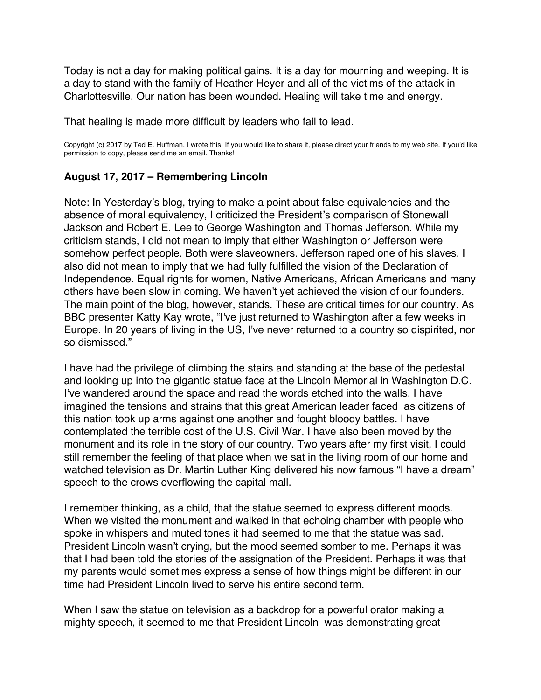<span id="page-36-0"></span>Today is not a day for making political gains. It is a day for mourning and weeping. It is a day to stand with the family of Heather Heyer and all of the victims of the attack in Charlottesville. Our nation has been wounded. Healing will take time and energy.

That healing is made more difficult by leaders who fail to lead.

Copyright (c) 2017 by Ted E. Huffman. I wrote this. If you would like to share it, please direct your friends to my web site. If you'd like permission to copy, please send me an email. Thanks!

### **August 17, 2017 – Remembering Lincoln**

Note: In Yesterday's blog, trying to make a point about false equivalencies and the absence of moral equivalency, I criticized the President's comparison of Stonewall Jackson and Robert E. Lee to George Washington and Thomas Jefferson. While my criticism stands, I did not mean to imply that either Washington or Jefferson were somehow perfect people. Both were slaveowners. Jefferson raped one of his slaves. I also did not mean to imply that we had fully fulfilled the vision of the Declaration of Independence. Equal rights for women, Native Americans, African Americans and many others have been slow in coming. We haven't yet achieved the vision of our founders. The main point of the blog, however, stands. These are critical times for our country. As BBC presenter Katty Kay wrote, "I've just returned to Washington after a few weeks in Europe. In 20 years of living in the US, I've never returned to a country so dispirited, nor so dismissed."

I have had the privilege of climbing the stairs and standing at the base of the pedestal and looking up into the gigantic statue face at the Lincoln Memorial in Washington D.C. I've wandered around the space and read the words etched into the walls. I have imagined the tensions and strains that this great American leader faced as citizens of this nation took up arms against one another and fought bloody battles. I have contemplated the terrible cost of the U.S. Civil War. I have also been moved by the monument and its role in the story of our country. Two years after my first visit, I could still remember the feeling of that place when we sat in the living room of our home and watched television as Dr. Martin Luther King delivered his now famous "I have a dream" speech to the crows overflowing the capital mall.

I remember thinking, as a child, that the statue seemed to express different moods. When we visited the monument and walked in that echoing chamber with people who spoke in whispers and muted tones it had seemed to me that the statue was sad. President Lincoln wasn't crying, but the mood seemed somber to me. Perhaps it was that I had been told the stories of the assignation of the President. Perhaps it was that my parents would sometimes express a sense of how things might be different in our time had President Lincoln lived to serve his entire second term.

When I saw the statue on television as a backdrop for a powerful orator making a mighty speech, it seemed to me that President Lincoln was demonstrating great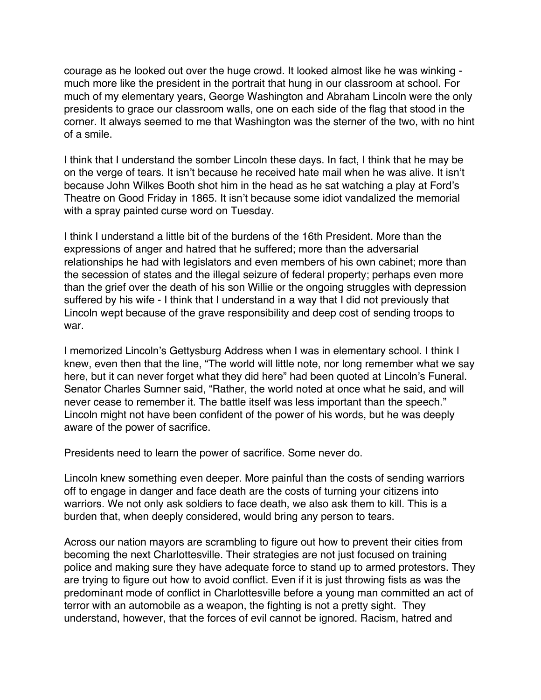courage as he looked out over the huge crowd. It looked almost like he was winking much more like the president in the portrait that hung in our classroom at school. For much of my elementary years, George Washington and Abraham Lincoln were the only presidents to grace our classroom walls, one on each side of the flag that stood in the corner. It always seemed to me that Washington was the sterner of the two, with no hint of a smile.

I think that I understand the somber Lincoln these days. In fact, I think that he may be on the verge of tears. It isn't because he received hate mail when he was alive. It isn't because John Wilkes Booth shot him in the head as he sat watching a play at Ford's Theatre on Good Friday in 1865. It isn't because some idiot vandalized the memorial with a spray painted curse word on Tuesday.

I think I understand a little bit of the burdens of the 16th President. More than the expressions of anger and hatred that he suffered; more than the adversarial relationships he had with legislators and even members of his own cabinet; more than the secession of states and the illegal seizure of federal property; perhaps even more than the grief over the death of his son Willie or the ongoing struggles with depression suffered by his wife - I think that I understand in a way that I did not previously that Lincoln wept because of the grave responsibility and deep cost of sending troops to war.

I memorized Lincoln's Gettysburg Address when I was in elementary school. I think I knew, even then that the line, "The world will little note, nor long remember what we say here, but it can never forget what they did here" had been quoted at Lincoln's Funeral. Senator Charles Sumner said, "Rather, the world noted at once what he said, and will never cease to remember it. The battle itself was less important than the speech." Lincoln might not have been confident of the power of his words, but he was deeply aware of the power of sacrifice.

Presidents need to learn the power of sacrifice. Some never do.

Lincoln knew something even deeper. More painful than the costs of sending warriors off to engage in danger and face death are the costs of turning your citizens into warriors. We not only ask soldiers to face death, we also ask them to kill. This is a burden that, when deeply considered, would bring any person to tears.

Across our nation mayors are scrambling to figure out how to prevent their cities from becoming the next Charlottesville. Their strategies are not just focused on training police and making sure they have adequate force to stand up to armed protestors. They are trying to figure out how to avoid conflict. Even if it is just throwing fists as was the predominant mode of conflict in Charlottesville before a young man committed an act of terror with an automobile as a weapon, the fighting is not a pretty sight. They understand, however, that the forces of evil cannot be ignored. Racism, hatred and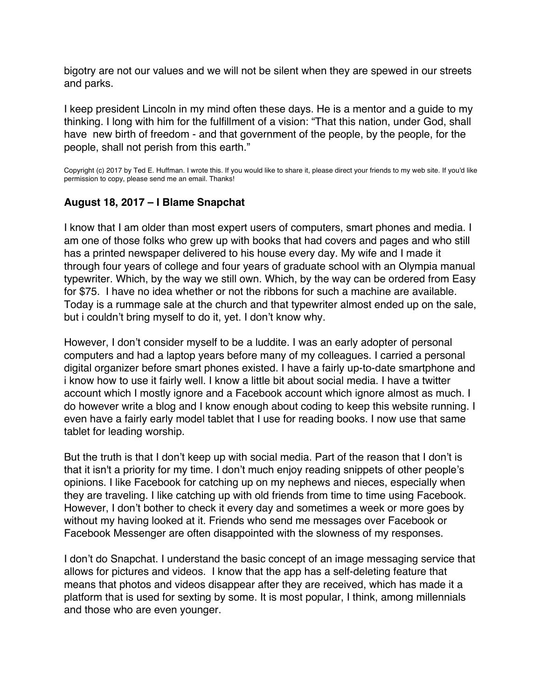<span id="page-38-0"></span>bigotry are not our values and we will not be silent when they are spewed in our streets and parks.

I keep president Lincoln in my mind often these days. He is a mentor and a guide to my thinking. I long with him for the fulfillment of a vision: "That this nation, under God, shall have new birth of freedom - and that government of the people, by the people, for the people, shall not perish from this earth."

Copyright (c) 2017 by Ted E. Huffman. I wrote this. If you would like to share it, please direct your friends to my web site. If you'd like permission to copy, please send me an email. Thanks!

## **August 18, 2017 – I Blame Snapchat**

I know that I am older than most expert users of computers, smart phones and media. I am one of those folks who grew up with books that had covers and pages and who still has a printed newspaper delivered to his house every day. My wife and I made it through four years of college and four years of graduate school with an Olympia manual typewriter. Which, by the way we still own. Which, by the way can be ordered from Easy for \$75. I have no idea whether or not the ribbons for such a machine are available. Today is a rummage sale at the church and that typewriter almost ended up on the sale, but i couldn't bring myself to do it, yet. I don't know why.

However, I don't consider myself to be a luddite. I was an early adopter of personal computers and had a laptop years before many of my colleagues. I carried a personal digital organizer before smart phones existed. I have a fairly up-to-date smartphone and i know how to use it fairly well. I know a little bit about social media. I have a twitter account which I mostly ignore and a Facebook account which ignore almost as much. I do however write a blog and I know enough about coding to keep this website running. I even have a fairly early model tablet that I use for reading books. I now use that same tablet for leading worship.

But the truth is that I don't keep up with social media. Part of the reason that I don't is that it isn't a priority for my time. I don't much enjoy reading snippets of other people's opinions. I like Facebook for catching up on my nephews and nieces, especially when they are traveling. I like catching up with old friends from time to time using Facebook. However, I don't bother to check it every day and sometimes a week or more goes by without my having looked at it. Friends who send me messages over Facebook or Facebook Messenger are often disappointed with the slowness of my responses.

I don't do Snapchat. I understand the basic concept of an image messaging service that allows for pictures and videos. I know that the app has a self-deleting feature that means that photos and videos disappear after they are received, which has made it a platform that is used for sexting by some. It is most popular, I think, among millennials and those who are even younger.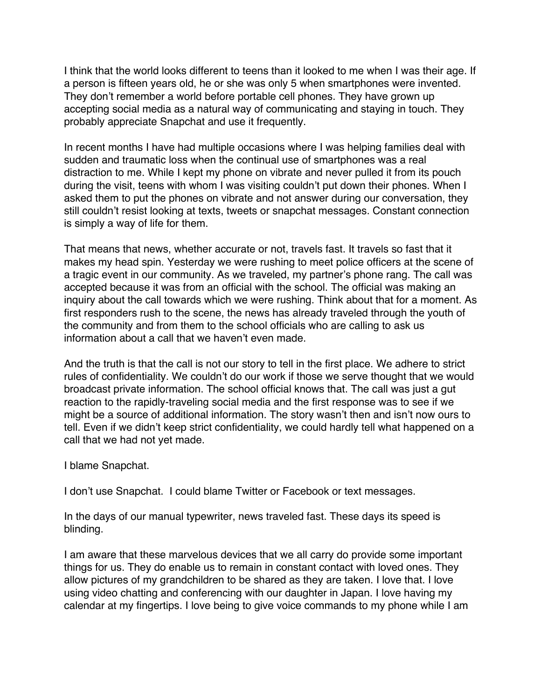I think that the world looks different to teens than it looked to me when I was their age. If a person is fifteen years old, he or she was only 5 when smartphones were invented. They don't remember a world before portable cell phones. They have grown up accepting social media as a natural way of communicating and staying in touch. They probably appreciate Snapchat and use it frequently.

In recent months I have had multiple occasions where I was helping families deal with sudden and traumatic loss when the continual use of smartphones was a real distraction to me. While I kept my phone on vibrate and never pulled it from its pouch during the visit, teens with whom I was visiting couldn't put down their phones. When I asked them to put the phones on vibrate and not answer during our conversation, they still couldn't resist looking at texts, tweets or snapchat messages. Constant connection is simply a way of life for them.

That means that news, whether accurate or not, travels fast. It travels so fast that it makes my head spin. Yesterday we were rushing to meet police officers at the scene of a tragic event in our community. As we traveled, my partner's phone rang. The call was accepted because it was from an official with the school. The official was making an inquiry about the call towards which we were rushing. Think about that for a moment. As first responders rush to the scene, the news has already traveled through the youth of the community and from them to the school officials who are calling to ask us information about a call that we haven't even made.

And the truth is that the call is not our story to tell in the first place. We adhere to strict rules of confidentiality. We couldn't do our work if those we serve thought that we would broadcast private information. The school official knows that. The call was just a gut reaction to the rapidly-traveling social media and the first response was to see if we might be a source of additional information. The story wasn't then and isn't now ours to tell. Even if we didn't keep strict confidentiality, we could hardly tell what happened on a call that we had not yet made.

I blame Snapchat.

I don't use Snapchat. I could blame Twitter or Facebook or text messages.

In the days of our manual typewriter, news traveled fast. These days its speed is blinding.

I am aware that these marvelous devices that we all carry do provide some important things for us. They do enable us to remain in constant contact with loved ones. They allow pictures of my grandchildren to be shared as they are taken. I love that. I love using video chatting and conferencing with our daughter in Japan. I love having my calendar at my fingertips. I love being to give voice commands to my phone while I am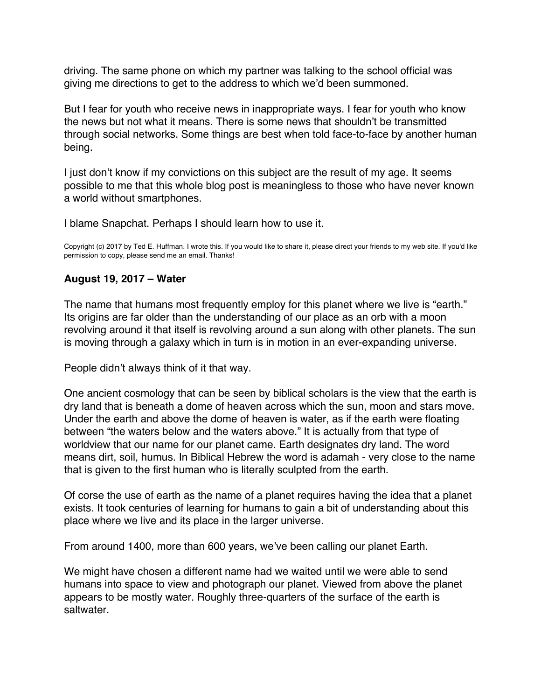<span id="page-40-0"></span>driving. The same phone on which my partner was talking to the school official was giving me directions to get to the address to which we'd been summoned.

But I fear for youth who receive news in inappropriate ways. I fear for youth who know the news but not what it means. There is some news that shouldn't be transmitted through social networks. Some things are best when told face-to-face by another human being.

I just don't know if my convictions on this subject are the result of my age. It seems possible to me that this whole blog post is meaningless to those who have never known a world without smartphones.

I blame Snapchat. Perhaps I should learn how to use it.

Copyright (c) 2017 by Ted E. Huffman. I wrote this. If you would like to share it, please direct your friends to my web site. If you'd like permission to copy, please send me an email. Thanks!

## **August 19, 2017 – Water**

The name that humans most frequently employ for this planet where we live is "earth." Its origins are far older than the understanding of our place as an orb with a moon revolving around it that itself is revolving around a sun along with other planets. The sun is moving through a galaxy which in turn is in motion in an ever-expanding universe.

People didn't always think of it that way.

One ancient cosmology that can be seen by biblical scholars is the view that the earth is dry land that is beneath a dome of heaven across which the sun, moon and stars move. Under the earth and above the dome of heaven is water, as if the earth were floating between "the waters below and the waters above." It is actually from that type of worldview that our name for our planet came. Earth designates dry land. The word means dirt, soil, humus. In Biblical Hebrew the word is adamah - very close to the name that is given to the first human who is literally sculpted from the earth.

Of corse the use of earth as the name of a planet requires having the idea that a planet exists. It took centuries of learning for humans to gain a bit of understanding about this place where we live and its place in the larger universe.

From around 1400, more than 600 years, we've been calling our planet Earth.

We might have chosen a different name had we waited until we were able to send humans into space to view and photograph our planet. Viewed from above the planet appears to be mostly water. Roughly three-quarters of the surface of the earth is saltwater.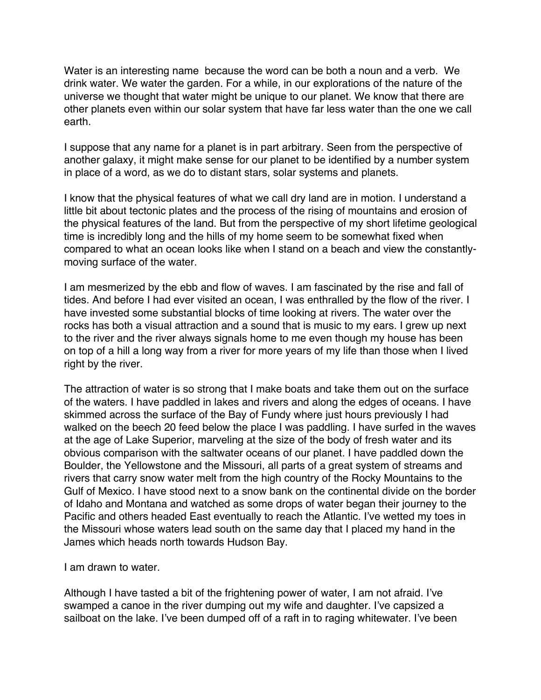Water is an interesting name because the word can be both a noun and a verb. We drink water. We water the garden. For a while, in our explorations of the nature of the universe we thought that water might be unique to our planet. We know that there are other planets even within our solar system that have far less water than the one we call earth.

I suppose that any name for a planet is in part arbitrary. Seen from the perspective of another galaxy, it might make sense for our planet to be identified by a number system in place of a word, as we do to distant stars, solar systems and planets.

I know that the physical features of what we call dry land are in motion. I understand a little bit about tectonic plates and the process of the rising of mountains and erosion of the physical features of the land. But from the perspective of my short lifetime geological time is incredibly long and the hills of my home seem to be somewhat fixed when compared to what an ocean looks like when I stand on a beach and view the constantlymoving surface of the water.

I am mesmerized by the ebb and flow of waves. I am fascinated by the rise and fall of tides. And before I had ever visited an ocean, I was enthralled by the flow of the river. I have invested some substantial blocks of time looking at rivers. The water over the rocks has both a visual attraction and a sound that is music to my ears. I grew up next to the river and the river always signals home to me even though my house has been on top of a hill a long way from a river for more years of my life than those when I lived right by the river.

The attraction of water is so strong that I make boats and take them out on the surface of the waters. I have paddled in lakes and rivers and along the edges of oceans. I have skimmed across the surface of the Bay of Fundy where just hours previously I had walked on the beech 20 feed below the place I was paddling. I have surfed in the waves at the age of Lake Superior, marveling at the size of the body of fresh water and its obvious comparison with the saltwater oceans of our planet. I have paddled down the Boulder, the Yellowstone and the Missouri, all parts of a great system of streams and rivers that carry snow water melt from the high country of the Rocky Mountains to the Gulf of Mexico. I have stood next to a snow bank on the continental divide on the border of Idaho and Montana and watched as some drops of water began their journey to the Pacific and others headed East eventually to reach the Atlantic. I've wetted my toes in the Missouri whose waters lead south on the same day that I placed my hand in the James which heads north towards Hudson Bay.

I am drawn to water.

Although I have tasted a bit of the frightening power of water, I am not afraid. I've swamped a canoe in the river dumping out my wife and daughter. I've capsized a sailboat on the lake. I've been dumped off of a raft in to raging whitewater. I've been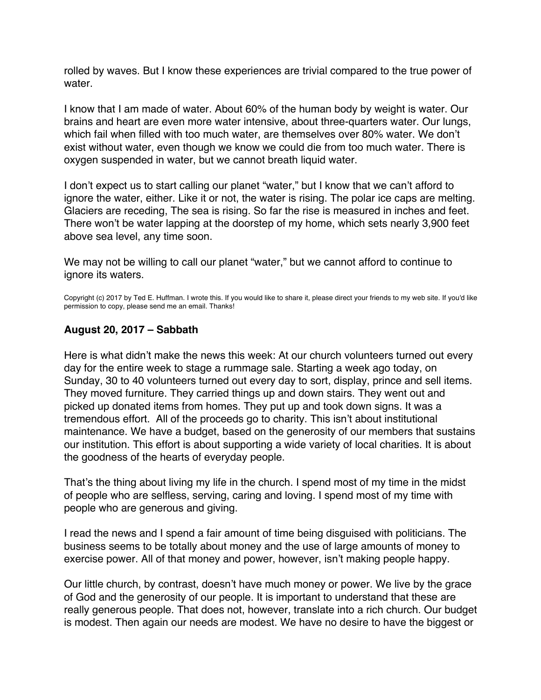<span id="page-42-0"></span>rolled by waves. But I know these experiences are trivial compared to the true power of water.

I know that I am made of water. About 60% of the human body by weight is water. Our brains and heart are even more water intensive, about three-quarters water. Our lungs, which fail when filled with too much water, are themselves over 80% water. We don't exist without water, even though we know we could die from too much water. There is oxygen suspended in water, but we cannot breath liquid water.

I don't expect us to start calling our planet "water," but I know that we can't afford to ignore the water, either. Like it or not, the water is rising. The polar ice caps are melting. Glaciers are receding, The sea is rising. So far the rise is measured in inches and feet. There won't be water lapping at the doorstep of my home, which sets nearly 3,900 feet above sea level, any time soon.

We may not be willing to call our planet "water," but we cannot afford to continue to ignore its waters.

Copyright (c) 2017 by Ted E. Huffman. I wrote this. If you would like to share it, please direct your friends to my web site. If you'd like permission to copy, please send me an email. Thanks!

# **August 20, 2017 – Sabbath**

Here is what didn't make the news this week: At our church volunteers turned out every day for the entire week to stage a rummage sale. Starting a week ago today, on Sunday, 30 to 40 volunteers turned out every day to sort, display, prince and sell items. They moved furniture. They carried things up and down stairs. They went out and picked up donated items from homes. They put up and took down signs. It was a tremendous effort. All of the proceeds go to charity. This isn't about institutional maintenance. We have a budget, based on the generosity of our members that sustains our institution. This effort is about supporting a wide variety of local charities. It is about the goodness of the hearts of everyday people.

That's the thing about living my life in the church. I spend most of my time in the midst of people who are selfless, serving, caring and loving. I spend most of my time with people who are generous and giving.

I read the news and I spend a fair amount of time being disguised with politicians. The business seems to be totally about money and the use of large amounts of money to exercise power. All of that money and power, however, isn't making people happy.

Our little church, by contrast, doesn't have much money or power. We live by the grace of God and the generosity of our people. It is important to understand that these are really generous people. That does not, however, translate into a rich church. Our budget is modest. Then again our needs are modest. We have no desire to have the biggest or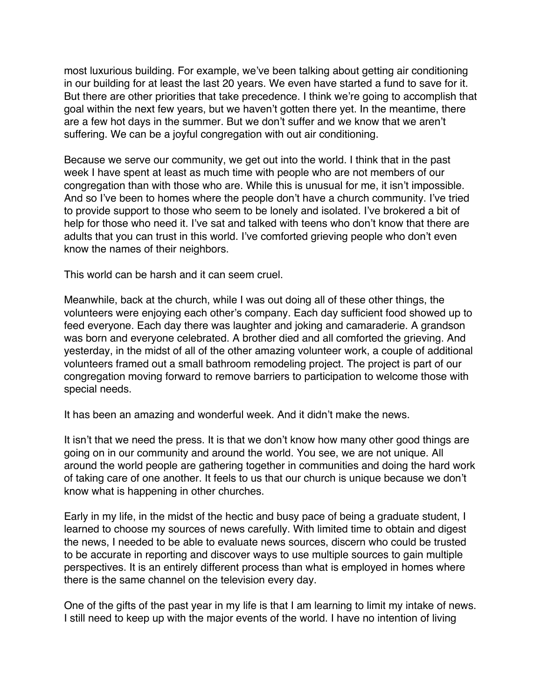most luxurious building. For example, we've been talking about getting air conditioning in our building for at least the last 20 years. We even have started a fund to save for it. But there are other priorities that take precedence. I think we're going to accomplish that goal within the next few years, but we haven't gotten there yet. In the meantime, there are a few hot days in the summer. But we don't suffer and we know that we aren't suffering. We can be a joyful congregation with out air conditioning.

Because we serve our community, we get out into the world. I think that in the past week I have spent at least as much time with people who are not members of our congregation than with those who are. While this is unusual for me, it isn't impossible. And so I've been to homes where the people don't have a church community. I've tried to provide support to those who seem to be lonely and isolated. I've brokered a bit of help for those who need it. I've sat and talked with teens who don't know that there are adults that you can trust in this world. I've comforted grieving people who don't even know the names of their neighbors.

This world can be harsh and it can seem cruel.

Meanwhile, back at the church, while I was out doing all of these other things, the volunteers were enjoying each other's company. Each day sufficient food showed up to feed everyone. Each day there was laughter and joking and camaraderie. A grandson was born and everyone celebrated. A brother died and all comforted the grieving. And yesterday, in the midst of all of the other amazing volunteer work, a couple of additional volunteers framed out a small bathroom remodeling project. The project is part of our congregation moving forward to remove barriers to participation to welcome those with special needs.

It has been an amazing and wonderful week. And it didn't make the news.

It isn't that we need the press. It is that we don't know how many other good things are going on in our community and around the world. You see, we are not unique. All around the world people are gathering together in communities and doing the hard work of taking care of one another. It feels to us that our church is unique because we don't know what is happening in other churches.

Early in my life, in the midst of the hectic and busy pace of being a graduate student, I learned to choose my sources of news carefully. With limited time to obtain and digest the news, I needed to be able to evaluate news sources, discern who could be trusted to be accurate in reporting and discover ways to use multiple sources to gain multiple perspectives. It is an entirely different process than what is employed in homes where there is the same channel on the television every day.

One of the gifts of the past year in my life is that I am learning to limit my intake of news. I still need to keep up with the major events of the world. I have no intention of living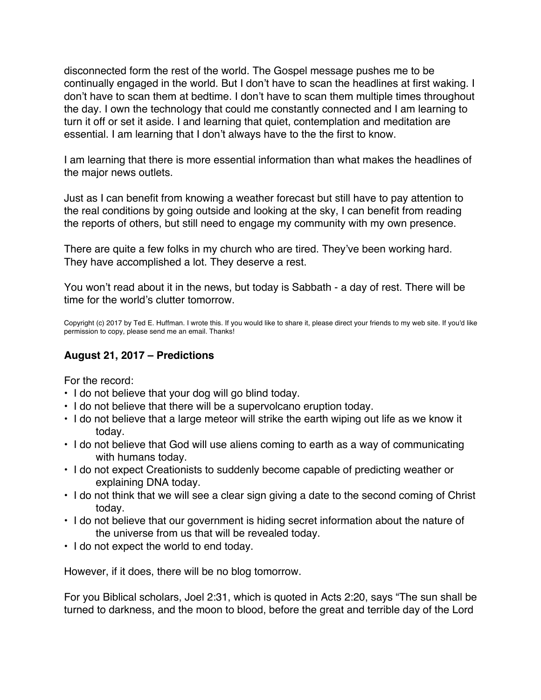<span id="page-44-0"></span>disconnected form the rest of the world. The Gospel message pushes me to be continually engaged in the world. But I don't have to scan the headlines at first waking. I don't have to scan them at bedtime. I don't have to scan them multiple times throughout the day. I own the technology that could me constantly connected and I am learning to turn it off or set it aside. I and learning that quiet, contemplation and meditation are essential. I am learning that I don't always have to the the first to know.

I am learning that there is more essential information than what makes the headlines of the major news outlets.

Just as I can benefit from knowing a weather forecast but still have to pay attention to the real conditions by going outside and looking at the sky, I can benefit from reading the reports of others, but still need to engage my community with my own presence.

There are quite a few folks in my church who are tired. They've been working hard. They have accomplished a lot. They deserve a rest.

You won't read about it in the news, but today is Sabbath - a day of rest. There will be time for the world's clutter tomorrow.

Copyright (c) 2017 by Ted E. Huffman. I wrote this. If you would like to share it, please direct your friends to my web site. If you'd like permission to copy, please send me an email. Thanks!

### **August 21, 2017 – Predictions**

For the record:

- I do not believe that your dog will go blind today.
- I do not believe that there will be a supervolcano eruption today.
- I do not believe that a large meteor will strike the earth wiping out life as we know it today.
- I do not believe that God will use aliens coming to earth as a way of communicating with humans today.
- I do not expect Creationists to suddenly become capable of predicting weather or explaining DNA today.
- I do not think that we will see a clear sign giving a date to the second coming of Christ today.
- I do not believe that our government is hiding secret information about the nature of the universe from us that will be revealed today.
- I do not expect the world to end today.

However, if it does, there will be no blog tomorrow.

For you Biblical scholars, Joel 2:31, which is quoted in Acts 2:20, says "The sun shall be turned to darkness, and the moon to blood, before the great and terrible day of the Lord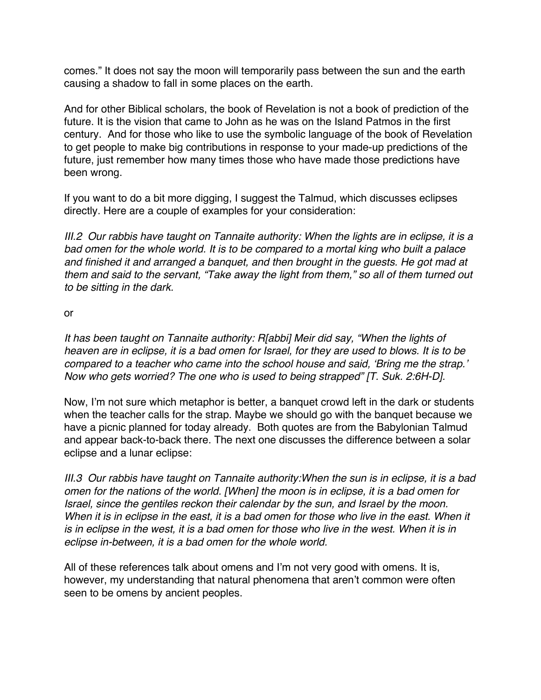comes." It does not say the moon will temporarily pass between the sun and the earth causing a shadow to fall in some places on the earth.

And for other Biblical scholars, the book of Revelation is not a book of prediction of the future. It is the vision that came to John as he was on the Island Patmos in the first century. And for those who like to use the symbolic language of the book of Revelation to get people to make big contributions in response to your made-up predictions of the future, just remember how many times those who have made those predictions have been wrong.

If you want to do a bit more digging, I suggest the Talmud, which discusses eclipses directly. Here are a couple of examples for your consideration:

*III.2 Our rabbis have taught on Tannaite authority: When the lights are in eclipse, it is a bad omen for the whole world. It is to be compared to a mortal king who built a palace and finished it and arranged a banquet, and then brought in the guests. He got mad at them and said to the servant, "Take away the light from them," so all of them turned out to be sitting in the dark.*

or

*It has been taught on Tannaite authority: R[abbi] Meir did say, "When the lights of heaven are in eclipse, it is a bad omen for Israel, for they are used to blows. It is to be compared to a teacher who came into the school house and said, 'Bring me the strap.' Now who gets worried? The one who is used to being strapped" [T. Suk. 2:6H-D].*

Now, I'm not sure which metaphor is better, a banquet crowd left in the dark or students when the teacher calls for the strap. Maybe we should go with the banquet because we have a picnic planned for today already. Both quotes are from the Babylonian Talmud and appear back-to-back there. The next one discusses the difference between a solar eclipse and a lunar eclipse:

*III.3 Our rabbis have taught on Tannaite authority:When the sun is in eclipse, it is a bad omen for the nations of the world. [When] the moon is in eclipse, it is a bad omen for Israel, since the gentiles reckon their calendar by the sun, and Israel by the moon.*  When it is in eclipse in the east, it is a bad omen for those who live in the east. When it *is in eclipse in the west, it is a bad omen for those who live in the west. When it is in eclipse in-between, it is a bad omen for the whole world.*

All of these references talk about omens and I'm not very good with omens. It is, however, my understanding that natural phenomena that aren't common were often seen to be omens by ancient peoples.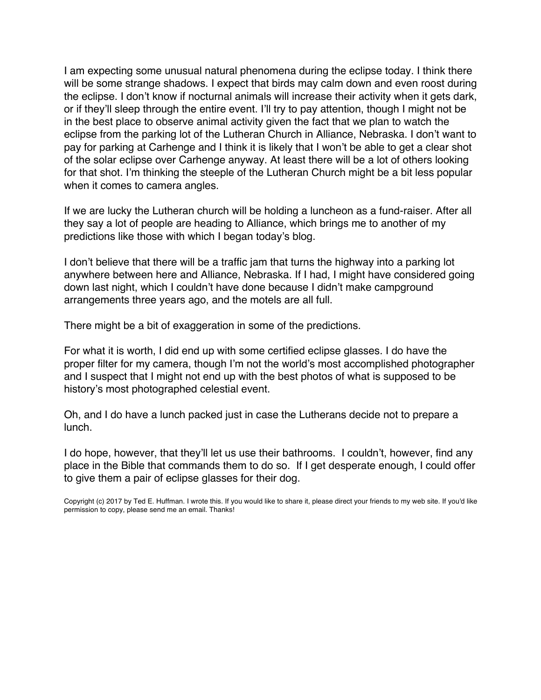I am expecting some unusual natural phenomena during the eclipse today. I think there will be some strange shadows. I expect that birds may calm down and even roost during the eclipse. I don't know if nocturnal animals will increase their activity when it gets dark, or if they'll sleep through the entire event. I'll try to pay attention, though I might not be in the best place to observe animal activity given the fact that we plan to watch the eclipse from the parking lot of the Lutheran Church in Alliance, Nebraska. I don't want to pay for parking at Carhenge and I think it is likely that I won't be able to get a clear shot of the solar eclipse over Carhenge anyway. At least there will be a lot of others looking for that shot. I'm thinking the steeple of the Lutheran Church might be a bit less popular when it comes to camera angles.

If we are lucky the Lutheran church will be holding a luncheon as a fund-raiser. After all they say a lot of people are heading to Alliance, which brings me to another of my predictions like those with which I began today's blog.

I don't believe that there will be a traffic jam that turns the highway into a parking lot anywhere between here and Alliance, Nebraska. If I had, I might have considered going down last night, which I couldn't have done because I didn't make campground arrangements three years ago, and the motels are all full.

There might be a bit of exaggeration in some of the predictions.

For what it is worth, I did end up with some certified eclipse glasses. I do have the proper filter for my camera, though I'm not the world's most accomplished photographer and I suspect that I might not end up with the best photos of what is supposed to be history's most photographed celestial event.

Oh, and I do have a lunch packed just in case the Lutherans decide not to prepare a lunch.

I do hope, however, that they'll let us use their bathrooms. I couldn't, however, find any place in the Bible that commands them to do so. If I get desperate enough, I could offer to give them a pair of eclipse glasses for their dog.

Copyright (c) 2017 by Ted E. Huffman. I wrote this. If you would like to share it, please direct your friends to my web site. If you'd like permission to copy, please send me an email. Thanks!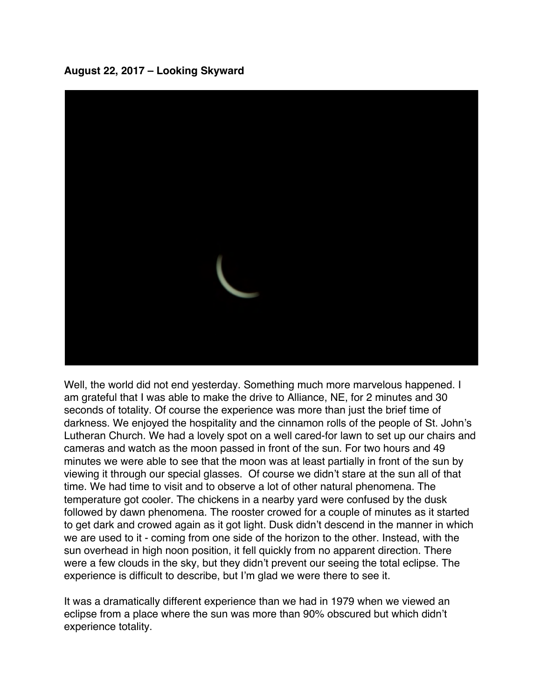<span id="page-47-0"></span>**August 22, 2017 – Looking Skyward**



Well, the world did not end yesterday. Something much more marvelous happened. I am grateful that I was able to make the drive to Alliance, NE, for 2 minutes and 30 seconds of totality. Of course the experience was more than just the brief time of darkness. We enjoyed the hospitality and the cinnamon rolls of the people of St. John's Lutheran Church. We had a lovely spot on a well cared-for lawn to set up our chairs and cameras and watch as the moon passed in front of the sun. For two hours and 49 minutes we were able to see that the moon was at least partially in front of the sun by viewing it through our special glasses. Of course we didn't stare at the sun all of that time. We had time to visit and to observe a lot of other natural phenomena. The temperature got cooler. The chickens in a nearby yard were confused by the dusk followed by dawn phenomena. The rooster crowed for a couple of minutes as it started to get dark and crowed again as it got light. Dusk didn't descend in the manner in which we are used to it - coming from one side of the horizon to the other. Instead, with the sun overhead in high noon position, it fell quickly from no apparent direction. There were a few clouds in the sky, but they didn't prevent our seeing the total eclipse. The experience is difficult to describe, but I'm glad we were there to see it.

It was a dramatically different experience than we had in 1979 when we viewed an eclipse from a place where the sun was more than 90% obscured but which didn't experience totality.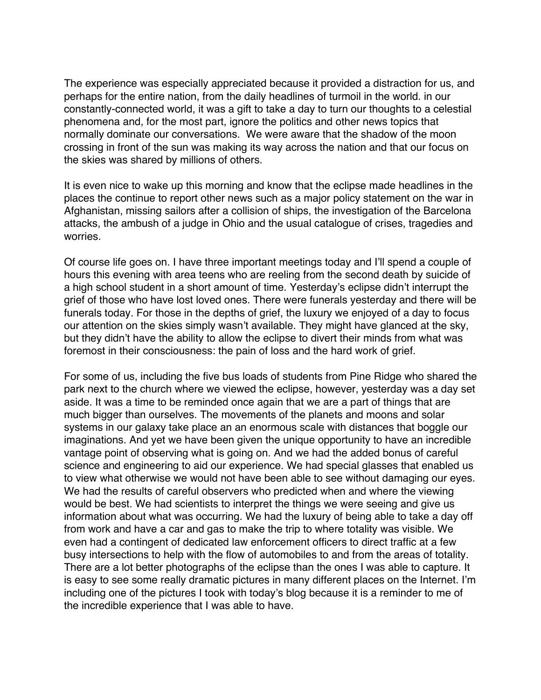The experience was especially appreciated because it provided a distraction for us, and perhaps for the entire nation, from the daily headlines of turmoil in the world. in our constantly-connected world, it was a gift to take a day to turn our thoughts to a celestial phenomena and, for the most part, ignore the politics and other news topics that normally dominate our conversations. We were aware that the shadow of the moon crossing in front of the sun was making its way across the nation and that our focus on the skies was shared by millions of others.

It is even nice to wake up this morning and know that the eclipse made headlines in the places the continue to report other news such as a major policy statement on the war in Afghanistan, missing sailors after a collision of ships, the investigation of the Barcelona attacks, the ambush of a judge in Ohio and the usual catalogue of crises, tragedies and worries.

Of course life goes on. I have three important meetings today and I'll spend a couple of hours this evening with area teens who are reeling from the second death by suicide of a high school student in a short amount of time. Yesterday's eclipse didn't interrupt the grief of those who have lost loved ones. There were funerals yesterday and there will be funerals today. For those in the depths of grief, the luxury we enjoyed of a day to focus our attention on the skies simply wasn't available. They might have glanced at the sky, but they didn't have the ability to allow the eclipse to divert their minds from what was foremost in their consciousness: the pain of loss and the hard work of grief.

For some of us, including the five bus loads of students from Pine Ridge who shared the park next to the church where we viewed the eclipse, however, yesterday was a day set aside. It was a time to be reminded once again that we are a part of things that are much bigger than ourselves. The movements of the planets and moons and solar systems in our galaxy take place an an enormous scale with distances that boggle our imaginations. And yet we have been given the unique opportunity to have an incredible vantage point of observing what is going on. And we had the added bonus of careful science and engineering to aid our experience. We had special glasses that enabled us to view what otherwise we would not have been able to see without damaging our eyes. We had the results of careful observers who predicted when and where the viewing would be best. We had scientists to interpret the things we were seeing and give us information about what was occurring. We had the luxury of being able to take a day off from work and have a car and gas to make the trip to where totality was visible. We even had a contingent of dedicated law enforcement officers to direct traffic at a few busy intersections to help with the flow of automobiles to and from the areas of totality. There are a lot better photographs of the eclipse than the ones I was able to capture. It is easy to see some really dramatic pictures in many different places on the Internet. I'm including one of the pictures I took with today's blog because it is a reminder to me of the incredible experience that I was able to have.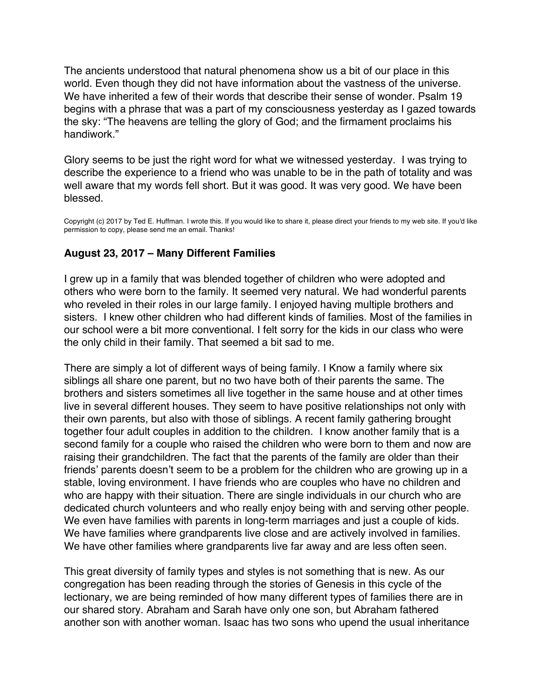<span id="page-49-0"></span>The ancients understood that natural phenomena show us a bit of our place in this world. Even though they did not have information about the vastness of the universe. We have inherited a few of their words that describe their sense of wonder. Psalm 19 begins with a phrase that was a part of my consciousness yesterday as I gazed towards the sky: "The heavens are telling the glory of God; and the firmament proclaims his handiwork."

Glory seems to be just the right word for what we witnessed yesterday. I was trying to describe the experience to a friend who was unable to be in the path of totality and was well aware that my words fell short. But it was good. It was very good. We have been blessed.

Copyright (c) 2017 by Ted E. Huffman. I wrote this. If you would like to share it, please direct your friends to my web site. If you'd like permission to copy, please send me an email. Thanks!

## **August 23, 2017 – Many Different Families**

I grew up in a family that was blended together of children who were adopted and others who were born to the family. It seemed very natural. We had wonderful parents who reveled in their roles in our large family. I enjoyed having multiple brothers and sisters. I knew other children who had different kinds of families. Most of the families in our school were a bit more conventional. I felt sorry for the kids in our class who were the only child in their family. That seemed a bit sad to me.

There are simply a lot of different ways of being family. I Know a family where six siblings all share one parent, but no two have both of their parents the same. The brothers and sisters sometimes all live together in the same house and at other times live in several different houses. They seem to have positive relationships not only with their own parents, but also with those of siblings. A recent family gathering brought together four adult couples in addition to the children. I know another family that is a second family for a couple who raised the children who were born to them and now are raising their grandchildren. The fact that the parents of the family are older than their friends' parents doesn't seem to be a problem for the children who are growing up in a stable, loving environment. I have friends who are couples who have no children and who are happy with their situation. There are single individuals in our church who are dedicated church volunteers and who really enjoy being with and serving other people. We even have families with parents in long-term marriages and just a couple of kids. We have families where grandparents live close and are actively involved in families. We have other families where grandparents live far away and are less often seen.

This great diversity of family types and styles is not something that is new. As our congregation has been reading through the stories of Genesis in this cycle of the lectionary, we are being reminded of how many different types of families there are in our shared story. Abraham and Sarah have only one son, but Abraham fathered another son with another woman. Isaac has two sons who upend the usual inheritance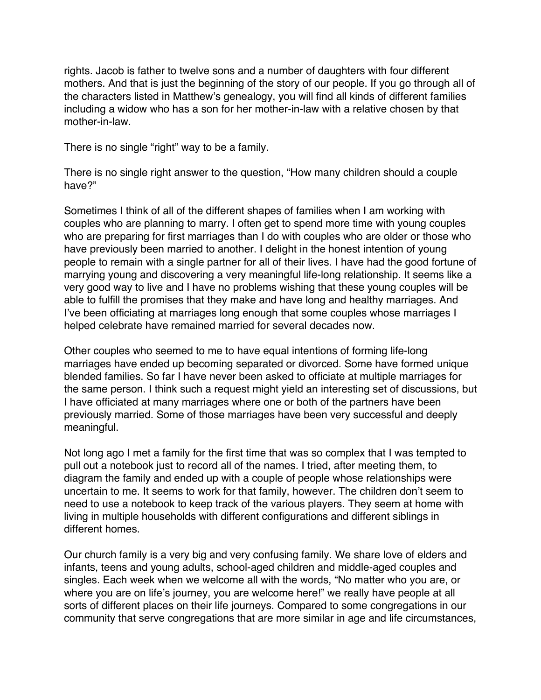rights. Jacob is father to twelve sons and a number of daughters with four different mothers. And that is just the beginning of the story of our people. If you go through all of the characters listed in Matthew's genealogy, you will find all kinds of different families including a widow who has a son for her mother-in-law with a relative chosen by that mother-in-law.

There is no single "right" way to be a family.

There is no single right answer to the question, "How many children should a couple have?"

Sometimes I think of all of the different shapes of families when I am working with couples who are planning to marry. I often get to spend more time with young couples who are preparing for first marriages than I do with couples who are older or those who have previously been married to another. I delight in the honest intention of young people to remain with a single partner for all of their lives. I have had the good fortune of marrying young and discovering a very meaningful life-long relationship. It seems like a very good way to live and I have no problems wishing that these young couples will be able to fulfill the promises that they make and have long and healthy marriages. And I've been officiating at marriages long enough that some couples whose marriages I helped celebrate have remained married for several decades now.

Other couples who seemed to me to have equal intentions of forming life-long marriages have ended up becoming separated or divorced. Some have formed unique blended families. So far I have never been asked to officiate at multiple marriages for the same person. I think such a request might yield an interesting set of discussions, but I have officiated at many marriages where one or both of the partners have been previously married. Some of those marriages have been very successful and deeply meaningful.

Not long ago I met a family for the first time that was so complex that I was tempted to pull out a notebook just to record all of the names. I tried, after meeting them, to diagram the family and ended up with a couple of people whose relationships were uncertain to me. It seems to work for that family, however. The children don't seem to need to use a notebook to keep track of the various players. They seem at home with living in multiple households with different configurations and different siblings in different homes.

Our church family is a very big and very confusing family. We share love of elders and infants, teens and young adults, school-aged children and middle-aged couples and singles. Each week when we welcome all with the words, "No matter who you are, or where you are on life's journey, you are welcome here!" we really have people at all sorts of different places on their life journeys. Compared to some congregations in our community that serve congregations that are more similar in age and life circumstances,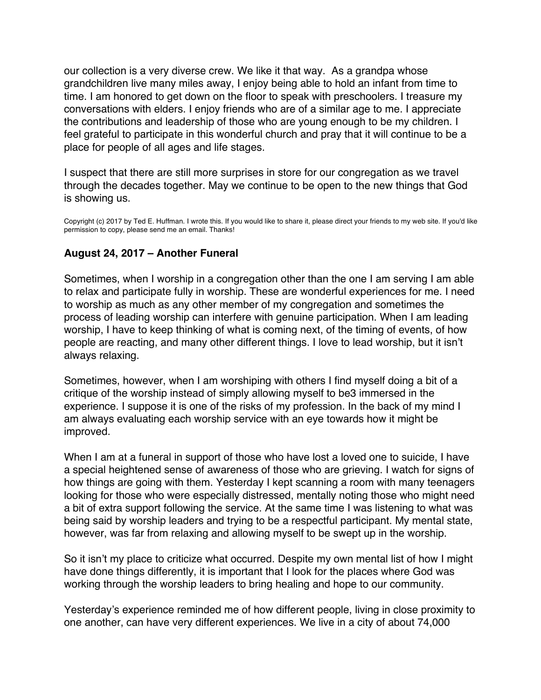<span id="page-51-0"></span>our collection is a very diverse crew. We like it that way. As a grandpa whose grandchildren live many miles away, I enjoy being able to hold an infant from time to time. I am honored to get down on the floor to speak with preschoolers. I treasure my conversations with elders. I enjoy friends who are of a similar age to me. I appreciate the contributions and leadership of those who are young enough to be my children. I feel grateful to participate in this wonderful church and pray that it will continue to be a place for people of all ages and life stages.

I suspect that there are still more surprises in store for our congregation as we travel through the decades together. May we continue to be open to the new things that God is showing us.

Copyright (c) 2017 by Ted E. Huffman. I wrote this. If you would like to share it, please direct your friends to my web site. If you'd like permission to copy, please send me an email. Thanks!

### **August 24, 2017 – Another Funeral**

Sometimes, when I worship in a congregation other than the one I am serving I am able to relax and participate fully in worship. These are wonderful experiences for me. I need to worship as much as any other member of my congregation and sometimes the process of leading worship can interfere with genuine participation. When I am leading worship, I have to keep thinking of what is coming next, of the timing of events, of how people are reacting, and many other different things. I love to lead worship, but it isn't always relaxing.

Sometimes, however, when I am worshiping with others I find myself doing a bit of a critique of the worship instead of simply allowing myself to be3 immersed in the experience. I suppose it is one of the risks of my profession. In the back of my mind I am always evaluating each worship service with an eye towards how it might be improved.

When I am at a funeral in support of those who have lost a loved one to suicide, I have a special heightened sense of awareness of those who are grieving. I watch for signs of how things are going with them. Yesterday I kept scanning a room with many teenagers looking for those who were especially distressed, mentally noting those who might need a bit of extra support following the service. At the same time I was listening to what was being said by worship leaders and trying to be a respectful participant. My mental state, however, was far from relaxing and allowing myself to be swept up in the worship.

So it isn't my place to criticize what occurred. Despite my own mental list of how I might have done things differently, it is important that I look for the places where God was working through the worship leaders to bring healing and hope to our community.

Yesterday's experience reminded me of how different people, living in close proximity to one another, can have very different experiences. We live in a city of about 74,000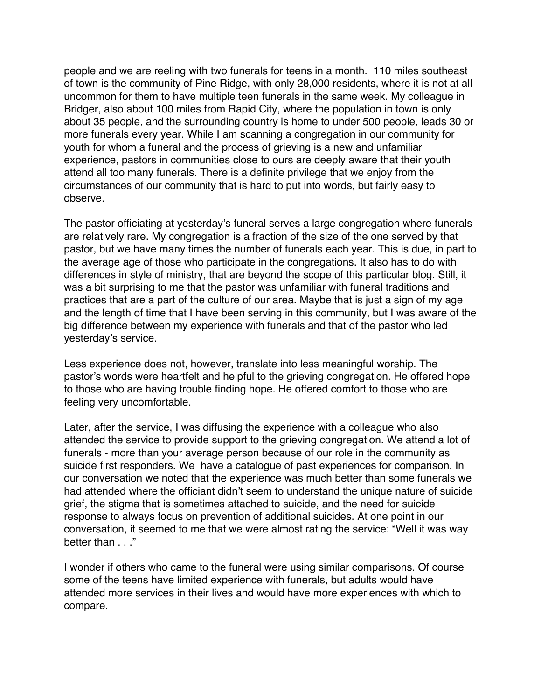people and we are reeling with two funerals for teens in a month. 110 miles southeast of town is the community of Pine Ridge, with only 28,000 residents, where it is not at all uncommon for them to have multiple teen funerals in the same week. My colleague in Bridger, also about 100 miles from Rapid City, where the population in town is only about 35 people, and the surrounding country is home to under 500 people, leads 30 or more funerals every year. While I am scanning a congregation in our community for youth for whom a funeral and the process of grieving is a new and unfamiliar experience, pastors in communities close to ours are deeply aware that their youth attend all too many funerals. There is a definite privilege that we enjoy from the circumstances of our community that is hard to put into words, but fairly easy to observe.

The pastor officiating at yesterday's funeral serves a large congregation where funerals are relatively rare. My congregation is a fraction of the size of the one served by that pastor, but we have many times the number of funerals each year. This is due, in part to the average age of those who participate in the congregations. It also has to do with differences in style of ministry, that are beyond the scope of this particular blog. Still, it was a bit surprising to me that the pastor was unfamiliar with funeral traditions and practices that are a part of the culture of our area. Maybe that is just a sign of my age and the length of time that I have been serving in this community, but I was aware of the big difference between my experience with funerals and that of the pastor who led yesterday's service.

Less experience does not, however, translate into less meaningful worship. The pastor's words were heartfelt and helpful to the grieving congregation. He offered hope to those who are having trouble finding hope. He offered comfort to those who are feeling very uncomfortable.

Later, after the service, I was diffusing the experience with a colleague who also attended the service to provide support to the grieving congregation. We attend a lot of funerals - more than your average person because of our role in the community as suicide first responders. We have a catalogue of past experiences for comparison. In our conversation we noted that the experience was much better than some funerals we had attended where the officiant didn't seem to understand the unique nature of suicide grief, the stigma that is sometimes attached to suicide, and the need for suicide response to always focus on prevention of additional suicides. At one point in our conversation, it seemed to me that we were almost rating the service: "Well it was way better than . . ."

I wonder if others who came to the funeral were using similar comparisons. Of course some of the teens have limited experience with funerals, but adults would have attended more services in their lives and would have more experiences with which to compare.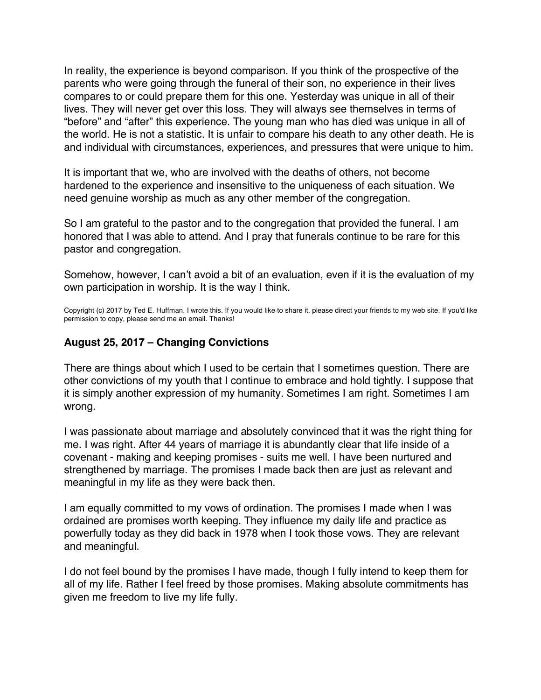<span id="page-53-0"></span>In reality, the experience is beyond comparison. If you think of the prospective of the parents who were going through the funeral of their son, no experience in their lives compares to or could prepare them for this one. Yesterday was unique in all of their lives. They will never get over this loss. They will always see themselves in terms of "before" and "after" this experience. The young man who has died was unique in all of the world. He is not a statistic. It is unfair to compare his death to any other death. He is and individual with circumstances, experiences, and pressures that were unique to him.

It is important that we, who are involved with the deaths of others, not become hardened to the experience and insensitive to the uniqueness of each situation. We need genuine worship as much as any other member of the congregation.

So I am grateful to the pastor and to the congregation that provided the funeral. I am honored that I was able to attend. And I pray that funerals continue to be rare for this pastor and congregation.

Somehow, however, I can't avoid a bit of an evaluation, even if it is the evaluation of my own participation in worship. It is the way I think.

Copyright (c) 2017 by Ted E. Huffman. I wrote this. If you would like to share it, please direct your friends to my web site. If you'd like permission to copy, please send me an email. Thanks!

#### **August 25, 2017 – Changing Convictions**

There are things about which I used to be certain that I sometimes question. There are other convictions of my youth that I continue to embrace and hold tightly. I suppose that it is simply another expression of my humanity. Sometimes I am right. Sometimes I am wrong.

I was passionate about marriage and absolutely convinced that it was the right thing for me. I was right. After 44 years of marriage it is abundantly clear that life inside of a covenant - making and keeping promises - suits me well. I have been nurtured and strengthened by marriage. The promises I made back then are just as relevant and meaningful in my life as they were back then.

I am equally committed to my vows of ordination. The promises I made when I was ordained are promises worth keeping. They influence my daily life and practice as powerfully today as they did back in 1978 when I took those vows. They are relevant and meaningful.

I do not feel bound by the promises I have made, though I fully intend to keep them for all of my life. Rather I feel freed by those promises. Making absolute commitments has given me freedom to live my life fully.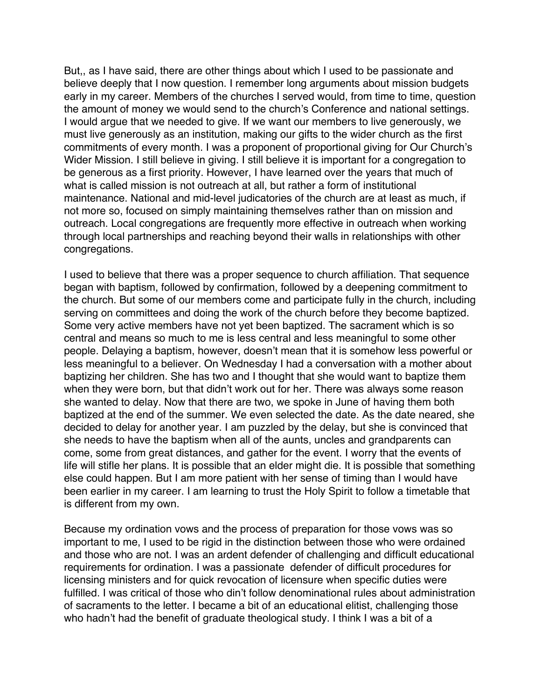But,, as I have said, there are other things about which I used to be passionate and believe deeply that I now question. I remember long arguments about mission budgets early in my career. Members of the churches I served would, from time to time, question the amount of money we would send to the church's Conference and national settings. I would argue that we needed to give. If we want our members to live generously, we must live generously as an institution, making our gifts to the wider church as the first commitments of every month. I was a proponent of proportional giving for Our Church's Wider Mission. I still believe in giving. I still believe it is important for a congregation to be generous as a first priority. However, I have learned over the years that much of what is called mission is not outreach at all, but rather a form of institutional maintenance. National and mid-level judicatories of the church are at least as much, if not more so, focused on simply maintaining themselves rather than on mission and outreach. Local congregations are frequently more effective in outreach when working through local partnerships and reaching beyond their walls in relationships with other congregations.

I used to believe that there was a proper sequence to church affiliation. That sequence began with baptism, followed by confirmation, followed by a deepening commitment to the church. But some of our members come and participate fully in the church, including serving on committees and doing the work of the church before they become baptized. Some very active members have not yet been baptized. The sacrament which is so central and means so much to me is less central and less meaningful to some other people. Delaying a baptism, however, doesn't mean that it is somehow less powerful or less meaningful to a believer. On Wednesday I had a conversation with a mother about baptizing her children. She has two and I thought that she would want to baptize them when they were born, but that didn't work out for her. There was always some reason she wanted to delay. Now that there are two, we spoke in June of having them both baptized at the end of the summer. We even selected the date. As the date neared, she decided to delay for another year. I am puzzled by the delay, but she is convinced that she needs to have the baptism when all of the aunts, uncles and grandparents can come, some from great distances, and gather for the event. I worry that the events of life will stifle her plans. It is possible that an elder might die. It is possible that something else could happen. But I am more patient with her sense of timing than I would have been earlier in my career. I am learning to trust the Holy Spirit to follow a timetable that is different from my own.

Because my ordination vows and the process of preparation for those vows was so important to me, I used to be rigid in the distinction between those who were ordained and those who are not. I was an ardent defender of challenging and difficult educational requirements for ordination. I was a passionate defender of difficult procedures for licensing ministers and for quick revocation of licensure when specific duties were fulfilled. I was critical of those who din't follow denominational rules about administration of sacraments to the letter. I became a bit of an educational elitist, challenging those who hadn't had the benefit of graduate theological study. I think I was a bit of a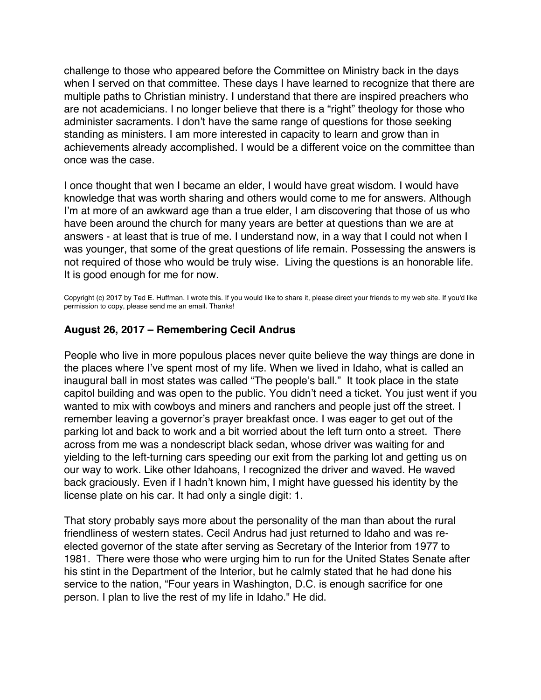<span id="page-55-0"></span>challenge to those who appeared before the Committee on Ministry back in the days when I served on that committee. These days I have learned to recognize that there are multiple paths to Christian ministry. I understand that there are inspired preachers who are not academicians. I no longer believe that there is a "right" theology for those who administer sacraments. I don't have the same range of questions for those seeking standing as ministers. I am more interested in capacity to learn and grow than in achievements already accomplished. I would be a different voice on the committee than once was the case.

I once thought that wen I became an elder, I would have great wisdom. I would have knowledge that was worth sharing and others would come to me for answers. Although I'm at more of an awkward age than a true elder, I am discovering that those of us who have been around the church for many years are better at questions than we are at answers - at least that is true of me. I understand now, in a way that I could not when I was younger, that some of the great questions of life remain. Possessing the answers is not required of those who would be truly wise. Living the questions is an honorable life. It is good enough for me for now.

Copyright (c) 2017 by Ted E. Huffman. I wrote this. If you would like to share it, please direct your friends to my web site. If you'd like permission to copy, please send me an email. Thanks!

### **August 26, 2017 – Remembering Cecil Andrus**

People who live in more populous places never quite believe the way things are done in the places where I've spent most of my life. When we lived in Idaho, what is called an inaugural ball in most states was called "The people's ball." It took place in the state capitol building and was open to the public. You didn't need a ticket. You just went if you wanted to mix with cowboys and miners and ranchers and people just off the street. I remember leaving a governor's prayer breakfast once. I was eager to get out of the parking lot and back to work and a bit worried about the left turn onto a street. There across from me was a nondescript black sedan, whose driver was waiting for and yielding to the left-turning cars speeding our exit from the parking lot and getting us on our way to work. Like other Idahoans, I recognized the driver and waved. He waved back graciously. Even if I hadn't known him, I might have guessed his identity by the license plate on his car. It had only a single digit: 1.

That story probably says more about the personality of the man than about the rural friendliness of western states. Cecil Andrus had just returned to Idaho and was reelected governor of the state after serving as Secretary of the Interior from 1977 to 1981. There were those who were urging him to run for the United States Senate after his stint in the Department of the Interior, but he calmly stated that he had done his service to the nation, "Four years in Washington, D.C. is enough sacrifice for one person. I plan to live the rest of my life in Idaho." He did.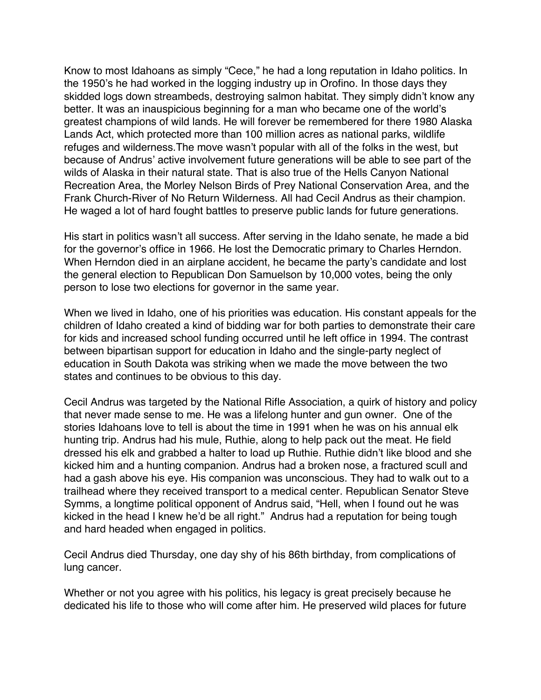Know to most Idahoans as simply "Cece," he had a long reputation in Idaho politics. In the 1950's he had worked in the logging industry up in Orofino. In those days they skidded logs down streambeds, destroying salmon habitat. They simply didn't know any better. It was an inauspicious beginning for a man who became one of the world's greatest champions of wild lands. He will forever be remembered for there 1980 Alaska Lands Act, which protected more than 100 million acres as national parks, wildlife refuges and wilderness.The move wasn't popular with all of the folks in the west, but because of Andrus' active involvement future generations will be able to see part of the wilds of Alaska in their natural state. That is also true of the Hells Canyon National Recreation Area, the Morley Nelson Birds of Prey National Conservation Area, and the Frank Church-River of No Return Wilderness. All had Cecil Andrus as their champion. He waged a lot of hard fought battles to preserve public lands for future generations.

His start in politics wasn't all success. After serving in the Idaho senate, he made a bid for the governor's office in 1966. He lost the Democratic primary to Charles Herndon. When Herndon died in an airplane accident, he became the party's candidate and lost the general election to Republican Don Samuelson by 10,000 votes, being the only person to lose two elections for governor in the same year.

When we lived in Idaho, one of his priorities was education. His constant appeals for the children of Idaho created a kind of bidding war for both parties to demonstrate their care for kids and increased school funding occurred until he left office in 1994. The contrast between bipartisan support for education in Idaho and the single-party neglect of education in South Dakota was striking when we made the move between the two states and continues to be obvious to this day.

Cecil Andrus was targeted by the National Rifle Association, a quirk of history and policy that never made sense to me. He was a lifelong hunter and gun owner. One of the stories Idahoans love to tell is about the time in 1991 when he was on his annual elk hunting trip. Andrus had his mule, Ruthie, along to help pack out the meat. He field dressed his elk and grabbed a halter to load up Ruthie. Ruthie didn't like blood and she kicked him and a hunting companion. Andrus had a broken nose, a fractured scull and had a gash above his eye. His companion was unconscious. They had to walk out to a trailhead where they received transport to a medical center. Republican Senator Steve Symms, a longtime political opponent of Andrus said, "Hell, when I found out he was kicked in the head I knew he'd be all right." Andrus had a reputation for being tough and hard headed when engaged in politics.

Cecil Andrus died Thursday, one day shy of his 86th birthday, from complications of lung cancer.

Whether or not you agree with his politics, his legacy is great precisely because he dedicated his life to those who will come after him. He preserved wild places for future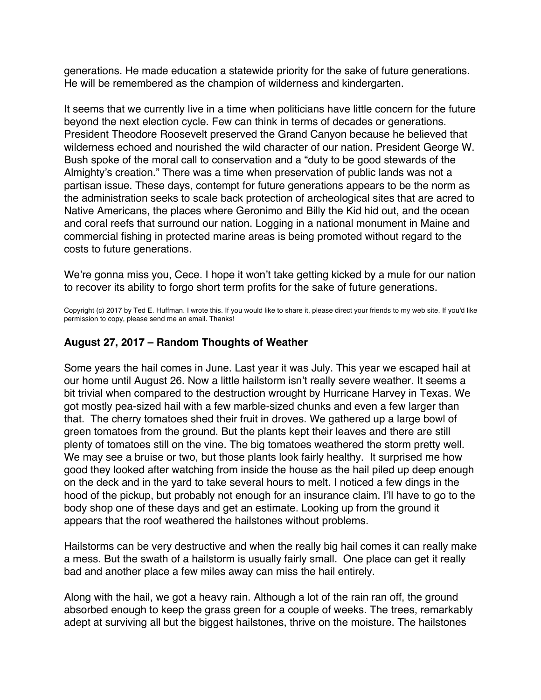<span id="page-57-0"></span>generations. He made education a statewide priority for the sake of future generations. He will be remembered as the champion of wilderness and kindergarten.

It seems that we currently live in a time when politicians have little concern for the future beyond the next election cycle. Few can think in terms of decades or generations. President Theodore Roosevelt preserved the Grand Canyon because he believed that wilderness echoed and nourished the wild character of our nation. President George W. Bush spoke of the moral call to conservation and a "duty to be good stewards of the Almighty's creation." There was a time when preservation of public lands was not a partisan issue. These days, contempt for future generations appears to be the norm as the administration seeks to scale back protection of archeological sites that are acred to Native Americans, the places where Geronimo and Billy the Kid hid out, and the ocean and coral reefs that surround our nation. Logging in a national monument in Maine and commercial fishing in protected marine areas is being promoted without regard to the costs to future generations.

We're gonna miss you, Cece. I hope it won't take getting kicked by a mule for our nation to recover its ability to forgo short term profits for the sake of future generations.

Copyright (c) 2017 by Ted E. Huffman. I wrote this. If you would like to share it, please direct your friends to my web site. If you'd like permission to copy, please send me an email. Thanks!

## **August 27, 2017 – Random Thoughts of Weather**

Some years the hail comes in June. Last year it was July. This year we escaped hail at our home until August 26. Now a little hailstorm isn't really severe weather. It seems a bit trivial when compared to the destruction wrought by Hurricane Harvey in Texas. We got mostly pea-sized hail with a few marble-sized chunks and even a few larger than that. The cherry tomatoes shed their fruit in droves. We gathered up a large bowl of green tomatoes from the ground. But the plants kept their leaves and there are still plenty of tomatoes still on the vine. The big tomatoes weathered the storm pretty well. We may see a bruise or two, but those plants look fairly healthy. It surprised me how good they looked after watching from inside the house as the hail piled up deep enough on the deck and in the yard to take several hours to melt. I noticed a few dings in the hood of the pickup, but probably not enough for an insurance claim. I'll have to go to the body shop one of these days and get an estimate. Looking up from the ground it appears that the roof weathered the hailstones without problems.

Hailstorms can be very destructive and when the really big hail comes it can really make a mess. But the swath of a hailstorm is usually fairly small. One place can get it really bad and another place a few miles away can miss the hail entirely.

Along with the hail, we got a heavy rain. Although a lot of the rain ran off, the ground absorbed enough to keep the grass green for a couple of weeks. The trees, remarkably adept at surviving all but the biggest hailstones, thrive on the moisture. The hailstones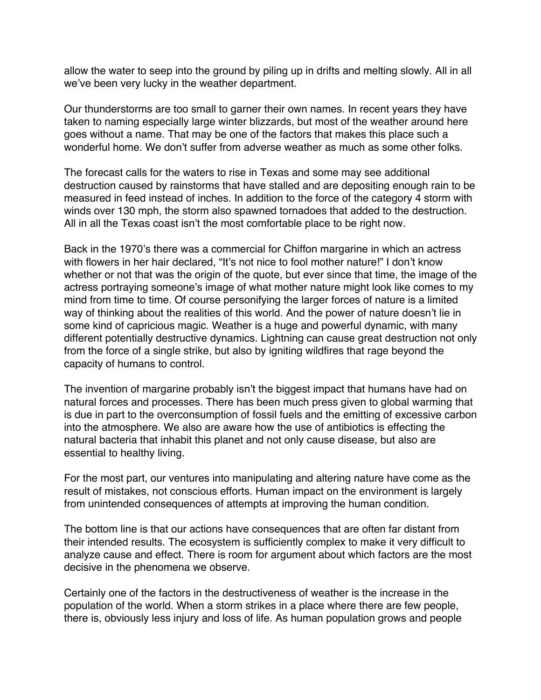allow the water to seep into the ground by piling up in drifts and melting slowly. All in all we've been very lucky in the weather department.

Our thunderstorms are too small to garner their own names. In recent years they have taken to naming especially large winter blizzards, but most of the weather around here goes without a name. That may be one of the factors that makes this place such a wonderful home. We don't suffer from adverse weather as much as some other folks.

The forecast calls for the waters to rise in Texas and some may see additional destruction caused by rainstorms that have stalled and are depositing enough rain to be measured in feed instead of inches. In addition to the force of the category 4 storm with winds over 130 mph, the storm also spawned tornadoes that added to the destruction. All in all the Texas coast isn't the most comfortable place to be right now.

Back in the 1970's there was a commercial for Chiffon margarine in which an actress with flowers in her hair declared, "It's not nice to fool mother nature!" I don't know whether or not that was the origin of the quote, but ever since that time, the image of the actress portraying someone's image of what mother nature might look like comes to my mind from time to time. Of course personifying the larger forces of nature is a limited way of thinking about the realities of this world. And the power of nature doesn't lie in some kind of capricious magic. Weather is a huge and powerful dynamic, with many different potentially destructive dynamics. Lightning can cause great destruction not only from the force of a single strike, but also by igniting wildfires that rage beyond the capacity of humans to control.

The invention of margarine probably isn't the biggest impact that humans have had on natural forces and processes. There has been much press given to global warming that is due in part to the overconsumption of fossil fuels and the emitting of excessive carbon into the atmosphere. We also are aware how the use of antibiotics is effecting the natural bacteria that inhabit this planet and not only cause disease, but also are essential to healthy living.

For the most part, our ventures into manipulating and altering nature have come as the result of mistakes, not conscious efforts. Human impact on the environment is largely from unintended consequences of attempts at improving the human condition.

The bottom line is that our actions have consequences that are often far distant from their intended results. The ecosystem is sufficiently complex to make it very difficult to analyze cause and effect. There is room for argument about which factors are the most decisive in the phenomena we observe.

Certainly one of the factors in the destructiveness of weather is the increase in the population of the world. When a storm strikes in a place where there are few people, there is, obviously less injury and loss of life. As human population grows and people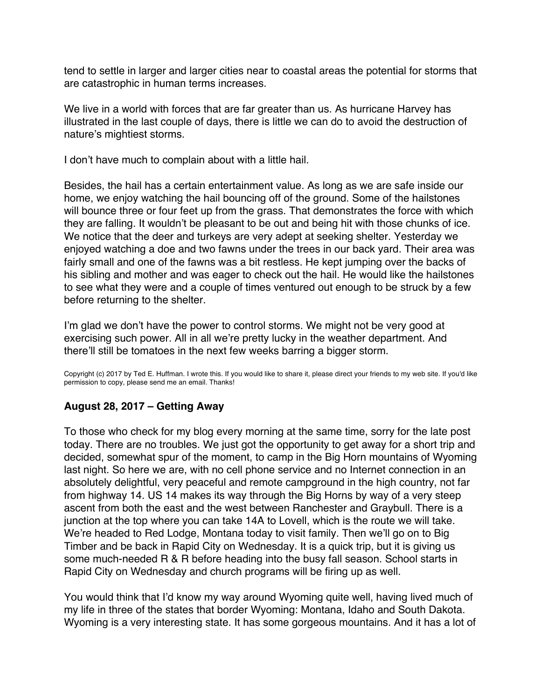<span id="page-59-0"></span>tend to settle in larger and larger cities near to coastal areas the potential for storms that are catastrophic in human terms increases.

We live in a world with forces that are far greater than us. As hurricane Harvey has illustrated in the last couple of days, there is little we can do to avoid the destruction of nature's mightiest storms.

I don't have much to complain about with a little hail.

Besides, the hail has a certain entertainment value. As long as we are safe inside our home, we enjoy watching the hail bouncing off of the ground. Some of the hailstones will bounce three or four feet up from the grass. That demonstrates the force with which they are falling. It wouldn't be pleasant to be out and being hit with those chunks of ice. We notice that the deer and turkeys are very adept at seeking shelter. Yesterday we enjoyed watching a doe and two fawns under the trees in our back yard. Their area was fairly small and one of the fawns was a bit restless. He kept jumping over the backs of his sibling and mother and was eager to check out the hail. He would like the hailstones to see what they were and a couple of times ventured out enough to be struck by a few before returning to the shelter.

I'm glad we don't have the power to control storms. We might not be very good at exercising such power. All in all we're pretty lucky in the weather department. And there'll still be tomatoes in the next few weeks barring a bigger storm.

Copyright (c) 2017 by Ted E. Huffman. I wrote this. If you would like to share it, please direct your friends to my web site. If you'd like permission to copy, please send me an email. Thanks!

### **August 28, 2017 – Getting Away**

To those who check for my blog every morning at the same time, sorry for the late post today. There are no troubles. We just got the opportunity to get away for a short trip and decided, somewhat spur of the moment, to camp in the Big Horn mountains of Wyoming last night. So here we are, with no cell phone service and no Internet connection in an absolutely delightful, very peaceful and remote campground in the high country, not far from highway 14. US 14 makes its way through the Big Horns by way of a very steep ascent from both the east and the west between Ranchester and Graybull. There is a junction at the top where you can take 14A to Lovell, which is the route we will take. We're headed to Red Lodge, Montana today to visit family. Then we'll go on to Big Timber and be back in Rapid City on Wednesday. It is a quick trip, but it is giving us some much-needed R & R before heading into the busy fall season. School starts in Rapid City on Wednesday and church programs will be firing up as well.

You would think that I'd know my way around Wyoming quite well, having lived much of my life in three of the states that border Wyoming: Montana, Idaho and South Dakota. Wyoming is a very interesting state. It has some gorgeous mountains. And it has a lot of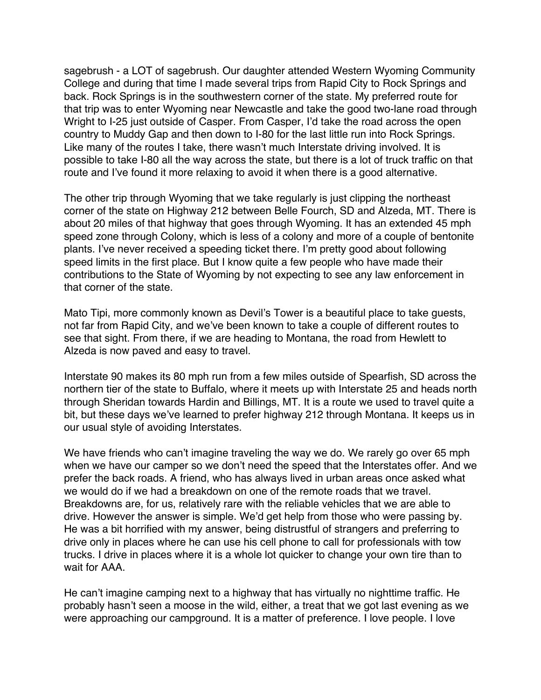sagebrush - a LOT of sagebrush. Our daughter attended Western Wyoming Community College and during that time I made several trips from Rapid City to Rock Springs and back. Rock Springs is in the southwestern corner of the state. My preferred route for that trip was to enter Wyoming near Newcastle and take the good two-lane road through Wright to I-25 just outside of Casper. From Casper, I'd take the road across the open country to Muddy Gap and then down to I-80 for the last little run into Rock Springs. Like many of the routes I take, there wasn't much Interstate driving involved. It is possible to take I-80 all the way across the state, but there is a lot of truck traffic on that route and I've found it more relaxing to avoid it when there is a good alternative.

The other trip through Wyoming that we take regularly is just clipping the northeast corner of the state on Highway 212 between Belle Fourch, SD and Alzeda, MT. There is about 20 miles of that highway that goes through Wyoming. It has an extended 45 mph speed zone through Colony, which is less of a colony and more of a couple of bentonite plants. I've never received a speeding ticket there. I'm pretty good about following speed limits in the first place. But I know quite a few people who have made their contributions to the State of Wyoming by not expecting to see any law enforcement in that corner of the state.

Mato Tipi, more commonly known as Devil's Tower is a beautiful place to take guests, not far from Rapid City, and we've been known to take a couple of different routes to see that sight. From there, if we are heading to Montana, the road from Hewlett to Alzeda is now paved and easy to travel.

Interstate 90 makes its 80 mph run from a few miles outside of Spearfish, SD across the northern tier of the state to Buffalo, where it meets up with Interstate 25 and heads north through Sheridan towards Hardin and Billings, MT. It is a route we used to travel quite a bit, but these days we've learned to prefer highway 212 through Montana. It keeps us in our usual style of avoiding Interstates.

We have friends who can't imagine traveling the way we do. We rarely go over 65 mph when we have our camper so we don't need the speed that the Interstates offer. And we prefer the back roads. A friend, who has always lived in urban areas once asked what we would do if we had a breakdown on one of the remote roads that we travel. Breakdowns are, for us, relatively rare with the reliable vehicles that we are able to drive. However the answer is simple. We'd get help from those who were passing by. He was a bit horrified with my answer, being distrustful of strangers and preferring to drive only in places where he can use his cell phone to call for professionals with tow trucks. I drive in places where it is a whole lot quicker to change your own tire than to wait for AAA.

He can't imagine camping next to a highway that has virtually no nighttime traffic. He probably hasn't seen a moose in the wild, either, a treat that we got last evening as we were approaching our campground. It is a matter of preference. I love people. I love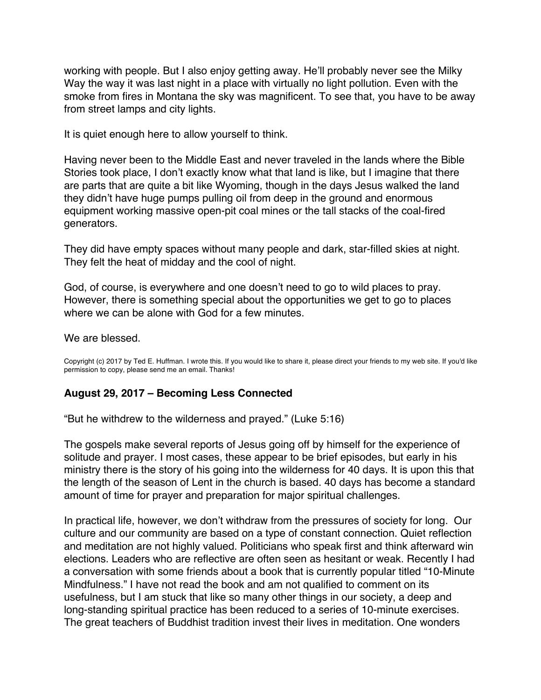<span id="page-61-0"></span>working with people. But I also enjoy getting away. He'll probably never see the Milky Way the way it was last night in a place with virtually no light pollution. Even with the smoke from fires in Montana the sky was magnificent. To see that, you have to be away from street lamps and city lights.

It is quiet enough here to allow yourself to think.

Having never been to the Middle East and never traveled in the lands where the Bible Stories took place, I don't exactly know what that land is like, but I imagine that there are parts that are quite a bit like Wyoming, though in the days Jesus walked the land they didn't have huge pumps pulling oil from deep in the ground and enormous equipment working massive open-pit coal mines or the tall stacks of the coal-fired generators.

They did have empty spaces without many people and dark, star-filled skies at night. They felt the heat of midday and the cool of night.

God, of course, is everywhere and one doesn't need to go to wild places to pray. However, there is something special about the opportunities we get to go to places where we can be alone with God for a few minutes

We are blessed.

Copyright (c) 2017 by Ted E. Huffman. I wrote this. If you would like to share it, please direct your friends to my web site. If you'd like permission to copy, please send me an email. Thanks!

### **August 29, 2017 – Becoming Less Connected**

"But he withdrew to the wilderness and prayed." (Luke 5:16)

The gospels make several reports of Jesus going off by himself for the experience of solitude and prayer. I most cases, these appear to be brief episodes, but early in his ministry there is the story of his going into the wilderness for 40 days. It is upon this that the length of the season of Lent in the church is based. 40 days has become a standard amount of time for prayer and preparation for major spiritual challenges.

In practical life, however, we don't withdraw from the pressures of society for long. Our culture and our community are based on a type of constant connection. Quiet reflection and meditation are not highly valued. Politicians who speak first and think afterward win elections. Leaders who are reflective are often seen as hesitant or weak. Recently I had a conversation with some friends about a book that is currently popular titled "10-Minute Mindfulness." I have not read the book and am not qualified to comment on its usefulness, but I am stuck that like so many other things in our society, a deep and long-standing spiritual practice has been reduced to a series of 10-minute exercises. The great teachers of Buddhist tradition invest their lives in meditation. One wonders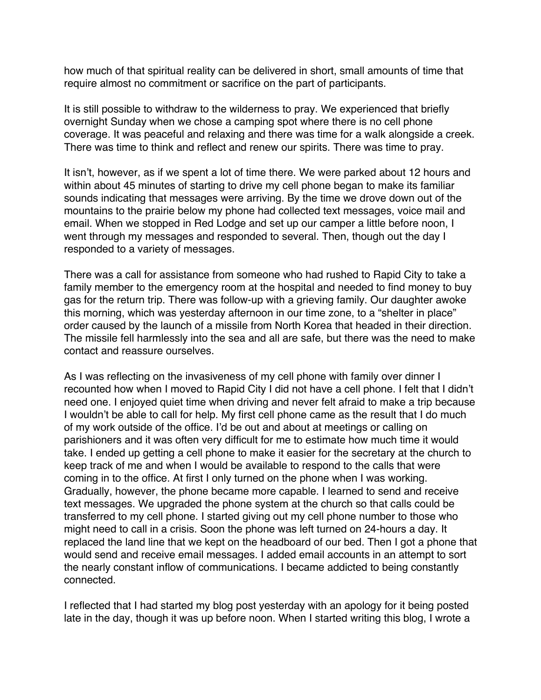how much of that spiritual reality can be delivered in short, small amounts of time that require almost no commitment or sacrifice on the part of participants.

It is still possible to withdraw to the wilderness to pray. We experienced that briefly overnight Sunday when we chose a camping spot where there is no cell phone coverage. It was peaceful and relaxing and there was time for a walk alongside a creek. There was time to think and reflect and renew our spirits. There was time to pray.

It isn't, however, as if we spent a lot of time there. We were parked about 12 hours and within about 45 minutes of starting to drive my cell phone began to make its familiar sounds indicating that messages were arriving. By the time we drove down out of the mountains to the prairie below my phone had collected text messages, voice mail and email. When we stopped in Red Lodge and set up our camper a little before noon, I went through my messages and responded to several. Then, though out the day I responded to a variety of messages.

There was a call for assistance from someone who had rushed to Rapid City to take a family member to the emergency room at the hospital and needed to find money to buy gas for the return trip. There was follow-up with a grieving family. Our daughter awoke this morning, which was yesterday afternoon in our time zone, to a "shelter in place" order caused by the launch of a missile from North Korea that headed in their direction. The missile fell harmlessly into the sea and all are safe, but there was the need to make contact and reassure ourselves.

As I was reflecting on the invasiveness of my cell phone with family over dinner I recounted how when I moved to Rapid City I did not have a cell phone. I felt that I didn't need one. I enjoyed quiet time when driving and never felt afraid to make a trip because I wouldn't be able to call for help. My first cell phone came as the result that I do much of my work outside of the office. I'd be out and about at meetings or calling on parishioners and it was often very difficult for me to estimate how much time it would take. I ended up getting a cell phone to make it easier for the secretary at the church to keep track of me and when I would be available to respond to the calls that were coming in to the office. At first I only turned on the phone when I was working. Gradually, however, the phone became more capable. I learned to send and receive text messages. We upgraded the phone system at the church so that calls could be transferred to my cell phone. I started giving out my cell phone number to those who might need to call in a crisis. Soon the phone was left turned on 24-hours a day. It replaced the land line that we kept on the headboard of our bed. Then I got a phone that would send and receive email messages. I added email accounts in an attempt to sort the nearly constant inflow of communications. I became addicted to being constantly connected.

I reflected that I had started my blog post yesterday with an apology for it being posted late in the day, though it was up before noon. When I started writing this blog, I wrote a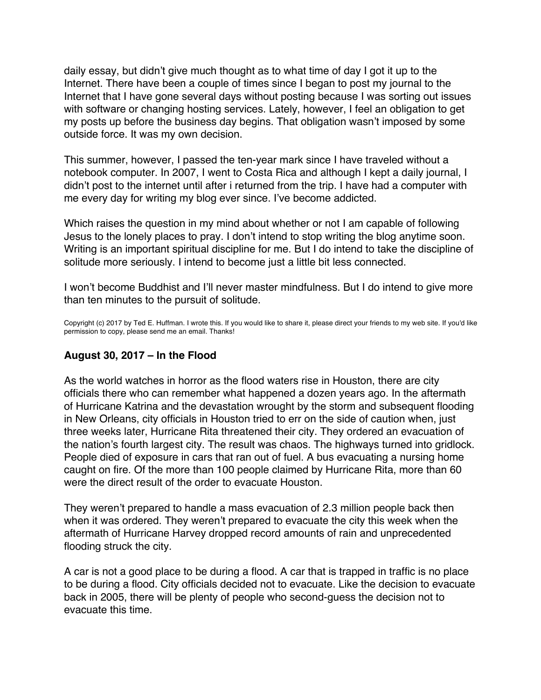<span id="page-63-0"></span>daily essay, but didn't give much thought as to what time of day I got it up to the Internet. There have been a couple of times since I began to post my journal to the Internet that I have gone several days without posting because I was sorting out issues with software or changing hosting services. Lately, however, I feel an obligation to get my posts up before the business day begins. That obligation wasn't imposed by some outside force. It was my own decision.

This summer, however, I passed the ten-year mark since I have traveled without a notebook computer. In 2007, I went to Costa Rica and although I kept a daily journal, I didn't post to the internet until after i returned from the trip. I have had a computer with me every day for writing my blog ever since. I've become addicted.

Which raises the question in my mind about whether or not I am capable of following Jesus to the lonely places to pray. I don't intend to stop writing the blog anytime soon. Writing is an important spiritual discipline for me. But I do intend to take the discipline of solitude more seriously. I intend to become just a little bit less connected.

I won't become Buddhist and I'll never master mindfulness. But I do intend to give more than ten minutes to the pursuit of solitude.

Copyright (c) 2017 by Ted E. Huffman. I wrote this. If you would like to share it, please direct your friends to my web site. If you'd like permission to copy, please send me an email. Thanks!

## **August 30, 2017 – In the Flood**

As the world watches in horror as the flood waters rise in Houston, there are city officials there who can remember what happened a dozen years ago. In the aftermath of Hurricane Katrina and the devastation wrought by the storm and subsequent flooding in New Orleans, city officials in Houston tried to err on the side of caution when, just three weeks later, Hurricane Rita threatened their city. They ordered an evacuation of the nation's fourth largest city. The result was chaos. The highways turned into gridlock. People died of exposure in cars that ran out of fuel. A bus evacuating a nursing home caught on fire. Of the more than 100 people claimed by Hurricane Rita, more than 60 were the direct result of the order to evacuate Houston.

They weren't prepared to handle a mass evacuation of 2.3 million people back then when it was ordered. They weren't prepared to evacuate the city this week when the aftermath of Hurricane Harvey dropped record amounts of rain and unprecedented flooding struck the city.

A car is not a good place to be during a flood. A car that is trapped in traffic is no place to be during a flood. City officials decided not to evacuate. Like the decision to evacuate back in 2005, there will be plenty of people who second-guess the decision not to evacuate this time.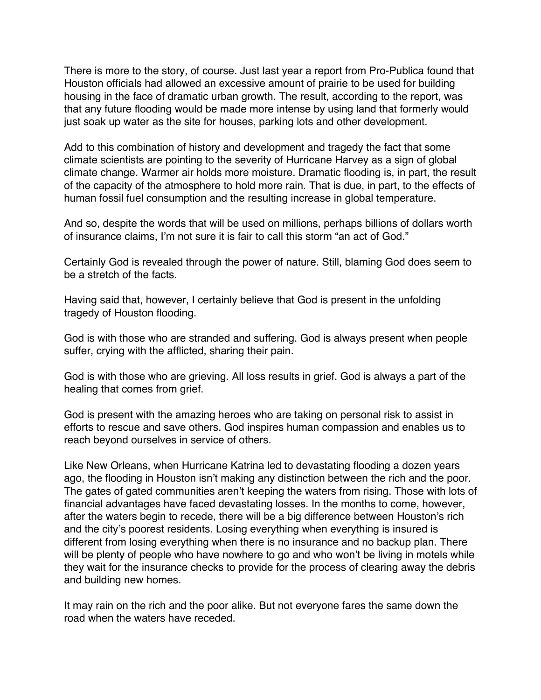There is more to the story, of course. Just last year a report from Pro-Publica found that Houston officials had allowed an excessive amount of prairie to be used for building housing in the face of dramatic urban growth. The result, according to the report, was that any future flooding would be made more intense by using land that formerly would just soak up water as the site for houses, parking lots and other development.

Add to this combination of history and development and tragedy the fact that some climate scientists are pointing to the severity of Hurricane Harvey as a sign of global climate change. Warmer air holds more moisture. Dramatic flooding is, in part, the result of the capacity of the atmosphere to hold more rain. That is due, in part, to the effects of human fossil fuel consumption and the resulting increase in global temperature.

And so, despite the words that will be used on millions, perhaps billions of dollars worth of insurance claims, I'm not sure it is fair to call this storm "an act of God."

Certainly God is revealed through the power of nature. Still, blaming God does seem to be a stretch of the facts.

Having said that, however, I certainly believe that God is present in the unfolding tragedy of Houston flooding.

God is with those who are stranded and suffering. God is always present when people suffer, crying with the afflicted, sharing their pain.

God is with those who are grieving. All loss results in grief. God is always a part of the healing that comes from grief.

God is present with the amazing heroes who are taking on personal risk to assist in efforts to rescue and save others. God inspires human compassion and enables us to reach beyond ourselves in service of others.

Like New Orleans, when Hurricane Katrina led to devastating flooding a dozen years ago, the flooding in Houston isn't making any distinction between the rich and the poor. The gates of gated communities aren't keeping the waters from rising. Those with lots of financial advantages have faced devastating losses. In the months to come, however, after the waters begin to recede, there will be a big difference between Houston's rich and the city's poorest residents. Losing everything when everything is insured is different from losing everything when there is no insurance and no backup plan. There will be plenty of people who have nowhere to go and who won't be living in motels while they wait for the insurance checks to provide for the process of clearing away the debris and building new homes.

It may rain on the rich and the poor alike. But not everyone fares the same down the road when the waters have receded.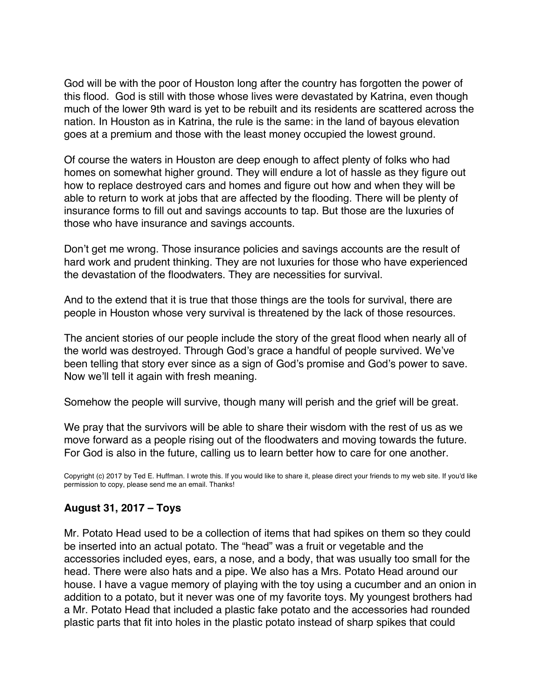God will be with the poor of Houston long after the country has forgotten the power of this flood. God is still with those whose lives were devastated by Katrina, even though much of the lower 9th ward is yet to be rebuilt and its residents are scattered across the nation. In Houston as in Katrina, the rule is the same: in the land of bayous elevation goes at a premium and those with the least money occupied the lowest ground.

Of course the waters in Houston are deep enough to affect plenty of folks who had homes on somewhat higher ground. They will endure a lot of hassle as they figure out how to replace destroyed cars and homes and figure out how and when they will be able to return to work at jobs that are affected by the flooding. There will be plenty of insurance forms to fill out and savings accounts to tap. But those are the luxuries of those who have insurance and savings accounts.

Don't get me wrong. Those insurance policies and savings accounts are the result of hard work and prudent thinking. They are not luxuries for those who have experienced the devastation of the floodwaters. They are necessities for survival.

And to the extend that it is true that those things are the tools for survival, there are people in Houston whose very survival is threatened by the lack of those resources.

The ancient stories of our people include the story of the great flood when nearly all of the world was destroyed. Through God's grace a handful of people survived. We've been telling that story ever since as a sign of God's promise and God's power to save. Now we'll tell it again with fresh meaning.

Somehow the people will survive, though many will perish and the grief will be great.

We pray that the survivors will be able to share their wisdom with the rest of us as we move forward as a people rising out of the floodwaters and moving towards the future. For God is also in the future, calling us to learn better how to care for one another.

Copyright (c) 2017 by Ted E. Huffman. I wrote this. If you would like to share it, please direct your friends to my web site. If you'd like permission to copy, please send me an email. Thanks!

# **August 31, 2017 – Toys**

Mr. Potato Head used to be a collection of items that had spikes on them so they could be inserted into an actual potato. The "head" was a fruit or vegetable and the accessories included eyes, ears, a nose, and a body, that was usually too small for the head. There were also hats and a pipe. We also has a Mrs. Potato Head around our house. I have a vague memory of playing with the toy using a cucumber and an onion in addition to a potato, but it never was one of my favorite toys. My youngest brothers had a Mr. Potato Head that included a plastic fake potato and the accessories had rounded plastic parts that fit into holes in the plastic potato instead of sharp spikes that could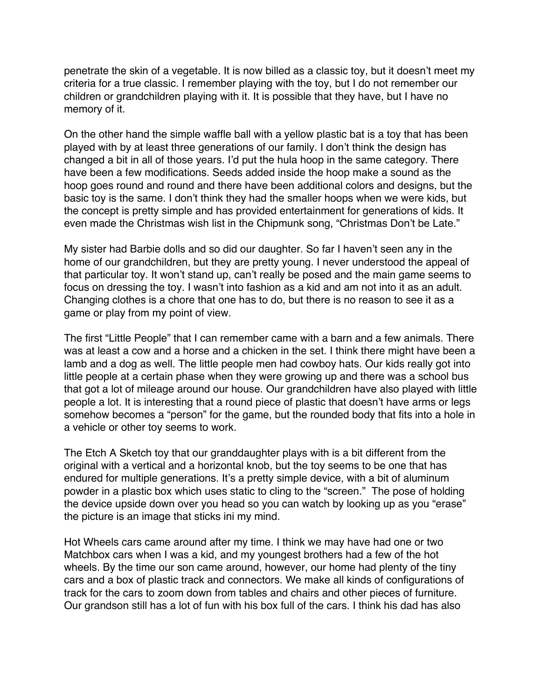<span id="page-66-0"></span>penetrate the skin of a vegetable. It is now billed as a classic toy, but it doesn't meet my criteria for a true classic. I remember playing with the toy, but I do not remember our children or grandchildren playing with it. It is possible that they have, but I have no memory of it.

On the other hand the simple waffle ball with a yellow plastic bat is a toy that has been played with by at least three generations of our family. I don't think the design has changed a bit in all of those years. I'd put the hula hoop in the same category. There have been a few modifications. Seeds added inside the hoop make a sound as the hoop goes round and round and there have been additional colors and designs, but the basic toy is the same. I don't think they had the smaller hoops when we were kids, but the concept is pretty simple and has provided entertainment for generations of kids. It even made the Christmas wish list in the Chipmunk song, "Christmas Don't be Late."

My sister had Barbie dolls and so did our daughter. So far I haven't seen any in the home of our grandchildren, but they are pretty young. I never understood the appeal of that particular toy. It won't stand up, can't really be posed and the main game seems to focus on dressing the toy. I wasn't into fashion as a kid and am not into it as an adult. Changing clothes is a chore that one has to do, but there is no reason to see it as a game or play from my point of view.

The first "Little People" that I can remember came with a barn and a few animals. There was at least a cow and a horse and a chicken in the set. I think there might have been a lamb and a dog as well. The little people men had cowboy hats. Our kids really got into little people at a certain phase when they were growing up and there was a school bus that got a lot of mileage around our house. Our grandchildren have also played with little people a lot. It is interesting that a round piece of plastic that doesn't have arms or legs somehow becomes a "person" for the game, but the rounded body that fits into a hole in a vehicle or other toy seems to work.

The Etch A Sketch toy that our granddaughter plays with is a bit different from the original with a vertical and a horizontal knob, but the toy seems to be one that has endured for multiple generations. It's a pretty simple device, with a bit of aluminum powder in a plastic box which uses static to cling to the "screen." The pose of holding the device upside down over you head so you can watch by looking up as you "erase" the picture is an image that sticks ini my mind.

Hot Wheels cars came around after my time. I think we may have had one or two Matchbox cars when I was a kid, and my youngest brothers had a few of the hot wheels. By the time our son came around, however, our home had plenty of the tiny cars and a box of plastic track and connectors. We make all kinds of configurations of track for the cars to zoom down from tables and chairs and other pieces of furniture. Our grandson still has a lot of fun with his box full of the cars. I think his dad has also